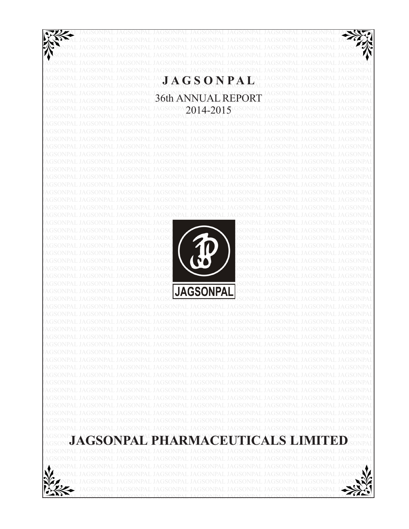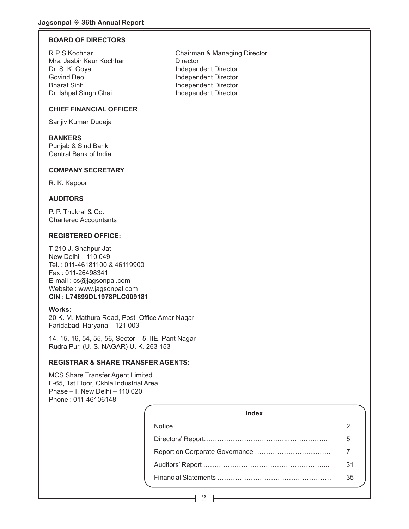#### **BOARD OF DIRECTORS**

Mrs. Jasbir Kaur Kochhar **Director** Dr. S. K. Goyal **Independent Director** Govind Deo **Independent Director** Bharat Sinh Independent Director Dr. Ishpal Singh Ghai **Independent Director** 

#### **CHIEF FINANCIAL OFFICER**

Sanjiv Kumar Dudeja

#### **BANKERS**

Punjab & Sind Bank Central Bank of India

#### **COMPANY SECRETARY**

R. K. Kapoor

#### **AUDITORS**

P. P. Thukral & Co. Chartered Accountants

#### **REGISTERED OFFICE:**

T-210 J, Shahpur Jat New Delhi – 110 049 Tel. : 011-46181100 & 46119900 Fax : 011-26498341 E-mail : cs@jagsonpal.com Website : www.jagsonpal.com **CIN : L74899DL1978PLC009181**

#### **Works:**

20 K. M. Mathura Road, Post Office Amar Nagar Faridabad, Haryana – 121 003

14, 15, 16, 54, 55, 56, Sector – 5, IIE, Pant Nagar Rudra Pur, (U. S. NAGAR) U. K. 263 153

#### **REGISTRAR & SHARE TRANSFER AGENTS:**

MCS Share Transfer Agent Limited F-65, 1st Floor, Okhla Industrial Area Phase – I, New Delhi – 110 020 Phone : 011-46106148

| Index |    |  |  |
|-------|----|--|--|
|       |    |  |  |
|       | 5  |  |  |
|       |    |  |  |
|       | 31 |  |  |
|       | 35 |  |  |
|       |    |  |  |

R P S Kochhar Chairman & Managing Director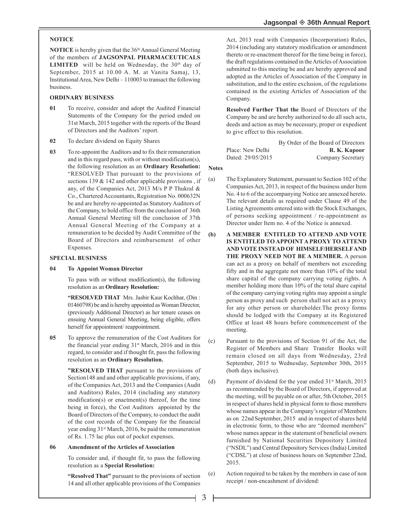#### **NOTICE**

**NOTICE** is hereby given that the 36<sup>th</sup> Annual General Meeting of the members of **JAGSONPAL PHARMACEUTICALS LIMITED** will be held on Wednesday, the 30<sup>th</sup> day of September, 2015 at 10.00 A. M. at Vanita Samaj, 13, Institutional Area, New Delhi – 110003 to transact the following business.

#### **ORDINARY BUSINESS**

- **01** To receive, consider and adopt the Audited Financial Statements of the Company for the period ended on 31st March, 2015 together with the reports of the Board of Directors and the Auditors' report.
- **02** To declare dividend on Equity Shares
- **03** To re-appoint the Auditors and to fix their remuneration and in this regard pass, with or without modification(s), the following resolution as an **Ordinary Resolution:** "RESOLVED That pursuant to the provisions of sections 139 & 142 and other applicable provisions, if any, of the Companies Act, 2013 M/s P P Thukral & Co., Chartered Accountants, Registration No. 000632N be and are hereby re-appointed as Statutory Auditors of the Company, to hold office from the conclusion of 36th Annual General Meeting till the conclusion of 37th Annual General Meeting of the Company at a remuneration to be decided by Audit Committee of the Board of Directors and reimbursement of other Expenses.

#### **SPECIAL BUSINESS**

#### **04 To Appoint Woman Director**

To pass with or without modification(s), the following resolution as an **Ordinary Resolution:**

**"RESOLVED THAT** Mrs. Jasbir Kaur Kochhar, (Din : 01460798) be and is hereby appointed as Woman Director, (previously Additional Director) as her tenure ceases on ensuing Annual General Meeting, being eligible, offers herself for appointment/ reappointment.

**05** To approve the remuneration of the Cost Auditors for the financial year ending 31<sup>st</sup> March, 2016 and in this regard, to consider and if thought fit, pass the following resolution as an **Ordinary Resolution.**

> **"RESOLVED THAT** pursuant to the provisions of Section148 and and other applicable provisions, if any, of the Companies Act, 2013 and the Companies (Audit and Auditors) Rules, 2014 (including any statutory modification(s) or enactment(s) thereof, for the time being in force), the Cost Auditors appointed by the Board of Directors of the Company, to conduct the audit of the cost records of the Company for the financial year ending 31st March, 2016, be paid the remuneration of Rs. 1.75 lac plus out of pocket expenses.

#### **06 Amendment of the Articles of Association**

To consider and, if thought fit, to pass the following resolution as a **Special Resolution:**

**"Resolved That"** pursuant to the provisions of section 14 and all other applicable provisions of the Companies

Act, 2013 read with Companies (Incorporation) Rules, 2014 (including any statutory modification or amendment thereto or re-enactment thereof for the time being in force), the draft regulations contained in the Articles of Association submitted to this meeting be and are hereby approved and adopted as the Articles of Association of the Company in substitution, and to the entire exclusion, of the regulations contained in the existing Articles of Association of the Company.

**Resolved Further That the** Board of Directors of the Company be and are hereby authorized to do all such acts, deeds and action as may be necessary, proper or expedient to give effect to this resolution.

|                   | By Order of the Board of Directors |
|-------------------|------------------------------------|
| Place: New Delhi  | R. K. Kapoor                       |
| Dated: 29/05/2015 | Company Secretary                  |

#### **Notes**

- (a) The Explanatory Statement, pursuant to Section 102 of the Companies Act, 2013, in respect of the business under Item No. 4 to 6 of the accompanying Notice are annexed hereto. The relevant details as required under Clause 49 of the Listing Agreements entered into with the Stock Exchanges, of persons seeking appointment / re-appointment as Director under Item no. 4 of the Notice is annexed.
- **(b) A MEMBER ENTITLED TO ATTEND AND VOTE IS ENTITLED TO APPOINT A PROXY TO ATTEND AND VOTE INSTEAD OF HIMSELF/HERSELF AND THE PROXY NEED NOT BE A MEMBER.** A person can act as a proxy on behalf of members not exceeding fifty and in the aggregate not more than 10% of the total share capital of the company carrying voting rights. A member holding more than 10% of the total share capital of the company carrying voting rights may appoint a single person as proxy and such person shall not act as a proxy for any other person or shareholder.The proxy forms should be lodged with the Company at its Registered Office at least 48 hours before commencement of the meeting.
- (c) Pursuant to the provisions of Section 91 of the Act, the Register of Members and Share Transfer Books will remain closed on all days from Wednesday, 23rd September, 2015 to Wednesday, September 30th, 2015 (both days inclusive).
- (d) Payment of dividend for the year ended  $31<sup>st</sup> March, 2015$ as recommended by the Board of Directors, if approved at the meeting, will be payable on or after, 5th October, 2015 in respect of shares held in physical form to those members whose names appear in the Company's register of Members as on 22ndSeptember, 2015 and in respect of shares held in electronic form, to those who are "deemed members" whose names appear in the statement of beneficial owners furnished by National Securities Depository Limited ("NSDL") and Central Depository Services (India) Limited ("CDSL") at close of business hours on September 22nd, 2015.
- (e) Action required to be taken by the members in case of non receipt / non-encashment of dividend: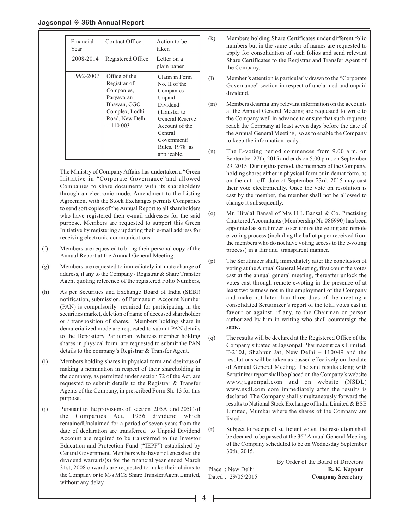| Financial<br>Year | Contact Office                                                                                                             | Action to be<br>taken                                                                                                                                                             |
|-------------------|----------------------------------------------------------------------------------------------------------------------------|-----------------------------------------------------------------------------------------------------------------------------------------------------------------------------------|
| 2008-2014         | Registered Office                                                                                                          | Letter on a<br>plain paper                                                                                                                                                        |
| 1992-2007         | Office of the<br>Registrar of<br>Companies,<br>Paryavaran<br>Bhawan, CGO<br>Complex, Lodhi<br>Road, New Delhi<br>$-110003$ | Claim in Form<br>No. II of the<br>Companies<br>Unpaid<br>Dividend<br>(Transfer to<br>General Reserve<br>Account of the<br>Central<br>Government)<br>Rules, 1978 as<br>applicable. |

The Ministry of Company Affairs has undertaken a "Green Initiative in "Corporate Governance"and allowed Companies to share documents with its shareholders through an electronic mode. Amendment to the Listing Agreement with the Stock Exchanges permits Companies to send soft copies of the Annual Report to all shareholders who have registered their e-mail addresses for the said purpose. Members are requested to support this Green Initiative by registering / updating their e-mail address for receiving electronic communications.

- (f) Members are requested to bring their personal copy of the Annual Report at the Annual General Meeting.
- (g) Members are requested to immediately intimate change of address, if any to the Company / Registrar & Share Transfer Agent quoting reference of the registered Folio Numbers,
- (h) As per Securities and Exchange Board of India (SEBI) notification, submission, of Permanent Account Number (PAN) is compulsorily required for participating in the securities market, deletion of name of deceased shareholder or / transposition of shares. Members holding share in dematerialized mode are requested to submit PAN details to the Depository Participant whereas member holding shares in physical form are requested to submit the PAN details to the company's Registrar & Transfer Agent.
- (i) Members holding shares in physical form and desirous of making a nomination in respect of their shareholding in the company, as permitted under section 72 of the Act, are requested to submit details to the Registrar & Transfer Agents of the Company, in prescribed Form Sh. 13 for this purpose.
- (j) Pursuant to the provisions of section 205A and 205C of the Companies Act, 1956 dividend which remainedUnclaimed for a period of seven years from the date of declaration are transferred to Unpaid Dividend Account are required to be transferred to the Investor Education and Protection Fund ("IEPF") established by Central Government. Members who have not encashed the dividend warrants(s) for the financial year ended March 31st, 2008 onwards are requested to make their claims to the Company or to M/s MCS Share Transfer Agent Limited, without any delay.
- (k) Members holding Share Certificates under different folio numbers but in the same order of names are requested to apply for consolidation of such folios and send relevant Share Certificates to the Registrar and Transfer Agent of the Company.
- (l) Member's attention is particularly drawn to the "Corporate Governance" section in respect of unclaimed and unpaid dividend.
- (m) Members desiring any relevant information on the accounts at the Annual General Meeting are requested to write to the Company well in advance to ensure that such requests reach the Company at least seven days before the date of the Annual General Meeting, so as to enable the Company to keep the information ready.
- (n) The E-voting period commences from 9.00 a.m. on September 27th, 2015 and ends on 5.00 p.m. on September 29, 2015. During this period, the members of the Company, holding shares either in physical form or in demat form, as on the cut - off date of September 23rd, 2015 may cast their vote electronically. Once the vote on resolution is cast by the member, the member shall not be allowed to change it subsequently.
- (o) Mr. Hiralal Bansal of M/s H L Bansal & Co. Practising Chartered Accountants (Membership No 086990) has been appointed as scrutinizer to scrutinize the voting and remote e-voting process (including the ballot paper received from the members who do not have voting access to the e-voting process) in a fair and transparent manner.
- (p) The Scrutinizer shall, immediately after the conclusion of voting at the Annual General Meeting, first count the votes cast at the annual general meeting, thereafter unlock the votes cast through remote e-voting in the presence of at least two witness not in the employment of the Company and make not later than three days of the meeting a consolidated Scrutinizer's report of the total votes cast in favour or against, if any, to the Chairman or person authorized by him in writing who shall countersign the same.
- (q) The results will be declared at the Registered Office of the Company situated at Jagsonpal Pharmaceuticals Limited, T-210J, Shahpur Jat, New Delhi – 110049 and the resolutions will be taken as passed effectively on the date of Annual General Meeting. The said results along with Scrutinizer report shall be placed on the Company's website www.jagsonpal.com and on website (NSDL) www.nsdl.com com immediately after the results is declared. The Company shall simultaneously forward the results to National Stock Exchange of India Limited & BSE Limited, Mumbai where the shares of the Company are listed.
- (r) Subject to receipt of sufficient votes, the resolution shall be deemed to be passed at the 36<sup>th</sup> Annual General Meeting of the Company scheduled to be on Wednesday September 30th, 2015.

By Order of the Board of Directors Place : New Delhi **R. K. Kapoor** Dated : 29/05/2015 **Company Secretary**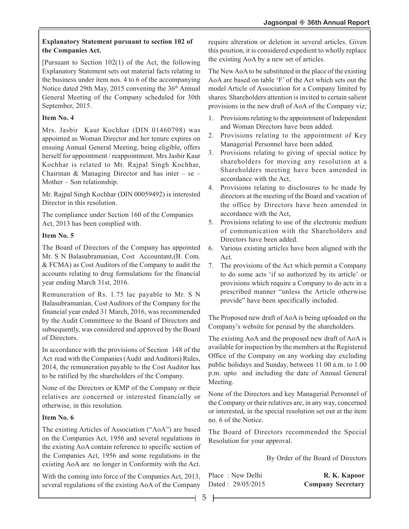# **Explanatory Statement pursuant to section 102 of the Companies Act.**

[Pursuant to Section 102(1) of the Act, the following Explanatory Statement sets out material facts relating to the business under item nos. 4 to 6 of the accompanying Notice dated 29th May, 2015 convening the 36<sup>th</sup> Annual General Meeting of the Company scheduled for 30th September, 2015.

# **Item No. 4**

Mrs. Jasbir Kaur Kochhar (DIN 01460798) was appointed as Woman Director and her tenure expires on ensuing Annual General Meeting, being eligible, offers herself for appointment / reappointment. Mrs Jasbir Kaur Kochhar is related to Mr. Rajpal Singh Kochhar, Chairman & Managing Director and has inter  $-$  se  $-$ Mother – Son relationship.

Mr. Rajpal Singh Kochhar (DIN 00059492) is interested Director in this resolution.

The compliance under Section 160 of the Companies Act, 2013 has been complied with.

# **Item No. 5**

The Board of Directors of the Company has appointed Mr. S N Balasubramanian, Cost Accountant,(B. Com. & FCMA) as Cost Auditors of the Company to audit the accounts relating to drug formulations for the financial year ending March 31st, 2016.

Remuneration of Rs. 1.75 lac payable to Mr. S N Balasubramanian, Cost Auditors of the Company for the financial year ended 31 March, 2016, was recommended by the Audit Committeee to the Board of Directors and subsequently, was considered and approved by the Board of Directors.

In accordance with the provisions of Section 148 of the Act read with the Companies (Audit and Auditors) Rules, 2014, the remuneration payable to the Cost Auditor has to be ratified by the shareholders of the Company.

None of the Directors or KMP of the Company or their relatives are concerned or interested financially or otherwise, in this resolution.

# **Item No. 6**

The existing Articles of Association ("AoA") are based on the Companies Act, 1956 and several regulations in the existing AoA contain reference to specific section of the Companies Act, 1956 and some regulations in the existing AoA are no longer in Conformity with the Act.

With the coming into force of the Companies Act, 2013, several regulations of the existing AoA of the Company

require alteration or deletion in several articles. Given this position, it is considered expedient to wholly replace the existing AoA by a new set of articles.

The New AoA to be substituted in the place of the existing AoA are based on table 'F' of the Act which sets out the model Article of Association for a Company limited by shares. Shareholders attention is invited to certain salient provisions in the new draft of AoA of the Company viz;

- 1. Provisions relating to the appointment of Independent and Woman Directors have been added.
- 2. Provisions relating to the appointment of Key Managerial Personnel have been added.
- 3. Provisions relating to giving of special notice by shareholders for moving any resolution at a Shareholders meeting have been amended in accordance with the Act,
- 4. Provisions relating to disclosures to be made by directors at the meeting of the Board and vacation of the office by Directors have been amended in accordance with the Act,
- 5. Provisions relating to use of the electronic medium of communication with the Shareholders and Directors have been added.
- 6. Various existing articles have been aligned with the Act.
- 7. The provisions of the Act which permit a Company to do some acts 'if so authorized by its article' or provisions which require a Company to do acts in a prescribed manner "unless the Article otherwise provide" have been specifically included.

The Proposed new draft of AoA is being uploaded on the Company's website for perusal by the shareholders.

The existing AoA and the proposed new draft of AoA is available for inspection by the members at the Registered Office of the Company on any working day excluding public holidays and Sunday, between 11.00 a.m. to 1.00 p.m. upto and including the date of Annual General Meeting.

None of the Directors and key Managerial Personnel of the Company or their relatives are, in any way, concerned or interested, in the special resolution set out at the item no. 6 of the Notice.

The Board of Directors recommended the Special Resolution for your approval.

By Order of the Board of Directors

| Place: New Delhi  | R. K. Kapoor             |
|-------------------|--------------------------|
| Dated: 29/05/2015 | <b>Company Secretary</b> |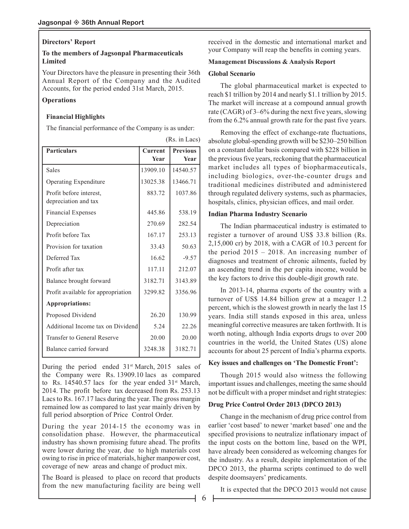#### **Directors' Report**

#### **To the members of Jagsonpal Pharmaceuticals Limited**

Your Directors have the pleasure in presenting their 36th Annual Report of the Company and the Audited Accounts, for the period ended 31st March, 2015.

#### **Operations**

#### **Financial Highlights**

The financial performance of the Company is as under:

| $110.111$ L $1001$                              |                |                 |  |  |
|-------------------------------------------------|----------------|-----------------|--|--|
| <b>Particulars</b>                              | <b>Current</b> | <b>Previous</b> |  |  |
|                                                 | <b>Year</b>    | Year            |  |  |
| <b>Sales</b>                                    | 13909.10       | 14540.57        |  |  |
| <b>Operating Expenditure</b>                    | 13025.38       | 13466.71        |  |  |
| Profit before interest.<br>depreciation and tax | 883.72         | 1037.86         |  |  |
|                                                 |                |                 |  |  |
| <b>Financial Expenses</b>                       | 445.86         | 538.19          |  |  |
| Depreciation                                    | 270.69         | 282.54          |  |  |
| Profit before Tax                               | 167.17         | 253.13          |  |  |
| Provision for taxation                          | 33.43          | 50.63           |  |  |
| Deferred Tax                                    | 16.62          | $-9.57$         |  |  |
| Profit after tax                                | 117.11         | 212.07          |  |  |
| Balance brought forward                         | 3182.71        | 3143.89         |  |  |
| Profit available for appropriation              | 3299.82        | 3356.96         |  |  |
| <b>Appropriations:</b>                          |                |                 |  |  |
| Proposed Dividend                               | 26.20          | 130.99          |  |  |
| Additional Income tax on Dividend               | 5.24           | 22.26           |  |  |
| Transfer to General Reserve                     | 20.00          | 20.00           |  |  |
| Balance carried forward                         | 3248.38        | 3182.71         |  |  |

During the period ended 31<sup>st</sup> March, 2015 sales of the Company were Rs. 13909.10 lacs as compared to Rs. 14540.57 lacs for the year ended  $31<sup>st</sup>$  March, 2014. The profit before tax decreased from Rs. 253.13 Lacs to Rs. 167.17 lacs during the year. The gross margin remained low as compared to last year mainly driven by full period absorption of Price Control Order.

During the year 2014-15 the economy was in consolidation phase. However, the pharmaceutical industry has shown promising future ahead. The profits were lower during the year, due to high materials cost owing to rise in price of materials, higher manpower cost, coverage of new areas and change of product mix.

The Board is pleased to place on record that products from the new manufacturing facility are being well received in the domestic and international market and your Company will reap the benefits in coming years.

#### **Management Discussions & Analysis Report**

#### **Global Scenario**

 $(Re \text{ in } L$ 

The global pharmaceutical market is expected to reach \$1 trillion by 2014 and nearly \$1.1 trillion by 2015. The market will increase at a compound annual growth rate (CAGR) of 3–6% during the next five years, slowing from the 6.2% annual growth rate for the past five years.

Removing the effect of exchange-rate fluctuations, absolute global-spending growth will be \$230–250 billion on a constant dollar basis compared with \$228 billion in the previous five years, reckoning that the pharmaceutical market includes all types of biopharmaceuticals, including biologics, over-the-counter drugs and traditional medicines distributed and administered through regulated delivery systems, such as pharmacies, hospitals, clinics, physician offices, and mail order.

#### **Indian Pharma Industry Scenario**

The Indian pharmaceutical industry is estimated to register a turnover of around US\$ 33.8 billion (Rs. 2,15,000 cr) by 2018, with a CAGR of 10.3 percent for the period 2015 – 2018. An increasing number of diagnoses and treatment of chronic ailments, fueled by an ascending trend in the per capita income, would be the key factors to drive this double-digit growth rate.

In 2013-14, pharma exports of the country with a turnover of US\$ 14.84 billion grew at a meager 1.2 percent, which is the slowest growth in nearly the last 15 years. India still stands exposed in this area, unless meaningful corrective measures are taken forthwith. It is worth noting, although India exports drugs to over 200 countries in the world, the United States (US) alone accounts for about 25 percent of India's pharma exports.

#### **Key issues and challenges on 'The Domestic Front':**

Though 2015 would also witness the following important issues and challenges, meeting the same should not be difficult with a proper mindset and right strategies:

#### **Drug Price Control Order 2013 (DPCO 2013)**

Change in the mechanism of drug price control from earlier 'cost based' to newer 'market based' one and the specified provisions to neutralize inflationary impact of the input costs on the bottom line, based on the WPI, have already been considered as welcoming changes for the industry. As a result, despite implementation of the DPCO 2013, the pharma scripts continued to do well despite doomsayers' predicaments.

It is expected that the DPCO 2013 would not cause

 $\vdash$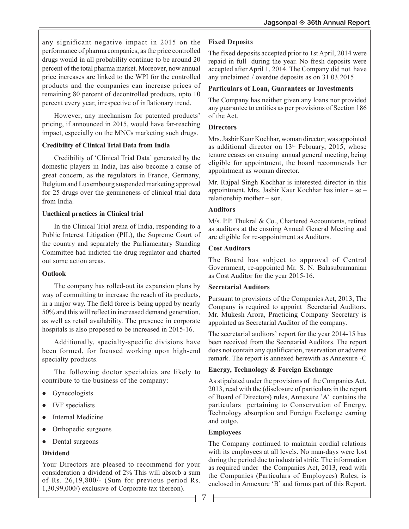any significant negative impact in 2015 on the performance of pharma companies, as the price controlled drugs would in all probability continue to be around 20 percent of the total pharma market. Moreover, now annual price increases are linked to the WPI for the controlled products and the companies can increase prices of remaining 80 percent of decontrolled products, upto 10 percent every year, irrespective of inflationary trend.

However, any mechanism for patented products' pricing, if announced in 2015, would have far-reaching impact, especially on the MNCs marketing such drugs.

#### **Credibility of Clinical Trial Data from India**

Credibility of 'Clinical Trial Data' generated by the domestic players in India, has also become a cause of great concern, as the regulators in France, Germany, Belgium and Luxembourg suspended marketing approval for 25 drugs over the genuineness of clinical trial data from India.

#### **Unethical practices in Clinical trial**

In the Clinical Trial arena of India, responding to a Public Interest Litigation (PIL), the Supreme Court of the country and separately the Parliamentary Standing Committee had indicted the drug regulator and charted out some action areas.

#### **Outlook**

The company has rolled-out its expansion plans by way of committing to increase the reach of its products, in a major way. The field force is being upped by nearly 50% and this will reflect in increased demand generation, as well as retail availability. The presence in corporate hospitals is also proposed to be increased in 2015-16.

Additionally, specialty-specific divisions have been formed, for focused working upon high-end specialty products.

The following doctor specialties are likely to contribute to the business of the company:

- $\bullet$  Gynecologists
- $\bullet$  IVF specialists
- Internal Medicine
- Orthopedic surgeons
- Dental surgeons

# **Dividend**

Your Directors are pleased to recommend for your consideration a dividend of 2% This will absorb a sum of Rs. 26,19,800/- (Sum for previous period Rs. 1,30,99,000/) exclusive of Corporate tax thereon).

### **Fixed Deposits**

The fixed deposits accepted prior to 1st April, 2014 were repaid in full during the year. No fresh deposits were accepted after April 1, 2014. The Company did not have any unclaimed / overdue deposits as on 31.03.2015

## **Particulars of Loan, Guarantees or Investments**

The Company has neither given any loans nor provided any guarantee to entities as per provisions of Section 186 of the Act.

#### **Directors**

Mrs. Jasbir Kaur Kochhar, woman director, was appointed as additional director on 13<sup>th</sup> February, 2015, whose tenure ceases on ensuing annual general meeting, being eligible for appointment, the board recommends her appointment as woman director.

Mr. Rajpal Singh Kochhar is interested director in this appointment. Mrs. Jasbir Kaur Kochhar has inter – se – relationship mother – son.

### **Auditors**

M/s. P.P. Thukral & Co., Chartered Accountants, retired as auditors at the ensuing Annual General Meeting and are eligible for re-appointment as Auditors.

#### **Cost Auditors**

The Board has subject to approval of Central Government, re-appointed Mr. S. N. Balasubramanian as Cost Auditor for the year 2015-16.

#### **Secretarial Auditors**

Pursuant to provisions of the Companies Act, 2013, The Company is required to appoint Secretarial Auditors. Mr. Mukesh Arora, Practicing Company Secretary is appointed as Secretarial Auditor of the company.

The secretarial auditors' report for the year 2014-15 has been received from the Secretarial Auditors. The report does not contain any qualification, reservation or adverse remark. The report is annexed herewith as Annexure -C

#### **Energy, Technology & Foreign Exchange**

As stipulated under the provisions of the Companies Act, 2013, read with the (disclosure of particulars in the report of Board of Directors) rules, Annexure 'A' contains the particulars pertaining to Conservation of Energy, Technology absorption and Foreign Exchange earning and outgo.

#### **Employees**

The Company continued to maintain cordial relations with its employees at all levels. No man-days were lost during the period due to industrial strife. The information as required under the Companies Act, 2013, read with the Companies (Particulars of Employees) Rules, is enclosed in Annexure 'B' and forms part of this Report.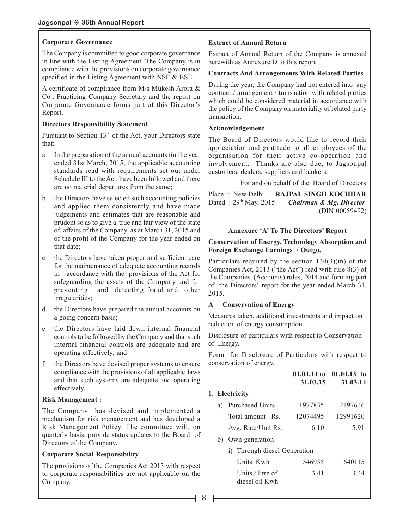### **Corporate Governance**

The Company is committed to good corporate governance in line with the Listing Agreement. The Company is in compliance with the provisions on corporate governance specified in the Listing Agreement with NSE & BSE.

A certificate of compliance from M/s Mukesh Arora & Co., Practicing Company Secretary and the report on Corporate Governance forms part of this Director's Report.

#### **Directors Responsibility Statement**

Pursuant to Section 134 of the Act, your Directors state that:

- a In the preparation of the annual accounts for the year ended 31st March, 2015, the applicable accounting standards read with requirements set out under Schedule III to the Act, have been followed and there are no material departures from the same;
- b the Directors have selected such accounting policies and applied them consistently and have made judgements and estimates that are reasonable and prudent so as to give a true and fair view of the state of affairs of the Company as at March 31, 2015 and of the profit of the Company for the year ended on that date;
- c the Directors have taken proper and sufficient care for the maintenance of adequate accounting records in accordance with the provisions of the Act for safeguarding the assets of the Company and for preventing and detecting fraud and other irregularities;
- d the Directors have prepared the annual accounts on a going concern basis;
- e the Directors have laid down internal financial controls to be followed by the Company and that such internal financial controls are adequate and are operating effectively; and
- f the Directors have devised proper systems to ensure compliance with the provisions of all applicable laws and that such systems are adequate and operating effectively.

#### **Risk Management :**

The Company has devised and implemented a mechanism for risk management and has developed a Risk Management Policy. The committee will, on quarterly basis, provide status updates to the Board of Directors of the Company.

#### **Corporate Social Responsibility**

The provisions of the Companies Act 2013 with respect to corporate responsibilities are not applicable on the Company.

# **Extract of Annual Return**

Extract of Annual Return of the Company is annexed herewith as Annexure D to this report

#### **Contracts And Arrangements With Related Parties**

During the year, the Company had not entered into any contract / arrangement / transaction with related parties which could be considered material in accordance with the policy of the Company on materiality of related party transaction.

#### **Acknowledgement**

The Board of Directors would like to record their appreciation and gratitude to all employees of the organisation for their active co-operation and involvement. Thanks are also due, to Jagsonpal customers, dealers, suppliers and bankers.

For and on behalf of the Board of Directors

Place : New Delhi. **RAJPAL SINGH KOCHHAR** Dated : 29th May, 2015 *Chairman & Mg. Director* (DIN 00059492)

#### **Annexure 'A' To The Directors' Report**

#### **Conservation of Energy, Technology Absorption and Foreign Exchange Earnings / Outgo.**

Particulars required by the section 134(3)(m) of the Companies Act, 2013 ("the Act") read with rule 8(3) of the Companies (Accounts) rules, 2014 and forming part of the Directors' report for the year ended March 31, 2015.

#### **A Conservation of Energy**

Measures taken, additional investments and impact on reduction of energy consumption

Disclosure of particulars with respect to Conservation of Energy.

Form for Disclosure of Particulars with respect to conservation of energy.

|    |                                    | 31.03.15 | $01.04.14$ to $01.04.13$ to<br>31.03.14 |
|----|------------------------------------|----------|-----------------------------------------|
|    | 1. Electricity                     |          |                                         |
| a) | Purchased Units                    | 1977835  | 2197646                                 |
|    | Total amount Rs.                   | 12074495 | 12991620                                |
|    | Avg. Rate/Unit Rs.                 | 6.10     | 5.91                                    |
|    | b) Own generation                  |          |                                         |
|    | i) Through diesel Generation       |          |                                         |
|    | Units Kwh                          | 546935   | 640115                                  |
|    | Units / litre of<br>diesel oil Kwh | 3.41     | 3.44                                    |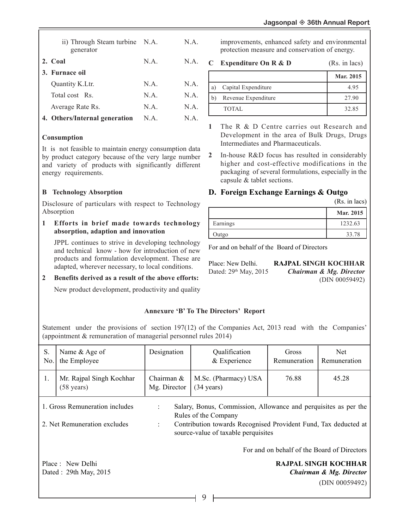| ii) Through Steam turbine N.A.<br>generator |      | N.A. |
|---------------------------------------------|------|------|
| 2. Coal                                     | N.A. | N.A. |
| 3. Furnace oil                              |      |      |
| Quantity K.Ltr.                             | N.A. | N.A. |
| Total cost Rs.                              | N.A. | N.A. |
| Average Rate Rs.                            | N.A. | N.A. |
| 4. Others/Internal generation               | N.A. | N A  |

### **Consumption**

It is not feasible to maintain energy consumption data by product category because of the very large number and variety of products with significantly different energy requirements.

#### **B Technology Absorption**

Disclosure of particulars with respect to Technology Absorption

#### **1 Efforts in brief made towards technology absorption, adaption and innovation**

JPPL continues to strive in developing technology and technical know - how for introduction of new products and formulation development. These are adapted, wherever necessary, to local conditions.

#### **2 Benefits derived as a result of the above efforts:**

New product development, productivity and quality

improvements, enhanced safety and environmental protection measure and conservation of energy.

| C Expenditure On $R & D$ | $(Rs. in lacs)$ |
|--------------------------|-----------------|
|                          | Mar. 2015       |

|   |                     | $1$ viai. $201J$ |
|---|---------------------|------------------|
| a | Capital Expenditure | 4.95             |
|   | Revenue Expenditure | 27.90            |
|   | <b>TOTAL</b>        | 32.85            |

- **1** The R & D Centre carries out Research and Development in the area of Bulk Drugs, Drugs Intermediates and Pharmaceuticals.
- **2** In-house R&D focus has resulted in considerably higher and cost-effective modifications in the packaging of several formulations, especially in the capsule & tablet sections.

# **D. Foreign Exchange Earnings & Outgo**

(Rs. in lacs)

|          | Mar. 2015 |
|----------|-----------|
| Earnings | 1232.63   |
| Outgo    | 33.78     |

For and on behalf of the Board of Directors

| Place: New Delhi.                 | <b>RAJPAL SINGH KOCHHAR</b> |
|-----------------------------------|-----------------------------|
| Dated: 29 <sup>th</sup> May, 2015 | Chairman & Mg. Director     |
|                                   | (DIN 00059492)              |

#### **Annexure 'B' To The Directors' Report**

Statement under the provisions of section 197(12) of the Companies Act, 2013 read with the Companies' (appointment & remuneration of managerial personnel rules 2014)

| S.<br>No.                                                                                                       | Name & Age of<br>the Employee                    | Designation                   | Qualification<br>& Experience                                                                                                                                                                     | Gross<br>Remuneration | <b>Net</b><br>Remuneration |
|-----------------------------------------------------------------------------------------------------------------|--------------------------------------------------|-------------------------------|---------------------------------------------------------------------------------------------------------------------------------------------------------------------------------------------------|-----------------------|----------------------------|
| 1.                                                                                                              | Mr. Rajpal Singh Kochhar<br>$(58 \text{ years})$ | Chairman $\&$<br>Mg. Director | M.Sc. (Pharmacy) USA<br>$(34 \text{ years})$                                                                                                                                                      | 76.88                 | 45.28                      |
| 1. Gross Remuneration includes<br>2. Net Remuneration excludes                                                  |                                                  | ÷.<br>÷.                      | Salary, Bonus, Commission, Allowance and perquisites as per the<br>Rules of the Company<br>Contribution towards Recognised Provident Fund, Tax deducted at<br>source-value of taxable perquisites |                       |                            |
|                                                                                                                 | For and on behalf of the Board of Directors      |                               |                                                                                                                                                                                                   |                       |                            |
| <b>RAJPAL SINGH KOCHHAR</b><br>Place : New Delhi<br>Dated: 29th May, 2015<br><b>Chairman &amp; Mg. Director</b> |                                                  |                               |                                                                                                                                                                                                   | (DIN 00059492)        |                            |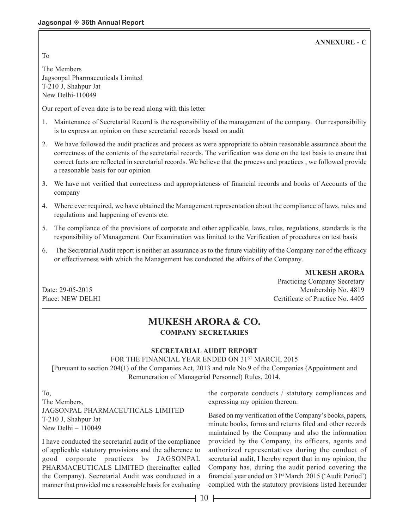**ANNEXURE - C**

To

The Members Jagsonpal Pharmaceuticals Limited T-210 J, Shahpur Jat New Delhi-110049

Our report of even date is to be read along with this letter

- 1. Maintenance of Secretarial Record is the responsibility of the management of the company. Our responsibility is to express an opinion on these secretarial records based on audit
- 2. We have followed the audit practices and process as were appropriate to obtain reasonable assurance about the correctness of the contents of the secretarial records. The verification was done on the test basis to ensure that correct facts are reflected in secretarial records. We believe that the process and practices , we followed provide a reasonable basis for our opinion
- 3. We have not verified that correctness and appropriateness of financial records and books of Accounts of the company
- 4. Where ever required, we have obtained the Management representation about the compliance of laws, rules and regulations and happening of events etc.
- 5. The compliance of the provisions of corporate and other applicable, laws, rules, regulations, standards is the responsibility of Management. Our Examination was limited to the Verification of procedures on test basis
- 6. The Secretarial Audit report is neither an assurance as to the future viability of the Company nor of the efficacy or effectiveness with which the Management has conducted the affairs of the Company.

**MUKESH ARORA**

Practicing Company Secretary Date: 29-05-2015 Membership No. 4819 Place: NEW DELHI Certificate of Practice No. 4405

# **MUKESH ARORA & CO. COMPANY SECRETARIES**

# **SECRETARIAL AUDIT REPORT**

FOR THE FINANCIAL YEAR ENDED ON 31ST MARCH, 2015

[Pursuant to section 204(1) of the Companies Act, 2013 and rule No.9 of the Companies (Appointment and Remuneration of Managerial Personnel) Rules, 2014.

To,

The Members, JAGSONPAL PHARMACEUTICALS LIMITED T-210 J, Shahpur Jat New Delhi – 110049

I have conducted the secretarial audit of the compliance of applicable statutory provisions and the adherence to good corporate practices by JAGSONPAL PHARMACEUTICALS LIMITED (hereinafter called the Company). Secretarial Audit was conducted in a manner that provided me a reasonable basis for evaluating

the corporate conducts / statutory compliances and expressing my opinion thereon.

Based on my verification of the Company's books, papers, minute books, forms and returns filed and other records maintained by the Company and also the information provided by the Company, its officers, agents and authorized representatives during the conduct of secretarial audit, I hereby report that in my opinion, the Company has, during the audit period covering the financial year ended on 31<sup>st</sup> March 2015 ('Audit Period') complied with the statutory provisions listed hereunder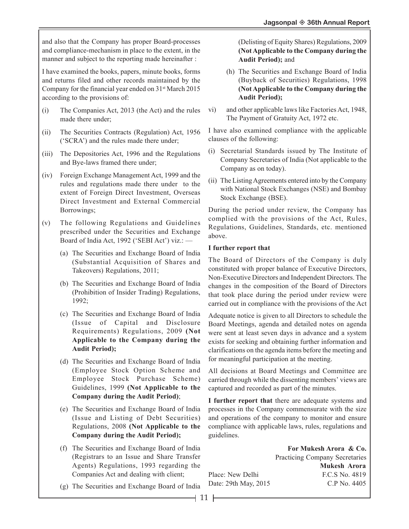and also that the Company has proper Board-processes and compliance-mechanism in place to the extent, in the manner and subject to the reporting made hereinafter :

I have examined the books, papers, minute books, forms and returns filed and other records maintained by the Company for the financial year ended on 31st March 2015 according to the provisions of:

- (i) The Companies Act, 2013 (the Act) and the rules made there under;
- (ii) The Securities Contracts (Regulation) Act, 1956 ('SCRA') and the rules made there under;
- (iii) The Depositories Act, 1996 and the Regulations and Bye-laws framed there under;
- (iv) Foreign Exchange Management Act, 1999 and the rules and regulations made there under to the extent of Foreign Direct Investment, Overseas Direct Investment and External Commercial Borrowings;
- (v) The following Regulations and Guidelines prescribed under the Securities and Exchange Board of India Act, 1992 ('SEBI Act') viz.: —
	- (a) The Securities and Exchange Board of India (Substantial Acquisition of Shares and Takeovers) Regulations, 2011;
	- (b) The Securities and Exchange Board of India (Prohibition of Insider Trading) Regulations, 1992;
	- (c) The Securities and Exchange Board of India (Issue of Capital and Disclosure Requirements) Regulations, 2009 **(Not Applicable to the Company during the Audit Period);**
	- (d) The Securities and Exchange Board of India (Employee Stock Option Scheme and Employee Stock Purchase Scheme) Guidelines, 1999 **(Not Applicable to the Company during the Audit Period)**;
	- (e) The Securities and Exchange Board of India (Issue and Listing of Debt Securities) Regulations, 2008 **(Not Applicable to the Company during the Audit Period);**
	- (f) The Securities and Exchange Board of India (Registrars to an Issue and Share Transfer Agents) Regulations, 1993 regarding the Companies Act and dealing with client;
	- (g) The Securities and Exchange Board of India

(Delisting of Equity Shares) Regulations, 2009 **(Not Applicable to the Company during the Audit Period);** and

- (h) The Securities and Exchange Board of India (Buyback of Securities) Regulations, 1998 **(Not Applicable to the Company during the Audit Period);**
- vi) and other applicable laws like Factories Act, 1948, The Payment of Gratuity Act, 1972 etc.

I have also examined compliance with the applicable clauses of the following:

- (i) Secretarial Standards issued by The Institute of Company Secretaries of India (Not applicable to the Company as on today).
- (ii) The Listing Agreements entered into by the Company with National Stock Exchanges (NSE) and Bombay Stock Exchange (BSE).

During the period under review, the Company has complied with the provisions of the Act, Rules, Regulations, Guidelines, Standards, etc. mentioned above.

#### **I further report that**

The Board of Directors of the Company is duly constituted with proper balance of Executive Directors, Non-Executive Directors and Independent Directors. The changes in the composition of the Board of Directors that took place during the period under review were carried out in compliance with the provisions of the Act

Adequate notice is given to all Directors to schedule the Board Meetings, agenda and detailed notes on agenda were sent at least seven days in advance and a system exists for seeking and obtaining further information and clarifications on the agenda items before the meeting and for meaningful participation at the meeting.

All decisions at Board Meetings and Committee are carried through while the dissenting members' views are captured and recorded as part of the minutes.

**I further report that** there are adequate systems and processes in the Company commensurate with the size and operations of the company to monitor and ensure compliance with applicable laws, rules, regulations and guidelines.

**For Mukesh Arora & Co.** Practicing Company Secretaries  **Mukesh Arora** Place: New Delhi F.C.S No. 4819 Date: 29th May, 2015 C.P No. 4405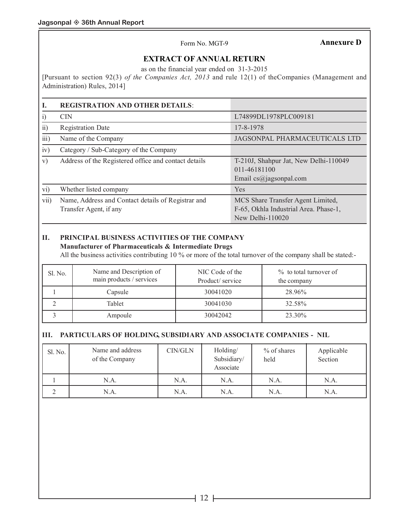## **Annexure D**

#### Form No. MGT-9

# **EXTRACT OF ANNUAL RETURN**

as on the financial year ended on 31-3-2015

[Pursuant to section 92(3) *of the Companies Act, 2013* and rule 12(1) of theCompanies (Management and Administration) Rules, 2014]

|                    | <b>REGISTRATION AND OTHER DETAILS:</b>                                       |                                                                                                |
|--------------------|------------------------------------------------------------------------------|------------------------------------------------------------------------------------------------|
| 1)                 | <b>CIN</b>                                                                   | L74899DL1978PLC009181                                                                          |
| $\overline{11}$    | <b>Registration Date</b>                                                     | 17-8-1978                                                                                      |
| $\overline{111}$ ) | Name of the Company                                                          | JAGSONPAL PHARMACEUTICALS LTD                                                                  |
| iv)                | Category / Sub-Category of the Company                                       |                                                                                                |
| V)                 | Address of the Registered office and contact details                         | T-210J, Shahpur Jat, New Delhi-110049<br>011-46181100<br>Email $cs(\omega)$ agsonpal.com       |
| $\rm{vi})$         | Whether listed company                                                       | Yes                                                                                            |
| vii)               | Name, Address and Contact details of Registrar and<br>Transfer Agent, if any | MCS Share Transfer Agent Limited,<br>F-65, Okhla Industrial Area. Phase-1,<br>New Delhi-110020 |

#### **II. PRINCIPAL BUSINESS ACTIVITIES OF THE COMPANY Manufacturer of Pharmaceuticals & Intermediate Drugs**

All the business activities contributing 10 % or more of the total turnover of the company shall be stated:-

| Sl. No. | Name and Description of<br>main products / services | NIC Code of the<br>Product/service | % to total turnover of<br>the company |
|---------|-----------------------------------------------------|------------------------------------|---------------------------------------|
|         | Capsule                                             | 30041020                           | 28.96%                                |
|         | Tablet                                              | 30041030                           | 32.58%                                |
|         | Ampoule                                             | 30042042                           | 23.30%                                |

# **III. PARTICULARS OF HOLDING, SUBSIDIARY AND ASSOCIATE COMPANIES - NIL**

| Sl. No. | Name and address<br>of the Company | CIN/GLN | Holding/<br>Subsidiary/<br>Associate | % of shares<br>held | Applicable<br>Section |
|---------|------------------------------------|---------|--------------------------------------|---------------------|-----------------------|
|         | N.A.                               | N.A.    | N.A.                                 | N.A.                | N.A                   |
|         | N.A.                               | N.A.    | N.A.                                 | N.A.                | N.A                   |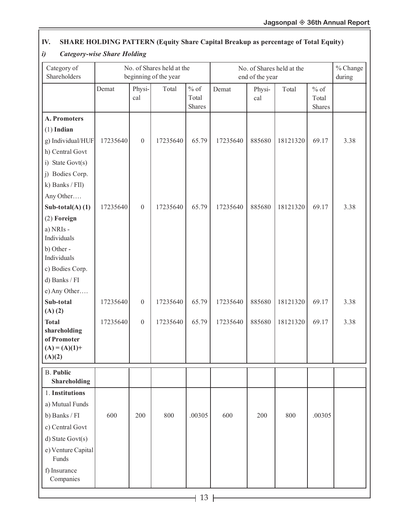# **IV. SHARE HOLDING PATTERN (Equity Share Capital Breakup as percentage of Total Equity)**

# *i) Category-wise Share Holding*

| Category of<br>Shareholders      |          |                  | No. of Shares held at the<br>beginning of the year |                                  |          | end of the year | No. of Shares held at the |                                   | % Change<br>during |
|----------------------------------|----------|------------------|----------------------------------------------------|----------------------------------|----------|-----------------|---------------------------|-----------------------------------|--------------------|
|                                  | Demat    | Physi-<br>cal    | Total                                              | $%$ of<br>Total<br><b>Shares</b> | Demat    | Physi-<br>cal   | Total                     | $\%$ of<br>Total<br><b>Shares</b> |                    |
| A. Promoters                     |          |                  |                                                    |                                  |          |                 |                           |                                   |                    |
| $(1)$ Indian                     |          |                  |                                                    |                                  |          |                 |                           |                                   |                    |
| g) Individual/HUF                | 17235640 | $\boldsymbol{0}$ | 17235640                                           | 65.79                            | 17235640 | 885680          | 18121320                  | 69.17                             | 3.38               |
| h) Central Govt                  |          |                  |                                                    |                                  |          |                 |                           |                                   |                    |
| i) State Govt $(s)$              |          |                  |                                                    |                                  |          |                 |                           |                                   |                    |
| j) Bodies Corp.                  |          |                  |                                                    |                                  |          |                 |                           |                                   |                    |
| k) Banks / FII)                  |          |                  |                                                    |                                  |          |                 |                           |                                   |                    |
| Any Other                        |          |                  |                                                    |                                  |          |                 |                           |                                   |                    |
| Sub-total(A) $(1)$               | 17235640 | $\boldsymbol{0}$ | 17235640                                           | 65.79                            | 17235640 | 885680          | 18121320                  | 69.17                             | 3.38               |
| (2) Foreign                      |          |                  |                                                    |                                  |          |                 |                           |                                   |                    |
| a) NRIs -<br>Individuals         |          |                  |                                                    |                                  |          |                 |                           |                                   |                    |
| b) Other -<br>Individuals        |          |                  |                                                    |                                  |          |                 |                           |                                   |                    |
| c) Bodies Corp.                  |          |                  |                                                    |                                  |          |                 |                           |                                   |                    |
| d) Banks / FI                    |          |                  |                                                    |                                  |          |                 |                           |                                   |                    |
| e) Any Other                     |          |                  |                                                    |                                  |          |                 |                           |                                   |                    |
| Sub-total                        | 17235640 | $\boldsymbol{0}$ | 17235640                                           | 65.79                            | 17235640 | 885680          | 18121320                  | 69.17                             | 3.38               |
| $(A)$ $(2)$                      |          |                  |                                                    |                                  |          |                 |                           |                                   |                    |
| <b>Total</b>                     | 17235640 | $\boldsymbol{0}$ | 17235640                                           | 65.79                            | 17235640 | 885680          | 18121320                  | 69.17                             | 3.38               |
| shareholding<br>of Promoter      |          |                  |                                                    |                                  |          |                 |                           |                                   |                    |
| $(A) = (A)(1) +$                 |          |                  |                                                    |                                  |          |                 |                           |                                   |                    |
| (A)(2)                           |          |                  |                                                    |                                  |          |                 |                           |                                   |                    |
| <b>B.</b> Public<br>Shareholding |          |                  |                                                    |                                  |          |                 |                           |                                   |                    |
| 1. Institutions                  |          |                  |                                                    |                                  |          |                 |                           |                                   |                    |
| a) Mutual Funds                  |          |                  |                                                    |                                  |          |                 |                           |                                   |                    |
| b) Banks / FI                    | 600      | 200              | 800                                                | .00305                           | 600      | 200             | 800                       | .00305                            |                    |
| c) Central Govt                  |          |                  |                                                    |                                  |          |                 |                           |                                   |                    |
| $d)$ State Govt $(s)$            |          |                  |                                                    |                                  |          |                 |                           |                                   |                    |
| e) Venture Capital<br>Funds      |          |                  |                                                    |                                  |          |                 |                           |                                   |                    |
| f) Insurance<br>Companies        |          |                  |                                                    |                                  |          |                 |                           |                                   |                    |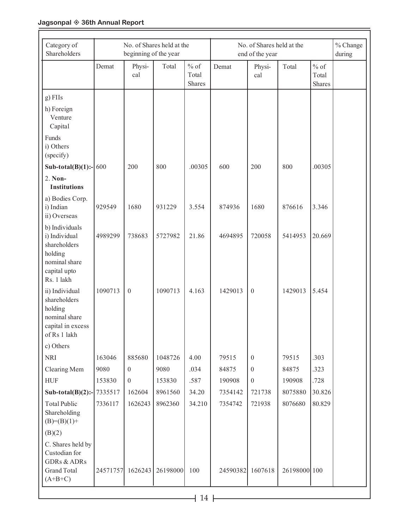| Category of<br>Shareholders                                                                               |          | beginning of the year | No. of Shares held at the |                                  |                    | No. of Shares held at the<br>end of the year |                    |                                  | % Change<br>during |
|-----------------------------------------------------------------------------------------------------------|----------|-----------------------|---------------------------|----------------------------------|--------------------|----------------------------------------------|--------------------|----------------------------------|--------------------|
|                                                                                                           | Demat    | Physi-<br>cal         | Total                     | $%$ of<br>Total<br><b>Shares</b> | Demat              | Physi-<br>cal                                | Total              | $%$ of<br>Total<br><b>Shares</b> |                    |
| $g$ ) FIIs                                                                                                |          |                       |                           |                                  |                    |                                              |                    |                                  |                    |
| h) Foreign<br>Venture<br>Capital                                                                          |          |                       |                           |                                  |                    |                                              |                    |                                  |                    |
| Funds<br>i) Others<br>(specify)                                                                           |          |                       |                           |                                  |                    |                                              |                    |                                  |                    |
| Sub-total(B)(1):- $ 600$                                                                                  |          | 200                   | 800                       | .00305                           | 600                | 200                                          | 800                | .00305                           |                    |
| 2. Non-<br><b>Institutions</b>                                                                            |          |                       |                           |                                  |                    |                                              |                    |                                  |                    |
| a) Bodies Corp.<br>i) Indian<br>ii) Overseas                                                              | 929549   | 1680                  | 931229                    | 3.554                            | 874936             | 1680                                         | 876616             | 3.346                            |                    |
| b) Individuals<br>i) Individual<br>shareholders<br>holding<br>nominal share<br>capital upto<br>Rs. 1 lakh | 4989299  | 738683                | 5727982                   | 21.86                            | 4694895            | 720058                                       | 5414953            | 20.669                           |                    |
| ii) Individual<br>shareholders<br>holding<br>nominal share<br>capital in excess<br>of Rs 1 lakh           | 1090713  | $\mathbf{0}$          | 1090713                   | 4.163                            | 1429013            | $\boldsymbol{0}$                             | 1429013            | 5.454                            |                    |
| c) Others                                                                                                 |          |                       |                           |                                  |                    |                                              |                    |                                  |                    |
| <b>NRI</b>                                                                                                | 163046   | 885680                | 1048726                   | 4.00                             | 79515              | $\boldsymbol{0}$                             | 79515              | .303                             |                    |
| Clearing Mem                                                                                              | 9080     | $\boldsymbol{0}$      | 9080                      | .034                             | 84875              | $\boldsymbol{0}$                             | 84875              | .323                             |                    |
| <b>HUF</b>                                                                                                | 153830   | $\overline{0}$        | 153830                    | .587                             | 190908             | $\overline{0}$                               | 190908             | .728                             |                    |
| Sub-total(B)(2):- 7335517<br><b>Total Public</b><br>Shareholding<br>$(B)= (B)(1) +$                       | 7336117  | 162604<br>1626243     | 8961560<br>8962360        | 34.20<br>34.210                  | 7354142<br>7354742 | 721738<br>721938                             | 8075880<br>8076680 | 30.826<br>80.829                 |                    |
| (B)(2)                                                                                                    |          |                       |                           |                                  |                    |                                              |                    |                                  |                    |
| C. Shares held by<br>Custodian for<br><b>GDRs &amp; ADRs</b>                                              |          |                       |                           |                                  |                    |                                              |                    |                                  |                    |
| <b>Grand Total</b><br>$(A+B+C)$                                                                           | 24571757 | 1626243               | 26198000                  | 100                              | 24590382           | 1607618                                      | 26198000 100       |                                  |                    |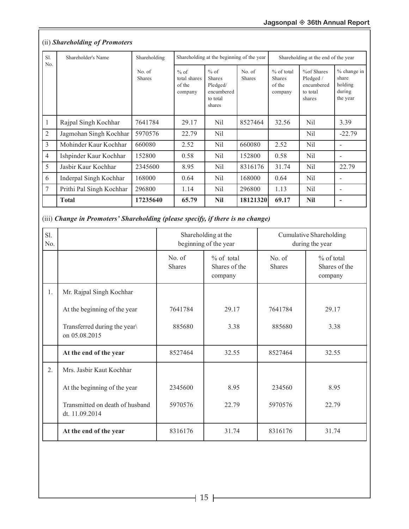|                 | (ii) Shareholding of Promoters |                  |                                             |                                                                         |                         |                                                    |                                                             |                                                       |  |
|-----------------|--------------------------------|------------------|---------------------------------------------|-------------------------------------------------------------------------|-------------------------|----------------------------------------------------|-------------------------------------------------------------|-------------------------------------------------------|--|
| SI.<br>No.      | Shareholder's Name             | Shareholding     |                                             | Shareholding at the beginning of the year                               |                         | Shareholding at the end of the year                |                                                             |                                                       |  |
|                 |                                | No. of<br>Shares | $%$ of<br>total shares<br>of the<br>company | $%$ of<br><b>Shares</b><br>Pledged/<br>encumbered<br>to total<br>shares | No. of<br><b>Shares</b> | $%$ of total<br><b>Shares</b><br>of the<br>company | %of Shares<br>Pledged /<br>encumbered<br>to total<br>shares | % change in<br>share<br>holding<br>during<br>the year |  |
| 1               | Rajpal Singh Kochhar           | 7641784          | 29.17                                       | Nil                                                                     | 8527464                 | 32.56                                              | Nil                                                         | 3.39                                                  |  |
| $\mathfrak{2}$  | Jagmohan Singh Kochhar         | 5970576          | 22.79                                       | Nil                                                                     |                         |                                                    | Nil                                                         | $-22.79$                                              |  |
| 3               | Mohinder Kaur Kochhar          | 660080           | 2.52                                        | Nil                                                                     | 660080                  | 2.52                                               | Nil                                                         |                                                       |  |
| $\overline{4}$  | Ishpinder Kaur Kochhar         | 152800           | 0.58                                        | Nil                                                                     | 152800                  | 0.58                                               | Nil                                                         | $\overline{\phantom{a}}$                              |  |
| 5               | Jasbir Kaur Kochhar            | 2345600          | 8.95                                        | Nil                                                                     | 8316176                 | 31.74                                              | Nil                                                         | 22.79                                                 |  |
| 6               | Inderpal Singh Kochhar         | 168000           | 0.64                                        | Nil                                                                     | 168000                  | 0.64                                               | Nil                                                         | $\overline{\phantom{a}}$                              |  |
| $7\phantom{.0}$ | Prithi Pal Singh Kochhar       | 296800           | 1.14                                        | Nil                                                                     | 296800                  | 1.13                                               | Nil                                                         | $\overline{\phantom{0}}$                              |  |
|                 | <b>Total</b>                   | 17235640         | 65.79                                       | Nil                                                                     | 18121320                | 69.17                                              | <b>Nil</b>                                                  |                                                       |  |

# (iii) *Change in Promoters' Shareholding (please specify, if there is no change)*

| Sl.<br>No. |                                                   | Shareholding at the<br>beginning of the year |                                        | <b>Cumulative Shareholding</b><br>during the year |                                          |
|------------|---------------------------------------------------|----------------------------------------------|----------------------------------------|---------------------------------------------------|------------------------------------------|
|            |                                                   | No. of<br><b>Shares</b>                      | % of total<br>Shares of the<br>company | No. of<br><b>Shares</b>                           | $%$ of total<br>Shares of the<br>company |
| 1.         | Mr. Rajpal Singh Kochhar                          |                                              |                                        |                                                   |                                          |
|            | At the beginning of the year                      | 7641784                                      | 29.17                                  | 7641784                                           | 29.17                                    |
|            | Transferred during the year<br>on 05.08.2015      | 885680                                       | 3.38                                   | 885680                                            | 3.38                                     |
|            | At the end of the year                            | 8527464                                      | 32.55                                  | 8527464                                           | 32.55                                    |
| 2.         | Mrs. Jasbir Kaut Kochhar                          |                                              |                                        |                                                   |                                          |
|            | At the beginning of the year                      | 2345600                                      | 8.95                                   | 234560                                            | 8.95                                     |
|            | Transmitted on death of husband<br>dt. 11.09.2014 | 5970576                                      | 22.79                                  | 5970576                                           | 22.79                                    |
|            | At the end of the year                            | 8316176                                      | 31.74                                  | 8316176                                           | 31.74                                    |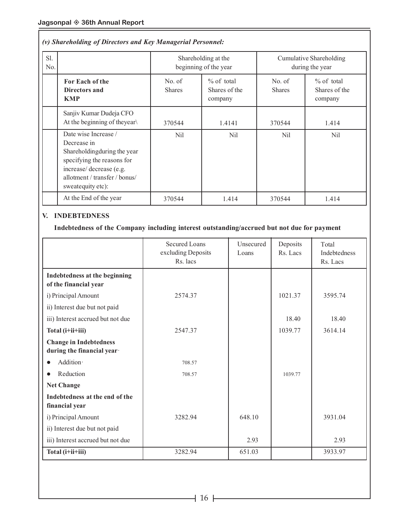| Sl.<br>No. |                                                                                                                                                                                    |                         | Shareholding at the<br>beginning of the year | <b>Cumulative Shareholding</b><br>during the year |                                          |
|------------|------------------------------------------------------------------------------------------------------------------------------------------------------------------------------------|-------------------------|----------------------------------------------|---------------------------------------------------|------------------------------------------|
|            | For Each of the<br>Directors and<br><b>KMP</b>                                                                                                                                     | No. of<br><b>Shares</b> | $%$ of total<br>Shares of the<br>company     | No. of<br><b>Shares</b>                           | $%$ of total<br>Shares of the<br>company |
|            | Sanjiv Kumar Dudeja CFO<br>At the beginning of the year                                                                                                                            | 370544                  | 1.4141                                       | 370544                                            | 1.414                                    |
|            | Date wise Increase /<br>Decrease in<br>Shareholding during the year<br>specifying the reasons for<br>increase/decrease (e.g.<br>allotment / transfer / bonus/<br>sweatequity etc): | Nil                     | Nil                                          | Nil                                               | Nil                                      |
|            | At the End of the year                                                                                                                                                             | 370544                  | 1.414                                        | 370544                                            | 1.414                                    |

# *(v) Shareholding of Directors and Key Managerial Personnel:*

#### **V. INDEBTEDNESS**

# **Indebtedness of the Company including interest outstanding/accrued but not due for payment**

|                                                             | Secured Loans<br>excluding Deposits<br>Rs. lacs | Unsecured<br>Loans | Deposits<br>Rs. Lacs | Total<br><b>Indebtedness</b><br>Rs. Lacs |
|-------------------------------------------------------------|-------------------------------------------------|--------------------|----------------------|------------------------------------------|
| Indebtedness at the beginning<br>of the financial year      |                                                 |                    |                      |                                          |
| i) Principal Amount                                         | 2574.37                                         |                    | 1021.37              | 3595.74                                  |
| ii) Interest due but not paid                               |                                                 |                    |                      |                                          |
| iii) Interest accrued but not due                           |                                                 |                    | 18.40                | 18.40                                    |
| Total (i+ii+iii)                                            | 2547.37                                         |                    | 1039.77              | 3614.14                                  |
| <b>Change in Indebtedness</b><br>during the financial year- |                                                 |                    |                      |                                          |
| Addition ·                                                  | 708.57                                          |                    |                      |                                          |
| Reduction                                                   | 708.57                                          |                    | 1039.77              |                                          |
| <b>Net Change</b>                                           |                                                 |                    |                      |                                          |
| Indebtedness at the end of the<br>financial year            |                                                 |                    |                      |                                          |
| i) Principal Amount                                         | 3282.94                                         | 648.10             |                      | 3931.04                                  |
| ii) Interest due but not paid                               |                                                 |                    |                      |                                          |
| iii) Interest accrued but not due                           |                                                 | 2.93               |                      | 2.93                                     |
| Total (i+ii+iii)                                            | 3282.94                                         | 651.03             |                      | 3933.97                                  |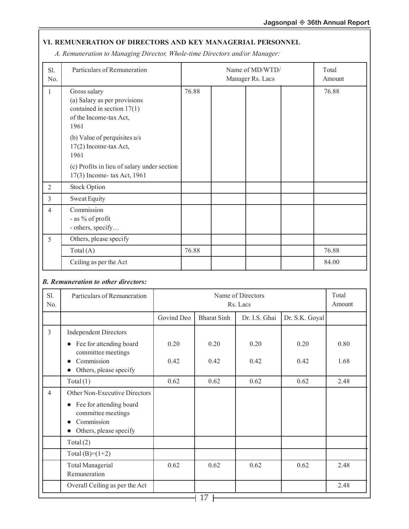# **VI. REMUNERATION OF DIRECTORS AND KEY MANAGERIAL PERSONNEL**

*A. Remuneration to Managing Director, Whole-time Directors and/or Manager:*

| Sl.<br>No.     | Particulars of Remuneration                                                                                                                                                                                                    |       | Name of MD/WTD/<br>Manager Rs. Lacs |  |  | Total<br>Amount |
|----------------|--------------------------------------------------------------------------------------------------------------------------------------------------------------------------------------------------------------------------------|-------|-------------------------------------|--|--|-----------------|
| 1              | Gross salary<br>(a) Salary as per provisions<br>contained in section $17(1)$<br>of the Income-tax Act,<br>1961<br>(b) Value of perquisites u/s<br>17(2) Income-tax Act,<br>1961<br>(c) Profits in lieu of salary under section | 76.88 |                                     |  |  | 76.88           |
|                | 17(3) Income- tax Act, 1961                                                                                                                                                                                                    |       |                                     |  |  |                 |
| $\overline{2}$ | <b>Stock Option</b>                                                                                                                                                                                                            |       |                                     |  |  |                 |
| 3              | Sweat Equity                                                                                                                                                                                                                   |       |                                     |  |  |                 |
| $\overline{4}$ | Commission<br>- as % of profit<br>- others, specify                                                                                                                                                                            |       |                                     |  |  |                 |
| 5              | Others, please specify                                                                                                                                                                                                         |       |                                     |  |  |                 |
|                | Total(A)                                                                                                                                                                                                                       | 76.88 |                                     |  |  | 76.88           |
|                | Ceiling as per the Act                                                                                                                                                                                                         |       |                                     |  |  | 84.00           |

# *B. Remuneration to other directors:*

| Sl.<br>No.     | Particulars of Remuneration                                                                                                                           |            | Name of Directors<br>Rs. Lacs |               |                |      |  |
|----------------|-------------------------------------------------------------------------------------------------------------------------------------------------------|------------|-------------------------------|---------------|----------------|------|--|
|                |                                                                                                                                                       | Govind Deo | <b>Bharat Sinh</b>            | Dr. I.S. Ghai | Dr. S.K. Goyal |      |  |
| $\overline{3}$ | <b>Independent Directors</b>                                                                                                                          |            |                               |               |                |      |  |
|                | Fee for attending board<br>$\bullet$<br>committee meetings                                                                                            | 0.20       | 0.20                          | 0.20          | 0.20           | 0.80 |  |
|                | Commission<br>$\bullet$<br>Others, please specify<br>$\bullet$                                                                                        | 0.42       | 0.42                          | 0.42          | 0.42           | 1.68 |  |
|                | Total(1)                                                                                                                                              | 0.62       | 0.62                          | 0.62          | 0.62           | 2.48 |  |
| $\overline{4}$ | Other Non-Executive Directors<br>Fee for attending board<br>$\bullet$<br>committee meetings<br>Commission<br>6<br>Others, please specify<br>$\bullet$ |            |                               |               |                |      |  |
|                | Total $(2)$                                                                                                                                           |            |                               |               |                |      |  |
|                | Total $(B)=(1+2)$                                                                                                                                     |            |                               |               |                |      |  |
|                | <b>Total Managerial</b><br>Remuneration                                                                                                               | 0.62       | 0.62                          | 0.62          | 0.62           | 2.48 |  |
|                | Overall Ceiling as per the Act                                                                                                                        |            |                               |               |                | 2.48 |  |
|                |                                                                                                                                                       |            | 17 <sup>1</sup>               |               |                |      |  |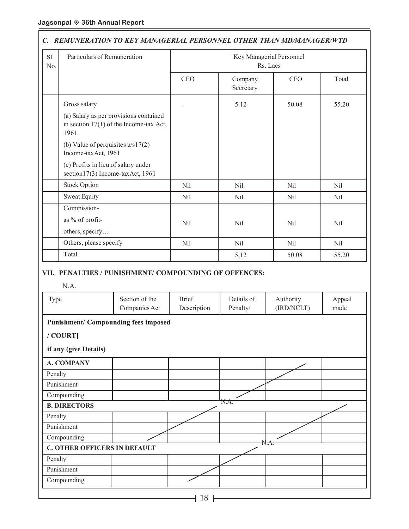|            | REMUNERATION TO KEY MANAGERIAL PERSONNEL OTHER THAN MD/MANAGER/WTD                          |            |                                      |            |                |  |  |  |
|------------|---------------------------------------------------------------------------------------------|------------|--------------------------------------|------------|----------------|--|--|--|
| S1.<br>No. | Particulars of Remuneration                                                                 |            | Key Managerial Personnel<br>Rs. Lacs |            |                |  |  |  |
|            |                                                                                             | <b>CEO</b> | Company<br>Secretary                 | <b>CFO</b> | Total          |  |  |  |
|            | Gross salary                                                                                |            | 5.12                                 | 50.08      | 55.20          |  |  |  |
|            | (a) Salary as per provisions contained<br>in section $17(1)$ of the Income-tax Act,<br>1961 |            |                                      |            |                |  |  |  |
|            | (b) Value of perquisites $u/s17(2)$<br>Income-taxAct, 1961                                  |            |                                      |            |                |  |  |  |
|            | (c) Profits in lieu of salary under<br>section17(3) Income-taxAct, 1961                     |            |                                      |            |                |  |  |  |
|            | <b>Stock Option</b>                                                                         | <b>Nil</b> | Nil                                  | <b>Nil</b> | Nil            |  |  |  |
|            | <b>Sweat Equity</b>                                                                         | <b>Nil</b> | Nil                                  | <b>Nil</b> | Nil            |  |  |  |
|            | Commission-                                                                                 |            |                                      |            |                |  |  |  |
|            | as % of profit-                                                                             | <b>Nil</b> | Nil                                  | <b>Nil</b> | N <sub>i</sub> |  |  |  |
|            | others, specify                                                                             |            |                                      |            |                |  |  |  |
|            | Others, please specify                                                                      | <b>Nil</b> | Nil                                  | Nil        | Nil            |  |  |  |
|            | Total                                                                                       |            | 5,12                                 | 50.08      | 55.20          |  |  |  |

# **VII. PENALTIES / PUNISHMENT/ COMPOUNDING OF OFFENCES:**

N.A.

| Type                                        | Section of the<br>Companies Act | <b>Brief</b><br>Description | Details of<br>Penalty/ | Authority<br>(IRD/NCLT) | Appeal<br>made |
|---------------------------------------------|---------------------------------|-----------------------------|------------------------|-------------------------|----------------|
| <b>Punishment/ Compounding fees imposed</b> |                                 |                             |                        |                         |                |
| / COURT]                                    |                                 |                             |                        |                         |                |
| if any (give Details)                       |                                 |                             |                        |                         |                |
| A. COMPANY                                  |                                 |                             |                        |                         |                |
| Penalty                                     |                                 |                             |                        |                         |                |
| Punishment                                  |                                 |                             |                        |                         |                |
| Compounding                                 |                                 |                             |                        |                         |                |
| <b>B. DIRECTORS</b>                         |                                 |                             | N.A.                   |                         |                |
| Penalty                                     |                                 |                             |                        |                         |                |
| Punishment                                  |                                 |                             |                        |                         |                |
| Compounding                                 |                                 |                             |                        | N.A.                    |                |
| C. OTHER OFFICERS IN DEFAULT                |                                 |                             |                        |                         |                |
| Penalty                                     |                                 |                             |                        |                         |                |
| Punishment                                  |                                 |                             |                        |                         |                |
| Compounding                                 |                                 |                             |                        |                         |                |
|                                             |                                 | 18                          |                        |                         |                |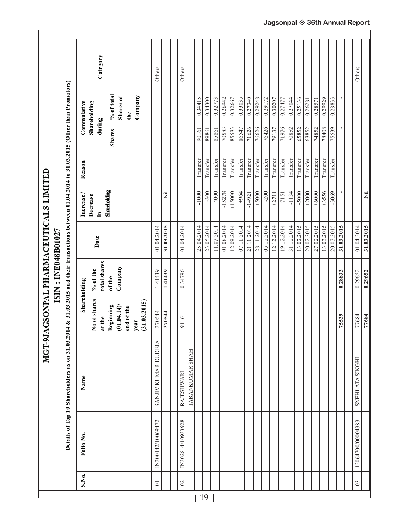|                                                                                                  | Category                                 |                                                               | Others              |            | Others                        |            |                |            |            |                         |            |            |            |            |            |            |            |            |            |            |            |            |            | Others            |                  |
|--------------------------------------------------------------------------------------------------|------------------------------------------|---------------------------------------------------------------|---------------------|------------|-------------------------------|------------|----------------|------------|------------|-------------------------|------------|------------|------------|------------|------------|------------|------------|------------|------------|------------|------------|------------|------------|-------------------|------------------|
|                                                                                                  | Commulative<br>Shareholding              | % of total<br>Shares of<br>Company<br>the                     |                     |            |                               | 0.34415    | 0.34300        | 0.32773    | 0.26942    | 0.32667                 | 0.33035    | 0.27340    | 0.29248    | 0.29172    | 0.30207    | 0.27477    | 0.27044    | 0.25136    | 0.26281    | 0.28571    | 0.29929    | 0.28833    |            |                   |                  |
|                                                                                                  | during                                   | <b>Shares</b>                                                 |                     |            |                               | 90161      | 89861          | 85861      | 70583      | 85583                   | 86547      | 71626      | 76626      | 76426      | 79137      | 71976      | 70852      | 65852      | 68852      | 74852      | 78408      | 75539      |            |                   |                  |
|                                                                                                  | Reason                                   |                                                               |                     |            |                               | Transfer   | Transfer       | Transfer   | Transfer   | Transfer                | Transfer   | Transfer   | Transfer   | Transfer   | Transfer   | Transfer   | Transfer   | Transfer   | Transfer   | Transfer   | Transfer   | Transfer   |            |                   |                  |
|                                                                                                  | Increase/<br>Decrease<br>$\Xi$           | Shareholding                                                  |                     | Ē          |                               | $-1000$    | $-300$         | $-4000$    | $-15278$   | $+15000$                | $+964$     | $-14921$   | $+5000$    | $-200$     | $+2711$    | $-7151$    | $-1134$    | $-5000$    | $+2000$    | $+6000$    | $+3556$    | $-3069$    |            |                   | $\overline{\Xi}$ |
| $4 \& 31.03.2015$ and their transactions between 01.04.2014 to 31.03.2015 (Other than Promotors) | Date                                     |                                                               | 01.04.2014          | 31.03.2015 | 01.04.2014                    | 25.04.2014 | 23.05.2014     | 11.07.2014 | 01.08.2014 | $\overline{12.09.2014}$ | 07.11.2014 | 21.11.2014 | 28.11.2014 | 05.12.2014 | 12.12.2014 | 19.12.2014 | 31.12.2014 | 13.02.2015 | 20.02.2015 | 27.02.2015 | 13.03.2015 | 20.03.2015 | 31.03.2015 | 01.04.2014        | 31.03.2015       |
| $\overline{\text{ISIN}}: \overline{\text{IN}} \overline{\text{B048BO1011}}$                      | total shares<br>% of the<br>Shareholding | Company<br>of the                                             | 1.41439             | 1.41439    | 0.34796                       |            |                |            |            |                         |            |            |            |            |            |            |            |            |            |            |            |            | 0.28833    | 0.29652           | 0.29652          |
| MGT-9JAGSONPAL PHARMACEUTICALS LIMITED                                                           | No of shares<br>at the                   | (31.03.2015)<br>(01.04.14)<br>Beginning<br>end of the<br>year | 370544              | 370544     | 91161                         |            |                |            |            |                         |            |            |            |            |            |            |            |            |            |            |            |            | 75539      | 77684             | 77684            |
| Details of Top 10 Shareholders as on 31.03.20                                                    | Name                                     |                                                               | SANJIV KUMAR DUDEJA |            | TARANKUMAR SHAH<br>RAJESHWARI |            |                |            |            |                         |            |            |            |            |            |            |            |            |            |            |            |            |            | SNEHLATA SINGHI   |                  |
|                                                                                                  | Folio No.                                |                                                               | IN300142/10069472   |            | IN302814/10933928             |            |                |            |            |                         |            |            |            |            |            |            |            |            |            |            |            |            |            | 12064700/00004383 |                  |
|                                                                                                  | S.No.                                    |                                                               | $\overline{\circ}$  |            | $\rm \Xi$                     |            | 1 <sub>q</sub> |            |            |                         |            |            |            |            |            |            |            |            |            |            |            |            |            | $\mathfrak{S}$    |                  |

#### **Jagsonpal 36th Annual Report**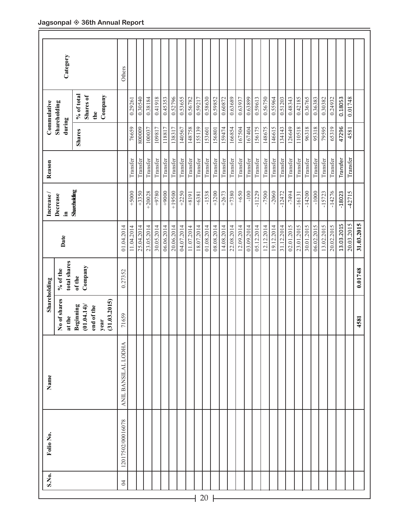|              | Category                 |                                                               | Others              |            |            |            |            |            |            |            |            |             |            |            |            |            |            |            |            |            |            |            |            |            |            |            |            |            |            |            |            |
|--------------|--------------------------|---------------------------------------------------------------|---------------------|------------|------------|------------|------------|------------|------------|------------|------------|-------------|------------|------------|------------|------------|------------|------------|------------|------------|------------|------------|------------|------------|------------|------------|------------|------------|------------|------------|------------|
| Commulative  | Shareholding             | % of total<br>Shares of<br>Company<br>the                     |                     | 0.29261    | 0.30540    | 0.38184    | 0.41918    | 0.45353    | 0.52796    | 0.53655    | 0.56782    | 0.59217     | 0.58630    | 0.59852    | 0.60872    | 0.63689    | 0.63937    | 0.63899    | 0.59613    | 0.56750    | 0.55964    | 0.51203    | 0.48343    | 0.42185    | 0.36765    | 0.36383    | 0.30382    | 0.24932    | 0.18053    | 0.01748    |            |
|              | during                   | <b>Shares</b>                                                 |                     | 76659      | 800009     | 100037     | 109817     | 118817     | 138317     | 140567     | 148758     | 155139      | 153601     | 156801     | 159474     | 166854     | 167504     | 167404     | 156175     | 148675     | 146615     | 134143     | 126649     | 110518     | 96318      | 95318      | 79595      | 65319      | 47296      | 4581       |            |
| Reason       |                          |                                                               |                     | Transfer   | Transfer   | Transfer   | Transfer   | Transfer   | Transfer   | Transfer   | Transfer   | Transfer    | Transfer   | Transfer   | Transfer   | Transfer   | Transfer   | Transfer   | Transfer   | Transfer   | Transfer   | Transfer   | Transfer   | Transfer   | Transfer   | Transfer   | Transfer   | Transfer   | Transfer   | Transfer   |            |
| Increase/    | Decrease<br>$\Xi$        | Shareholding                                                  |                     | $+5000$    | $+3350$    | $+20028$   | $-9780$    | $-9000+$   | $+19500$   | $+2250$    | $+8191$    | $+6381$     | $-1538$    | $+3200$    | $+2673$    | $+7380$    | $+650$     | $-100$     | $-11229$   | $-7500$    | $-2060$    | $-12472$   | $-7494$    | $-16131$   | $-14200$   | $-1000$    | $-15723$   | $-14276$   | $-18023$   | $-42715$   |            |
|              | Date                     |                                                               | 01.04.2014          | 11.04.2014 | 25.04.2014 | 23.05.2014 | 30.05.2014 | 06.06.2014 | 20.06.2014 | 04.07.2014 | 11.07.2014 | 18.07.2014  | 01.08.2014 | 08.08.2014 | 14.08.2014 | 22.08.2014 | 12.09.2014 | 03.09.2014 | 05.12.2014 | 12.12.2014 | 19.12.2014 | 31.12.2014 | 02.01.2015 | 23.01.2015 | 30.01.2015 | 06.02.2015 | 13.02.2015 | 20.02.2015 | 13.03.2015 | 20.03.2015 | 31.03.2015 |
|              | total shares<br>% of the | Company<br>of the                                             | 0.27352             |            |            |            |            |            |            |            |            |             |            |            |            |            |            |            |            |            |            |            |            |            |            |            |            |            |            |            | 0.01748    |
| Shareholding | No of shares<br>at the   | (31.03.2015)<br>(01.04.14)<br>Beginning<br>end of the<br>year | 71659               |            |            |            |            |            |            |            |            |             |            |            |            |            |            |            |            |            |            |            |            |            |            |            |            |            |            |            | 4581       |
| Name         |                          |                                                               | ANIL BANSILAL LODHA |            |            |            |            |            |            |            |            |             |            |            |            |            |            |            |            |            |            |            |            |            |            |            |            |            |            |            |            |
| Folio No.    |                          |                                                               | 12017502/00016078   |            |            |            |            |            |            |            |            |             |            |            |            |            |            |            |            |            |            |            |            |            |            |            |            |            |            |            |            |
| S.No.        |                          |                                                               | $\overline{0}$      |            |            |            |            |            |            |            |            | $\sqrt{20}$ |            |            |            |            |            |            |            |            |            |            |            |            |            |            |            |            |            |            |            |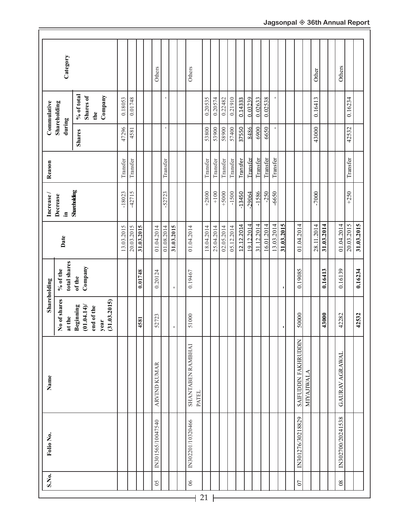| Category<br>Others<br>Others<br>Others<br>Other<br>$\%$ of total<br>Shares of<br>Company<br>$\mathbf{I}$<br>0.21910<br>J.<br>0.01748<br>0.20535<br>0.14333<br>0.03239<br>0.02538<br>0.18053<br>0.20574<br>0.22482<br>0.02633<br>0.16413<br>0.16234<br>Shareholding<br>the<br>during<br>47296<br>$\mathbf{I}$<br>$\blacksquare$<br>57400<br>37550<br>8486<br>6900<br>6650<br>53800<br>53900<br>58900<br>43000<br>42532<br>4581<br><b>Shares</b><br>Transfer<br>Transfer<br>Transfer<br>Transfer<br>Transfer<br>Transfer<br>Transfer<br>Transfer<br>Transfer<br>Transfer<br>Transfer<br>Transfer<br>Transfer<br><b>Shareholding</b><br>$-13450$<br>$+250$<br>$-42715$<br>$+2800$<br>$-5000 +$<br>$-1500$<br>$-6650$<br>$-18023$<br>$+100$<br>$-1586$<br>$-7000$<br>$-52723$<br>$-250$<br>$-29064$<br>Ξ.<br>01.04.2014<br>20.03.2015<br>31.03.2015<br>13.03.2014<br>31.03.2015<br>01.04.2014<br>12.12.2014<br>19.12.2014<br>16.01.2014<br>31.03.2014<br>31.12.2014<br>28.11.2014<br>31.03.2015<br>13.03.2015<br>20.03.2015<br>31.03.2015<br>01.04.2014<br>01.08.2014<br>01.04.2014<br>18.04.2014<br>05.12.2014<br>25.04.2014<br>02.05.2014<br>Date<br>total shares<br>Company<br>% of the<br>0.16139<br>0.16234<br>0.19085<br>0.16413<br>0.01748<br>0.19467<br>0.20124<br>of the<br>$\mathbf{I}$<br>No of shares<br>(31.03.2015)<br>(01.04.14)<br>Beginning<br>end of the<br>42532<br>50000<br>43000<br>42282<br>51000<br>52723<br>at the<br>4581<br>year<br>$\blacksquare$<br><b>SAIFUDDIN FAKHRUDDIN</b><br>SHANTABEN RAMBHAI<br><b>GAURAV AGRAWAL</b><br><b>ARVIND KUMAR</b><br><b>MIYAJIWALA</b><br><b>PATEL</b><br>IN301276/30218829<br>IN302700/20241538<br>IN302201/10320466<br>IN301565/10047540 | S.No.  | Folio No. | Name | J. | Shareholding | Increase/ | <b>Reason</b> | Commulative |  |
|-------------------------------------------------------------------------------------------------------------------------------------------------------------------------------------------------------------------------------------------------------------------------------------------------------------------------------------------------------------------------------------------------------------------------------------------------------------------------------------------------------------------------------------------------------------------------------------------------------------------------------------------------------------------------------------------------------------------------------------------------------------------------------------------------------------------------------------------------------------------------------------------------------------------------------------------------------------------------------------------------------------------------------------------------------------------------------------------------------------------------------------------------------------------------------------------------------------------------------------------------------------------------------------------------------------------------------------------------------------------------------------------------------------------------------------------------------------------------------------------------------------------------------------------------------------------------------------------------------------------------------------------------------------------------------------------------------|--------|-----------|------|----|--------------|-----------|---------------|-------------|--|
|                                                                                                                                                                                                                                                                                                                                                                                                                                                                                                                                                                                                                                                                                                                                                                                                                                                                                                                                                                                                                                                                                                                                                                                                                                                                                                                                                                                                                                                                                                                                                                                                                                                                                                       |        |           |      |    |              | Decrease  |               |             |  |
|                                                                                                                                                                                                                                                                                                                                                                                                                                                                                                                                                                                                                                                                                                                                                                                                                                                                                                                                                                                                                                                                                                                                                                                                                                                                                                                                                                                                                                                                                                                                                                                                                                                                                                       |        |           |      |    |              |           |               |             |  |
|                                                                                                                                                                                                                                                                                                                                                                                                                                                                                                                                                                                                                                                                                                                                                                                                                                                                                                                                                                                                                                                                                                                                                                                                                                                                                                                                                                                                                                                                                                                                                                                                                                                                                                       |        |           |      |    |              |           |               |             |  |
|                                                                                                                                                                                                                                                                                                                                                                                                                                                                                                                                                                                                                                                                                                                                                                                                                                                                                                                                                                                                                                                                                                                                                                                                                                                                                                                                                                                                                                                                                                                                                                                                                                                                                                       |        |           |      |    |              |           |               |             |  |
| $\delta$<br>$96\,$<br>$\overline{0}$                                                                                                                                                                                                                                                                                                                                                                                                                                                                                                                                                                                                                                                                                                                                                                                                                                                                                                                                                                                                                                                                                                                                                                                                                                                                                                                                                                                                                                                                                                                                                                                                                                                                  |        |           |      |    |              |           |               |             |  |
|                                                                                                                                                                                                                                                                                                                                                                                                                                                                                                                                                                                                                                                                                                                                                                                                                                                                                                                                                                                                                                                                                                                                                                                                                                                                                                                                                                                                                                                                                                                                                                                                                                                                                                       |        |           |      |    |              |           |               |             |  |
|                                                                                                                                                                                                                                                                                                                                                                                                                                                                                                                                                                                                                                                                                                                                                                                                                                                                                                                                                                                                                                                                                                                                                                                                                                                                                                                                                                                                                                                                                                                                                                                                                                                                                                       |        |           |      |    |              |           |               |             |  |
|                                                                                                                                                                                                                                                                                                                                                                                                                                                                                                                                                                                                                                                                                                                                                                                                                                                                                                                                                                                                                                                                                                                                                                                                                                                                                                                                                                                                                                                                                                                                                                                                                                                                                                       |        |           |      |    |              |           |               |             |  |
|                                                                                                                                                                                                                                                                                                                                                                                                                                                                                                                                                                                                                                                                                                                                                                                                                                                                                                                                                                                                                                                                                                                                                                                                                                                                                                                                                                                                                                                                                                                                                                                                                                                                                                       |        |           |      |    |              |           |               |             |  |
|                                                                                                                                                                                                                                                                                                                                                                                                                                                                                                                                                                                                                                                                                                                                                                                                                                                                                                                                                                                                                                                                                                                                                                                                                                                                                                                                                                                                                                                                                                                                                                                                                                                                                                       |        |           |      |    |              |           |               |             |  |
|                                                                                                                                                                                                                                                                                                                                                                                                                                                                                                                                                                                                                                                                                                                                                                                                                                                                                                                                                                                                                                                                                                                                                                                                                                                                                                                                                                                                                                                                                                                                                                                                                                                                                                       |        |           |      |    |              |           |               |             |  |
|                                                                                                                                                                                                                                                                                                                                                                                                                                                                                                                                                                                                                                                                                                                                                                                                                                                                                                                                                                                                                                                                                                                                                                                                                                                                                                                                                                                                                                                                                                                                                                                                                                                                                                       |        |           |      |    |              |           |               |             |  |
|                                                                                                                                                                                                                                                                                                                                                                                                                                                                                                                                                                                                                                                                                                                                                                                                                                                                                                                                                                                                                                                                                                                                                                                                                                                                                                                                                                                                                                                                                                                                                                                                                                                                                                       |        |           |      |    |              |           |               |             |  |
|                                                                                                                                                                                                                                                                                                                                                                                                                                                                                                                                                                                                                                                                                                                                                                                                                                                                                                                                                                                                                                                                                                                                                                                                                                                                                                                                                                                                                                                                                                                                                                                                                                                                                                       |        |           |      |    |              |           |               |             |  |
|                                                                                                                                                                                                                                                                                                                                                                                                                                                                                                                                                                                                                                                                                                                                                                                                                                                                                                                                                                                                                                                                                                                                                                                                                                                                                                                                                                                                                                                                                                                                                                                                                                                                                                       |        |           |      |    |              |           |               |             |  |
|                                                                                                                                                                                                                                                                                                                                                                                                                                                                                                                                                                                                                                                                                                                                                                                                                                                                                                                                                                                                                                                                                                                                                                                                                                                                                                                                                                                                                                                                                                                                                                                                                                                                                                       |        |           |      |    |              |           |               |             |  |
|                                                                                                                                                                                                                                                                                                                                                                                                                                                                                                                                                                                                                                                                                                                                                                                                                                                                                                                                                                                                                                                                                                                                                                                                                                                                                                                                                                                                                                                                                                                                                                                                                                                                                                       |        |           |      |    |              |           |               |             |  |
|                                                                                                                                                                                                                                                                                                                                                                                                                                                                                                                                                                                                                                                                                                                                                                                                                                                                                                                                                                                                                                                                                                                                                                                                                                                                                                                                                                                                                                                                                                                                                                                                                                                                                                       |        |           |      |    |              |           |               |             |  |
|                                                                                                                                                                                                                                                                                                                                                                                                                                                                                                                                                                                                                                                                                                                                                                                                                                                                                                                                                                                                                                                                                                                                                                                                                                                                                                                                                                                                                                                                                                                                                                                                                                                                                                       |        |           |      |    |              |           |               |             |  |
|                                                                                                                                                                                                                                                                                                                                                                                                                                                                                                                                                                                                                                                                                                                                                                                                                                                                                                                                                                                                                                                                                                                                                                                                                                                                                                                                                                                                                                                                                                                                                                                                                                                                                                       |        |           |      |    |              |           |               |             |  |
|                                                                                                                                                                                                                                                                                                                                                                                                                                                                                                                                                                                                                                                                                                                                                                                                                                                                                                                                                                                                                                                                                                                                                                                                                                                                                                                                                                                                                                                                                                                                                                                                                                                                                                       |        |           |      |    |              |           |               |             |  |
|                                                                                                                                                                                                                                                                                                                                                                                                                                                                                                                                                                                                                                                                                                                                                                                                                                                                                                                                                                                                                                                                                                                                                                                                                                                                                                                                                                                                                                                                                                                                                                                                                                                                                                       |        |           |      |    |              |           |               |             |  |
|                                                                                                                                                                                                                                                                                                                                                                                                                                                                                                                                                                                                                                                                                                                                                                                                                                                                                                                                                                                                                                                                                                                                                                                                                                                                                                                                                                                                                                                                                                                                                                                                                                                                                                       |        |           |      |    |              |           |               |             |  |
|                                                                                                                                                                                                                                                                                                                                                                                                                                                                                                                                                                                                                                                                                                                                                                                                                                                                                                                                                                                                                                                                                                                                                                                                                                                                                                                                                                                                                                                                                                                                                                                                                                                                                                       |        |           |      |    |              |           |               |             |  |
|                                                                                                                                                                                                                                                                                                                                                                                                                                                                                                                                                                                                                                                                                                                                                                                                                                                                                                                                                                                                                                                                                                                                                                                                                                                                                                                                                                                                                                                                                                                                                                                                                                                                                                       |        |           |      |    |              |           |               |             |  |
|                                                                                                                                                                                                                                                                                                                                                                                                                                                                                                                                                                                                                                                                                                                                                                                                                                                                                                                                                                                                                                                                                                                                                                                                                                                                                                                                                                                                                                                                                                                                                                                                                                                                                                       |        |           |      |    |              |           |               |             |  |
|                                                                                                                                                                                                                                                                                                                                                                                                                                                                                                                                                                                                                                                                                                                                                                                                                                                                                                                                                                                                                                                                                                                                                                                                                                                                                                                                                                                                                                                                                                                                                                                                                                                                                                       |        |           |      |    |              |           |               |             |  |
|                                                                                                                                                                                                                                                                                                                                                                                                                                                                                                                                                                                                                                                                                                                                                                                                                                                                                                                                                                                                                                                                                                                                                                                                                                                                                                                                                                                                                                                                                                                                                                                                                                                                                                       | $08\,$ |           |      |    |              |           |               |             |  |
|                                                                                                                                                                                                                                                                                                                                                                                                                                                                                                                                                                                                                                                                                                                                                                                                                                                                                                                                                                                                                                                                                                                                                                                                                                                                                                                                                                                                                                                                                                                                                                                                                                                                                                       |        |           |      |    |              |           |               |             |  |
|                                                                                                                                                                                                                                                                                                                                                                                                                                                                                                                                                                                                                                                                                                                                                                                                                                                                                                                                                                                                                                                                                                                                                                                                                                                                                                                                                                                                                                                                                                                                                                                                                                                                                                       |        |           |      |    |              |           |               |             |  |

Ē

#### **Jagsonpal 36th Annual Report**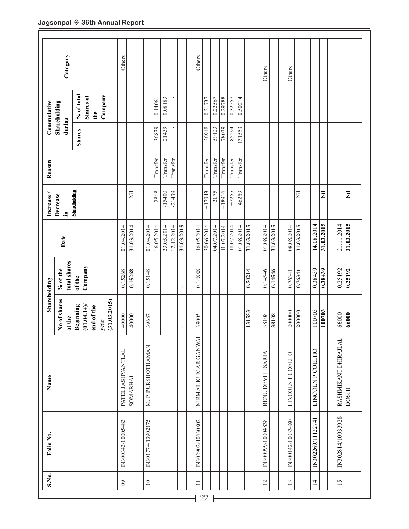|              |                          |                                                                      | Others            |                 |                    |            |            |              |              | Others              |            |            |            |            |            |            |                          |                   |                |                   |                    |                      |                |  |
|--------------|--------------------------|----------------------------------------------------------------------|-------------------|-----------------|--------------------|------------|------------|--------------|--------------|---------------------|------------|------------|------------|------------|------------|------------|--------------------------|-------------------|----------------|-------------------|--------------------|----------------------|----------------|--|
|              | Category                 |                                                                      |                   |                 |                    |            |            |              |              |                     |            |            |            |            |            |            | Others                   | Others            |                |                   |                    |                      |                |  |
| Commulative  | Shareholding             | % of total<br>Shares of<br>Company<br>the                            |                   |                 |                    | 0.14061    | 0.08183    |              |              |                     | 0.21737    | 0.22567    | 882670     | 0.32557    | 0.50214    |            |                          |                   |                |                   |                    |                      |                |  |
|              | during                   | <b>Shares</b>                                                        |                   |                 |                    | 36839      | 21439      | $\mathbf{I}$ |              |                     | 56948      | 59123      | 78039      | 85294      | 131553     |            |                          |                   |                |                   |                    |                      |                |  |
| Reason       |                          |                                                                      |                   |                 |                    | Transfer   | Transfer   | Transfer     |              |                     | Transfer   | Transfer   | Transfer   | Transfer   | Transfer   |            |                          |                   |                |                   |                    |                      |                |  |
| Increase/    | Decrease<br>$\Xi$        | Shareholding                                                         |                   | Ξ               |                    | $-2848$    | $-15400$   | $-21439$     |              |                     | $+17943$   | $+2175$    | $+18916$   | $+7255$    | $+46259$   |            |                          |                   | $\overline{z}$ |                   | Ē                  |                      | $\overline{z}$ |  |
|              | Date                     |                                                                      | 01.04.2014        | 31.03.2014      | 01.04.2014         | 16.05.2014 | 23.05.2014 | 12.12.2014   | 31.03.2015   | 16.05.2014          | 30.06.2014 | 04.07.2014 | 11.07.2014 | 18.07.2014 | 01.08.2014 | 31.03.2015 | 01.08.2014<br>31.03.2015 | 08.08.2014        | 31.03.2015     | 14.08.2014        | 31.03.2015         | 21.11.2014           | 31.03.2015     |  |
|              | total shares<br>% of the | Company<br>of the                                                    | 0.15268           | 0.15268         | 0.15148            |            |            |              | $\mathbf{I}$ | 0.14888             |            |            |            |            |            | 0.50214    | 0.14546<br>0.14546       | 0.76341           | 0.76341        | 0.38439           | 0.38439            | $\frac{0.25192}{2}$  | 0.25192        |  |
| Shareholding | No of shares<br>at the   | (31.03.2015)<br>(01.04.14)<br><b>Beginning</b><br>end of the<br>year | 40000             | 40000           | 39687              |            |            |              | $\mathbf I$  | 39005               |            |            |            |            |            | 131553     | 38108<br>38108           | 200000            | 200000         | 100703            | $\frac{100703}{2}$ | 66000                | 66000          |  |
| Name         |                          |                                                                      | PATEL JASHVANTLAL | <b>INHADIOS</b> | M. P. PURSHOTHAMAN |            |            |              |              | NIRMAL KUMAR GANWAL |            |            |            |            |            |            | RENU DEVI HISARIA        | LINCOLN P COELHO  |                | LINCOLN P COELHO  |                    | RASHMIKANT DHIRAJLAL | <b>IHSOC</b>   |  |
| Folio No.    |                          |                                                                      | IN300343/10005483 |                 | IN301774/13902175  |            |            |              |              | IN302902/40630802   |            |            |            |            |            |            | IN300999/10004838        | IN300142/10033480 |                | IN302269/11122741 |                    | IN302814/10933928    |                |  |
| S.No.        |                          |                                                                      | $^{09}$           |                 | $\overline{10}$    |            |            |              |              | $\Box$              | 22         |            |            |            |            |            | 12                       | 13                |                | $\overline{4}$    |                    | $\tilde{5}1$         |                |  |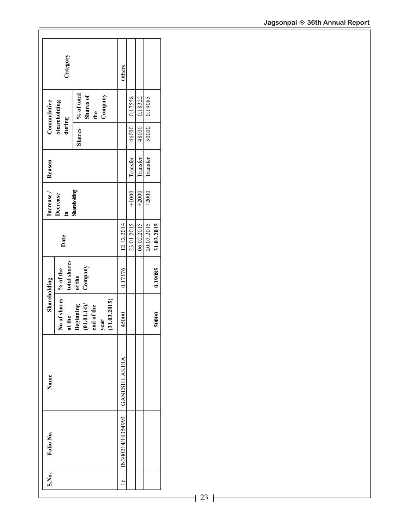|              | Category                 |                                                               | Others                            |            |            |            |            |
|--------------|--------------------------|---------------------------------------------------------------|-----------------------------------|------------|------------|------------|------------|
| Commulative  | Shareholding             | $\frac{9}{6}$ of total<br>Company<br>Shares of<br>the         |                                   | 0.17558    | 0.18322    | 0.19085    |            |
|              | during                   | <b>Shares</b>                                                 |                                   | 46000      | 48000      | 50000      |            |
| Reason       |                          |                                                               |                                   | Transfer   | Transfer   | Transfer   |            |
| Increase/    | Decrease<br>E.           | Shareholding                                                  |                                   | $+1000$    | $+2000$    | $+2000$    |            |
|              | Date                     |                                                               | 12.12.2014                        | 23.01.2015 | 06.02.2015 | 20.03.2015 | 31.03.2015 |
| Shareholding | total shares<br>% of the | Company<br>of the                                             | 0.17176                           |            |            |            | 0.19085    |
|              | No of shares<br>at the   | (31.03.2015)<br>(01.04.14)<br>Beginning<br>end of the<br>year | 45000                             |            |            |            | 50000      |
| Name         |                          |                                                               |                                   |            |            |            |            |
| Folio No.    |                          |                                                               | IN300214/10354993   GANESH LAKHIA |            |            |            |            |
| S.No.        |                          |                                                               | $\frac{16}{1}$                    |            |            |            |            |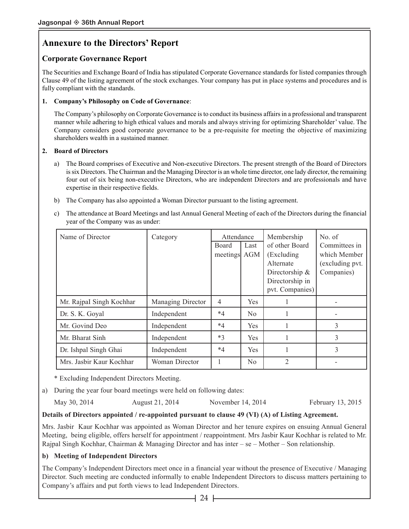# **Annexure to the Directors' Report**

# **Corporate Governance Report**

The Securities and Exchange Board of India has stipulated Corporate Governance standards for listed companies through Clause 49 of the listing agreement of the stock exchanges. Your company has put in place systems and procedures and is fully compliant with the standards.

#### **1. Company's Philosophy on Code of Governance**:

The Company's philosophy on Corporate Governance is to conduct its business affairs in a professional and transparent manner while adhering to high ethical values and morals and always striving for optimizing Shareholder' value. The Company considers good corporate governance to be a pre-requisite for meeting the objective of maximizing shareholders wealth in a sustained manner.

### **2. Board of Directors**

- a) The Board comprises of Executive and Non-executive Directors. The present strength of the Board of Directors is six Directors. The Chairman and the Managing Director is an whole time director, one lady director, the remaining four out of six being non-executive Directors, who are independent Directors and are professionals and have expertise in their respective fields.
- b) The Company has also appointed a Woman Director pursuant to the listing agreement.
- c) The attendance at Board Meetings and last Annual General Meeting of each of the Directors during the financial year of the Company was as under:

| Name of Director         | Category          | Attendance     |                | Membership       | No. of          |
|--------------------------|-------------------|----------------|----------------|------------------|-----------------|
|                          |                   | Board          | Last           | of other Board   | Committees in   |
|                          |                   | meetings AGM   |                | (Excluding)      | which Member    |
|                          |                   |                |                | Alternate        | (excluding pvt. |
|                          |                   |                |                | Directorship $&$ | Companies)      |
|                          |                   |                |                | Directorship in  |                 |
|                          |                   |                |                | pvt. Companies)  |                 |
| Mr. Rajpal Singh Kochhar | Managing Director | $\overline{4}$ | <b>Yes</b>     |                  |                 |
| Dr. S. K. Goyal          | Independent       | $*4$           | No             |                  |                 |
| Mr. Govind Deo           | Independent       | $*4$           | Yes            |                  | 3               |
| Mr. Bharat Sinh          | Independent       | $*3$           | Yes            |                  | 3               |
| Dr. Ishpal Singh Ghai    | Independent       | $*4$           | Yes            |                  | 3               |
| Mrs. Jasbir Kaur Kochhar | Woman Director    |                | N <sub>0</sub> | $\overline{2}$   |                 |

\* Excluding Independent Directors Meeting.

a) During the year four board meetings were held on following dates:

May 30, 2014 August 21, 2014 November 14, 2014 February 13, 2015

# **Details of Directors appointed / re-appointed pursuant to clause 49 (VI) (A) of Listing Agreement.**

Mrs. Jasbir Kaur Kochhar was appointed as Woman Director and her tenure expires on ensuing Annual General Meeting, being eligible, offers herself for appointment / reappointment. Mrs Jasbir Kaur Kochhar is related to Mr. Rajpal Singh Kochhar, Chairman & Managing Director and has inter – se – Mother – Son relationship.

# **b) Meeting of Independent Directors**

The Company's Independent Directors meet once in a financial year without the presence of Executive / Managing Director. Such meeting are conducted informally to enable Independent Directors to discuss matters pertaining to Company's affairs and put forth views to lead Independent Directors.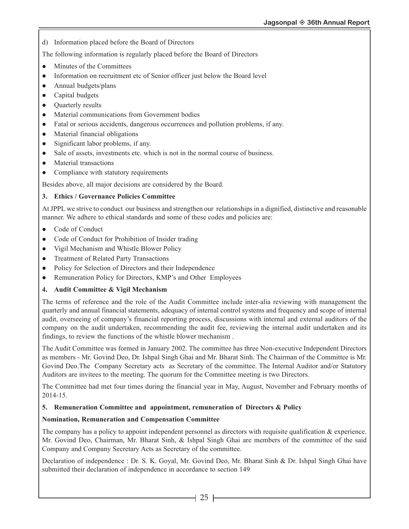d) Information placed before the Board of Directors

The following information is regularly placed before the Board of Directors

- Minutes of the Committees
- Information on recruitment etc of Senior officer just below the Board level
- $\bullet$  Annual budgets/plans
- Capital budgets
- Quarterly results
- Material communications from Government bodies
- Fatal or serious accidents, dangerous occurrences and pollution problems, if any.
- Material financial obligations
- Significant labor problems, if any.
- Sale of assets, investments etc. which is not in the normal course of business.
- Material transactions
- Compliance with statutory requirements

Besides above, all major decisions are considered by the Board.

# **3. Ethics / Governance Policies Committee**

At JPPL we strive to conduct our business and strengthen our relationships in a dignified, distinctive and reasonable manner. We adhere to ethical standards and some of these codes and policies are:

- Code of Conduct
- Code of Conduct for Prohibition of Insider trading
- Vigil Mechanism and Whistle Blower Policy
- Treatment of Related Party Transactions
- Policy for Selection of Directors and their Independence
- Remuneration Policy for Directors, KMP's and Other Employees

# **4. Audit Committee & Vigil Mechanism**

The terms of reference and the role of the Audit Committee include inter-alia reviewing with management the quarterly and annual financial statements, adequacy of internal control systems and frequency and scope of internal audit, overseeing of company's financial reporting process, discussions with internal and external auditors of the company on the audit undertaken, recommending the audit fee, reviewing the internal audit undertaken and its findings, to review the functions of the whistle blower mechanism .

The Audit Committee was formed in January 2002. The committee has three Non-executive Independent Directors as members - Mr. Govind Deo, Dr. Ishpal Singh Ghai and Mr. Bharat Sinh. The Chairman of the Committee is Mr. Govind Deo.The Company Secretary acts as Secretary of the committee. The Internal Auditor and/or Statutory Auditors are invitees to the meeting. The quorum for the Committee meeting is two Directors.

The Committee had met four times during the financial year in May, August, November and February months of 2014-15.

# **5. Remuneration Committee and appointment, remuneration of Directors & Policy**

# **Nomination, Remuneration and Compensation Committee**

The company has a policy to appoint independent personnel as directors with requisite qualification & experience. Mr. Govind Deo, Chairman, Mr. Bharat Sinh, & Ishpal Singh Ghai are members of the committee of the said Company and Company Secretary Acts as Secretary of the committee.

Declaration of independence : Dr. S. K. Goyal, Mr. Govind Deo, Mr. Bharat Sinh & Dr. Ishpal Singh Ghai have submitted their declaration of independence in accordance to section 149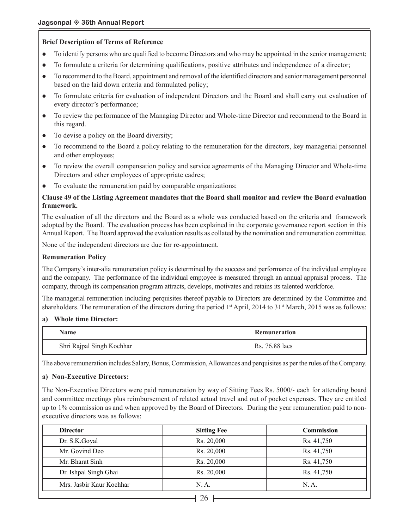### **Brief Description of Terms of Reference**

- To identify persons who are qualified to become Directors and who may be appointed in the senior management;
- To formulate a criteria for determining qualifications, positive attributes and independence of a director;
- To recommend to the Board, appointment and removal of the identified directors and senior management personnel based on the laid down criteria and formulated policy;
- To formulate criteria for evaluation of independent Directors and the Board and shall carry out evaluation of every director's performance;
- To review the performance of the Managing Director and Whole-time Director and recommend to the Board in this regard.
- To devise a policy on the Board diversity;
- To recommend to the Board a policy relating to the remuneration for the directors, key managerial personnel and other employees;
- To review the overall compensation policy and service agreements of the Managing Director and Whole-time Directors and other employees of appropriate cadres;
- To evaluate the remuneration paid by comparable organizations;

#### **Clause 49 of the Listing Agreement mandates that the Board shall monitor and review the Board evaluation framework.**

The evaluation of all the directors and the Board as a whole was conducted based on the criteria and framework adopted by the Board. The evaluation process has been explained in the corporate governance report section in this Annual Report. The Board approved the evaluation results as collated by the nomination and remuneration committee.

None of the independent directors are due for re-appointment.

#### **Remuneration Policy**

The Company's inter-alia remuneration policy is determined by the success and performance of the individual employee and the company. The performance of the individual emp;oyee is measured through an annual appraisal process. The company, through its compensation program attracts, develops, motivates and retains its talented workforce.

The managerial remuneration including perquisites thereof payable to Directors are determined by the Committee and shareholders. The remuneration of the directors during the period 1<sup>st</sup> April, 2014 to 31<sup>st</sup> March, 2015 was as follows:

#### **a) Whole time Director:**

| <b>Name</b>               | Remuneration   |
|---------------------------|----------------|
| Shri Rajpal Singh Kochhar | Rs. 76.88 lacs |

The above remuneration includes Salary, Bonus, Commission, Allowances and perquisites as per the rules of the Company.

#### **a) Non-Executive Directors:**

The Non-Executive Directors were paid remuneration by way of Sitting Fees Rs. 5000/- each for attending board and committee meetings plus reimbursement of related actual travel and out of pocket expenses. They are entitled up to 1% commission as and when approved by the Board of Directors. During the year remuneration paid to nonexecutive directors was as follows:

| <b>Director</b>          | <b>Sitting Fee</b> | <b>Commission</b> |
|--------------------------|--------------------|-------------------|
| Dr. S.K.Goyal            | Rs. 20,000         | Rs. 41,750        |
| Mr. Govind Deo           | Rs. 20,000         | Rs. 41,750        |
| Mr. Bharat Sinh          | Rs. 20,000         | Rs. 41,750        |
| Dr. Ishpal Singh Ghai    | Rs. 20,000         | Rs. 41,750        |
| Mrs. Jasbir Kaur Kochhar | N. A.              | N. A.             |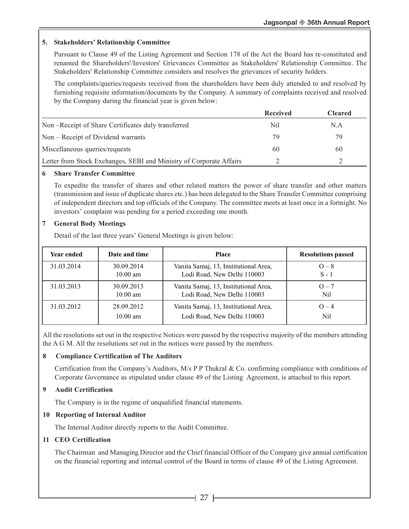# **5. Stakeholders' Relationship Committee**

Pursuant to Clause 49 of the Listing Agreement and Section 178 of the Act the Board has re-constituted and renamed the Shareholders'/Investors' Grievances Committee as Stakeholders' Relationship Committee. The Stakeholders' Relationship Committee considers and resolves the grievances of security holders.

The complaints/queries/requests received from the shareholders have been duly attended to and resolved by furnishing requisite information/documents by the Company. A summary of complaints received and resolved by the Company during the financial year is given below:

|                                                                     | Received | <b>Cleared</b> |
|---------------------------------------------------------------------|----------|----------------|
| Non-Receipt of Share Certificates duly transferred                  | Nil      | N.A            |
| Non – Receipt of Dividend warrants                                  | 79       | 79             |
| Miscellaneous queries/requests                                      | 60       | 60             |
| Letter from Stock Exchanges, SEBI and Ministry of Corporate Affairs |          |                |

### **6 Share Transfer Committee**

To expedite the transfer of shares and other related matters the power of share transfer and other matters (transmission and issue of duplicate shares etc.) has been delegated to the Share Transfer Committee comprising of independent directors and top officials of the Company. The committee meets at least once in a fortnight. No investors' complaint was pending for a period exceeding one month.

# **7 General Body Meetings**

Detail of the last three years' General Meetings is given below:

| <b>Year ended</b> | Date and time | Place                                 | <b>Resolutions passed</b> |
|-------------------|---------------|---------------------------------------|---------------------------|
| 31.03.2014        | 30.09.2014    | Vanita Samaj, 13, Institutional Area, | $O - 8$                   |
|                   | $10.00$ am    | Lodi Road, New Delhi 110003           | $S - 1$                   |
| 31.03.2013        | 30.09.2013    | Vanita Samaj, 13, Institutional Area, | $O - 7$                   |
|                   | $10.00$ am    | Lodi Road, New Delhi 110003           | Nil                       |
| 31.03.2012        | 28.09.2012    | Vanita Samaj, 13, Institutional Area, | $O - 4$                   |
|                   | $10.00$ am    | Lodi Road, New Delhi 110003           | Nil                       |

All the resolutions set out in the respective Notices were passed by the respective majority of the members attending the A G M. All the resolutions set out in the notices were passed by the members.

# **8 Compliance Certification of The Auditors**

Certification from the Company's Auditors, M/s P P Thukral & Co. confirming compliance with conditions of Corporate Governance as stipulated under clause 49 of the Listing Agreement, is attached to this report.

# **9 Audit Certification**

The Company is in the regime of unqualified financial statements.

#### **10 Reporting of Internal Auditor**

The Internal Auditor directly reports to the Audit Committee.

#### **11 CEO Certification**

The Chairman and Managing Director and the Chief financial Officer of the Company give annual certification on the financial reporting and internal control of the Board in terms of clause 49 of the Listing Agreement.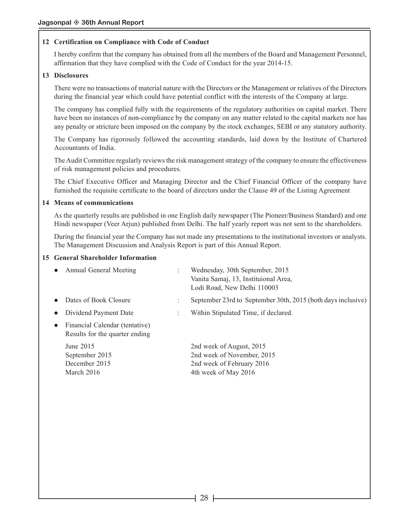### **12 Certification on Compliance with Code of Conduct**

I hereby confirm that the company has obtained from all the members of the Board and Management Personnel, affirmation that they have complied with the Code of Conduct for the year 2014-15.

#### **13 Disclosures**

There were no transactions of material nature with the Directors or the Management or relatives of the Directors during the financial year which could have potential conflict with the interests of the Company at large.

The company has complied fully with the requirements of the regulatory authorities on capital market. There have been no instances of non-compliance by the company on any matter related to the capital markets nor has any penalty or stricture been imposed on the company by the stock exchanges, SEBI or any statutory authority.

The Company has rigorously followed the accounting standards, laid down by the Institute of Chartered Accountants of India.

The Audit Committee regularly reviews the risk management strategy of the company to ensure the effectiveness of risk management policies and procedures.

The Chief Executive Officer and Managing Director and the Chief Financial Officer of the company have furnished the requisite certificate to the board of directors under the Clause 49 of the Listing Agreement

#### **14 Means of communications**

As the quarterly results are published in one English daily newspaper (The Pioneer/Business Standard) and one Hindi newspaper (Veer Arjun) published from Delhi. The half yearly report was not sent to the shareholders.

During the financial year the Company has not made any presentations to the institutional investors or analysts. The Management Discussion and Analysis Report is part of this Annual Report.

#### **15 General Shareholder Information**

|           | Annual General Meeting                                           | Wednesday, 30th September, 2015<br>Vanita Samaj, 13, Instituional Area,<br>Lodi Road, New Delhi 110003      |
|-----------|------------------------------------------------------------------|-------------------------------------------------------------------------------------------------------------|
|           | Dates of Book Closure                                            | September 23rd to September 30th, 2015 (both days inclusive)                                                |
| $\bullet$ | Dividend Payment Date                                            | Within Stipulated Time, if declared.                                                                        |
| $\bullet$ | Financial Calendar (tentative)<br>Results for the quarter ending |                                                                                                             |
|           | June 2015<br>September 2015<br>December 2015<br>March 2016       | 2nd week of August, 2015<br>2nd week of November, 2015<br>2nd week of February 2016<br>4th week of May 2016 |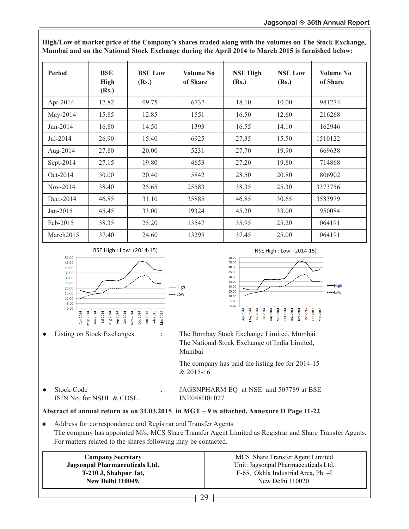**High/Low of market price of the Company's shares traded along with the volumes on The Stock Exchange, Mumbai and on the National Stock Exchange during the April 2014 to March 2015 is furnished below:**

| <b>Period</b> | <b>BSE</b><br><b>High</b><br>(Rs.) | <b>BSE Low</b><br>(Rs.) | <b>Volume No</b><br>of Share | <b>NSE High</b><br>(Rs.) | <b>NSE Low</b><br>(Rs.) | <b>Volume No</b><br>of Share |
|---------------|------------------------------------|-------------------------|------------------------------|--------------------------|-------------------------|------------------------------|
| Apr-2014      | 17.82                              | 09.75                   | 6737                         | 18.10                    | 10.00                   | 981274                       |
| May-2014      | 15.85                              | 12.85                   | 1551                         | 16.50                    | 12.60                   | 216268                       |
| Jun-2014      | 16.80                              | 14.50                   | 1393                         | 16.55                    | 14.10                   | 162946                       |
| Jul-2014      | 26.90                              | 15.40                   | 6925                         | 27.35                    | 15.50                   | 1510122                      |
| Aug-2014      | 27.80                              | 20.00                   | 5231                         | 27.70                    | 19.90                   | 669638                       |
| Sept-2014     | 27.15                              | 19.80                   | 4653                         | 27.20                    | 19.80                   | 714868                       |
| Oct-2014      | 30.00                              | 20.40                   | 5842                         | 28.50                    | 20.80                   | 806902                       |
| Nov-2014      | 38.40                              | 25.65                   | 25583                        | 38.35                    | 25.30                   | 3373756                      |
| Dec.-2014     | 46.85                              | 31.10                   | 35885                        | 46.85                    | 30.65                   | 3583979                      |
| $Jan-2015$    | 45.45                              | 33.00                   | 19324                        | 45.20                    | 33.00                   | 1950084                      |
| Feb-2015      | 38.35                              | 25.20                   | 13547                        | 35.95                    | 25.20                   | 1064191                      |
| March2015     | 37.40                              | 24.60                   | 13295                        | 37.45                    | 25.00                   | 1064191                      |

BSE High : Low (2014-15)



20.00 15.00 10.00  $5.00$  $0.00$ Apr 2014 Nov 2014 Jan 2015 May 2014 Jun 2014 Jul 2014 Aug 2014 Sep 2014 Oct 2014 **Dec 2014** Feb 2015 Mar 2015

NSE High : Low (2014-15)

High

 $---Low$ 

• Listing on Stock Exchanges : The Bombay Stock Exchange Limited, Mumbai The National Stock Exchange of India Limited, Mumbai

50.00

45.00

40.00 35.00

30.00

25.00

The company has paid the listing fee for 2014-15 & 2015-16.

ISIN No. for NSDL & CDSL INE048B01027

• Stock Code : JAGSNPHARM EQ at NSE and 507789 at BSE

# **Abstract of annual return as on 31.03.2015 in MGT – 9 is attached, Annexure D Page 11-22**

• Address for correspondence and Registrar and Transfer Agents The company has appointed M/s. MCS Share Transfer Agent Limited as Registrar and Share Transfer Agents. For matters related to the shares following may be contacted.

**Company Secretary Transfer Agent Limited Company Secretary Agent Limited Jagsonpal Pharmaceuticals Ltd.** | Unit: Jagsonpal Pharmaceuticals Ltd. **T-210 J, Shahpur Jat,** F-65, Okhla Industrial Area, Ph. -I **New Delhi 110049.** New Delhi 110020.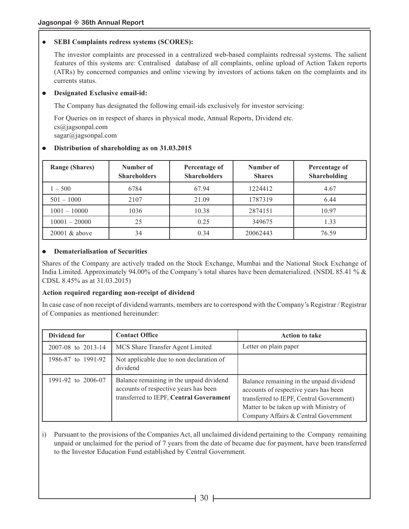# z **SEBI Complaints redress systems (SCORES):**

The investor complaints are processed in a centralized web-based complaints redressal systems. The salient features of this systems are: Centralised database of all complaints, online upload of Action Taken reports (ATRs) by concerned companies and online viewing by investors of actions taken on the complaints and its currents status.

# **•** Designated Exclusive email-id:

The Company has designated the following email-ids exclusively for investor servicing:

For Queries on in respect of shares in physical mode, Annual Reports, Dividend etc. cs@jagsonpal.com sagar@jagsonpal.com

# • Distribution of shareholding as on 31.03.2015

| <b>Range (Shares)</b> | Number of<br><b>Shareholders</b> | Percentage of<br><b>Shareholders</b> | Number of<br><b>Shares</b> | Percentage of<br>Shareholding |
|-----------------------|----------------------------------|--------------------------------------|----------------------------|-------------------------------|
| $1 - 500$             | 6784                             | 67.94                                | 1224412                    | 4.67                          |
| $501 - 1000$          | 2107                             | 21.09                                | 1787319                    | 6.44                          |
| $1001 - 10000$        | 1036                             | 10.38                                | 2874151                    | 10.97                         |
| $10001 - 20000$       | 25                               | 0.25                                 | 349675                     | 1.33                          |
| $20001 \&$ above      | 34                               | 0.34                                 | 20062443                   | 76.59                         |

# **•** Dematerialisation of Securities

Shares of the Company are actively traded on the Stock Exchange, Mumbai and the National Stock Exchange of India Limited. Approximately 94.00% of the Company's total shares have been dematerialized. (NSDL 85.41 % & CDSL 8.45% as at 31.03.2015)

# **Action required regarding non-receipt of dividend**

In case case of non receipt of dividend warrants, members are to correspond with the Company's Registrar / Registrar of Companies as mentioned hereinunder:

| Dividend for       | <b>Contact Office</b>                                                                                                        | <b>Action to take</b>                                                                                                                                                                                           |
|--------------------|------------------------------------------------------------------------------------------------------------------------------|-----------------------------------------------------------------------------------------------------------------------------------------------------------------------------------------------------------------|
| 2007-08 to 2013-14 | MCS Share Transfer Agent Limited                                                                                             | Letter on plain paper                                                                                                                                                                                           |
| 1986-87 to 1991-92 | Not applicable due to non declaration of<br>dividend                                                                         |                                                                                                                                                                                                                 |
| 1991-92 to 2006-07 | Balance remaining in the unpaid dividend<br>accounts of respective years has been<br>transferred to IEPF, Central Government | Balance remaining in the unpaid dividend<br>accounts of respective years has been<br>transferred to IEPF, Central Government)<br>Matter to be taken up with Ministry of<br>Company Affairs & Central Government |

i) Pursuant to the provisions of the Companies Act, all unclaimed dividend pertaining to the Company remaining unpaid or unclaimed for the period of 7 years from the date of became due for payment, have been transferred to the Investor Education Fund established by Central Government.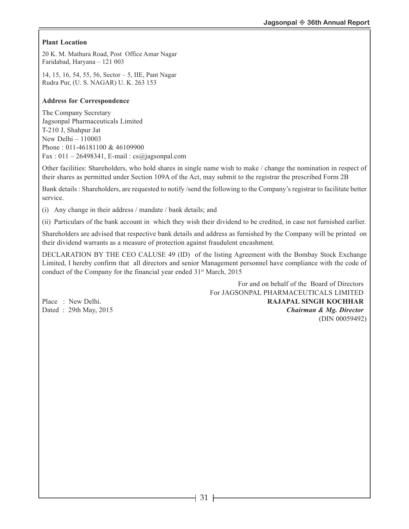# **Plant Location**

20 K. M. Mathura Road, Post Office Amar Nagar Faridabad, Haryana – 121 003

14, 15, 16, 54, 55, 56, Sector – 5, IIE, Pant Nagar Rudra Pur, (U. S. NAGAR) U. K. 263 153

# **Address for Correspondence**

The Company Secretary Jagsonpal Pharmaceuticals Limited T-210 J, Shahpur Jat New Delhi – 110003 Phone: 011-46181100 & 46109900 Fax :  $011 - 26498341$ , E-mail : cs@jagsonpal.com

Other facilities: Shareholders, who hold shares in single name wish to make / change the nomination in respect of their shares as permitted under Section 109A of the Act, may submit to the registrar the prescribed Form 2B

Bank details : Shareholders, are requested to notify /send the following to the Company's registrar to facilitate better service.

(i) Any change in their address / mandate / bank details; and

(ii) Particulars of the bank account in which they wish their dividend to be credited, in case not furnished earlier.

Shareholders are advised that respective bank details and address as furnished by the Company will be printed on their dividend warrants as a measure of protection against fraudulent encashment.

DECLARATION BY THE CEO CALUSE 49 (ID) of the listing Agreement with the Bombay Stock Exchange Limited, I hereby confirm that all directors and senior Management personnel have compliance with the code of conduct of the Company for the financial year ended 31<sup>st</sup> March, 2015

For and on behalf of the Board of Directors For JAGSONPAL PHARMACEUTICALS LIMITED Place : New Delhi. **RAJAPAL SINGH KOCHHAR** Dated : 29th May, 2015 *Chairman & Mg. Director* (DIN 00059492)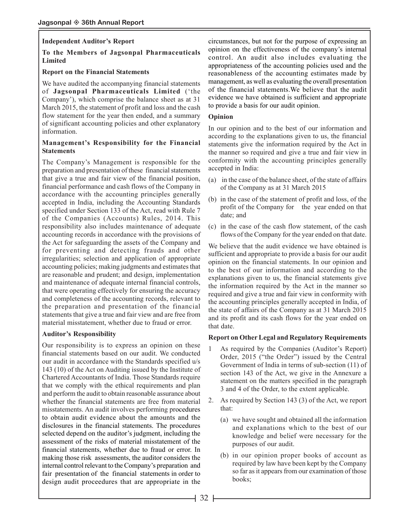#### **Independent Auditor's Report**

#### **To the Members of Jagsonpal Pharmaceuticals Limited**

#### **Report on the Financial Statements**

We have audited the accompanying financial statements of **Jagsonpal Pharmaceuticals Limited** ('the Company'), which comprise the balance sheet as at 31 March 2015, the statement of profit and loss and the cash flow statement for the year then ended, and a summary of significant accounting policies and other explanatory information.

#### **Management's Responsibility for the Financial Statements**

The Company's Management is responsible for the preparation and presentation of these financial statements that give a true and fair view of the financial position, financial performance and cash flows of the Company in accordance with the accounting principles generally accepted in India, including the Accounting Standards specified under Section 133 of the Act, read with Rule 7 of the Companies (Accounts) Rules, 2014. This responsibility also includes maintenance of adequate accounting records in accordance with the provisions of the Act for safeguarding the assets of the Company and for preventing and detecting frauds and other irregularities; selection and application of appropriate accounting policies; making judgments and estimates that are reasonable and prudent; and design, implementation and maintenance of adequate internal financial controls, that were operating effectively for ensuring the accuracy and completeness of the accounting records, relevant to the preparation and presentation of the financial statements that give a true and fair view and are free from material misstatement, whether due to fraud or error.

# **Auditor's Responsibility**

Our responsibility is to express an opinion on these financial statements based on our audit. We conducted our audit in accordance with the Standards specified u/s 143 (10) of the Act on Auditing issued by the Institute of Chartered Accountants of India. Those Standards require that we comply with the ethical requirements and plan and perform the audit to obtain reasonable assurance about whether the financial statements are free from material misstatements. An audit involves performing procedures to obtain audit evidence about the amounts and the disclosures in the financial statements. The procedures selected depend on the auditor's judgment, including the assessment of the risks of material misstatement of the financial statements, whether due to fraud or error. In making those risk assessments, the auditor considers the internal control relevant to the Company's preparation and fair presentation of the financial statements in order to design audit proceedures that are appropriate in the

circumstances, but not for the purpose of expressing an opinion on the effectiveness of the company's internal control. An audit also includes evaluating the appropriateness of the accounting policies used and the reasonableness of the accounting estimates made by management, as well as evaluating the overall presentation of the financial statements.We believe that the audit evidence we have obtained is sufficient and appropriate to provide a basis for our audit opinion.

#### **Opinion**

In our opinion and to the best of our information and according to the explanations given to us, the financial statements give the information required by the Act in the manner so required and give a true and fair view in conformity with the accounting principles generally accepted in India:

- (a) in the case of the balance sheet, of the state of affairs of the Company as at 31 March 2015
- (b) in the case of the statement of profit and loss, of the profit of the Company for the year ended on that date; and
- (c) in the case of the cash flow statement, of the cash flows of the Company for the year ended on that date.

We believe that the audit evidence we have obtained is sufficient and appropriate to provide a basis for our audit opinion on the financial statements. In our opinion and to the best of our information and according to the explanations given to us, the financial statements give the information required by the Act in the manner so required and give a true and fair view in conformity with the accounting principles generally accepted in India, of the state of affairs of the Company as at 31 March 2015 and its profit and its cash flows for the year ended on that date.

#### **Report on Other Legal and Regulatory Requirements**

- 1 As required by the Companies (Auditor's Report) Order, 2015 ("the Order") issued by the Central Government of India in terms of sub-section (11) of section 143 of the Act, we give in the Annexure a statement on the matters specified in the paragraph 3 and 4 of the Order, to the extent applicable.
- 2. As required by Section 143 (3) of the Act, we report that:
	- (a) we have sought and obtained all the information and explanations which to the best of our knowledge and belief were necessary for the purposes of our audit.
	- (b) in our opinion proper books of account as required by law have been kept by the Company so far as it appears from our examination of those books;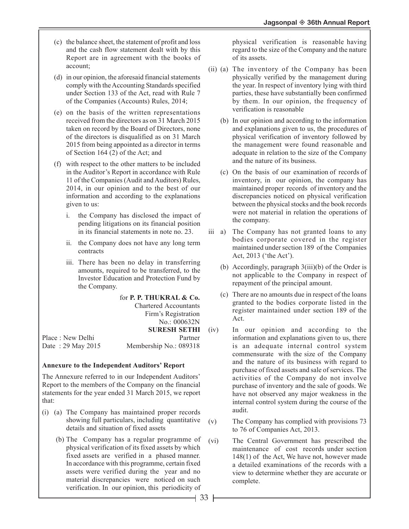- (c) the balance sheet, the statement of profit and loss and the cash flow statement dealt with by this Report are in agreement with the books of account;
- (d) in our opinion, the aforesaid financial statements comply with the Accounting Standards specified under Section 133 of the Act, read with Rule 7 of the Companies (Accounts) Rules, 2014;
- (e) on the basis of the written representations received from the directors as on 31 March 2015 taken on record by the Board of Directors, none of the directors is disqualified as on 31 March 2015 from being appointed as a director in terms of Section 164 (2) of the Act; and
- (f) with respect to the other matters to be included in the Auditor's Report in accordance with Rule 11 of the Companies (Audit and Auditors) Rules, 2014, in our opinion and to the best of our information and according to the explanations given to us:
	- i. the Company has disclosed the impact of pending litigations on its financial position in its financial statements in note no. 23.
	- ii. the Company does not have any long term contracts
	- iii. There has been no delay in transferring amounts, required to be transferred, to the Investor Education and Protection Fund by the Company.

|                   | for P. P. THUKRAL & Co.      |
|-------------------|------------------------------|
|                   | <b>Chartered Accountants</b> |
|                   | Firm's Registration          |
|                   | No.: 000632N                 |
|                   | <b>SURESH SETHI</b>          |
| Place : New Delhi | Partner                      |
| Date: 29 May 2015 | Membership No.: 089318       |
|                   |                              |

# **Annexure to the Independent Auditors' Report**

The Annexure referred to in our Independent Auditors' Report to the members of the Company on the financial statements for the year ended 31 March 2015, we report that:

- (i) (a) The Company has maintained proper records showing full particulars, including quantitative details and situation of fixed assets
	- (b) The Company has a regular programme of physical verification of its fixed assets by which fixed assets are verified in a phased manner. In accordance with this programme, certain fixed assets were verified during the year and no material discrepancies were noticed on such verification. In our opinion, this periodicity of

physical verification is reasonable having regard to the size of the Company and the nature of its assets.

- (ii) (a) The inventory of the Company has been physically verified by the management during the year. In respect of inventory lying with third parties, these have substantially been confirmed by them. In our opinion, the frequency of verification is reasonable
	- (b) In our opinion and according to the information and explanations given to us, the procedures of physical verification of inventory followed by the management were found reasonable and adequate in relation to the size of the Company and the nature of its business.
	- (c) On the basis of our examination of records of inventory, in our opinion, the company has maintained proper records of inventory and the discrepancies noticed on physical verification between the physical stocks and the book records were not material in relation the operations of the company.
- iii a) The Company has not granted loans to any bodies corporate covered in the register maintained under section 189 of the Companies Act, 2013 ('the Act').
	- (b) Accordingly, paragraph  $3(iii)(b)$  of the Order is not applicable to the Company in respect of repayment of the principal amount.
	- (c) There are no amounts due in respect of the loans granted to the bodies corporate listed in the register maintained under section 189 of the Act.
- (iv) In our opinion and according to the information and explanations given to us, there is an adequate internal control system commensurate with the size of the Company and the nature of its business with regard to purchase of fixed assets and sale of services. The activities of the Company do not involve purchase of inventory and the sale of goods. We have not observed any major weakness in the internal control system during the course of the audit.
- (v) The Company has complied with provisions 73 to 76 of Companies Act, 2013.
- (vi) The Central Government has prescribed the maintenance of cost records under section 148(1) of the Act, We have not, however made a detailed examinations of the records with a view to determine whether they are accurate or complete.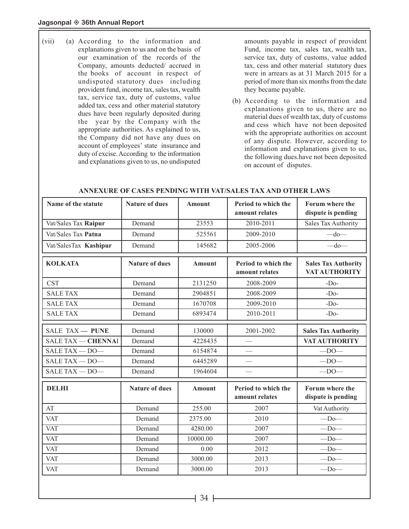(vii) (a) According to the information and explanations given to us and on the basis of our examination of the records of the Company, amounts deducted/ accrued in the books of account in respect of undisputed statutory dues including provident fund, income tax, sales tax, wealth tax, service tax, duty of customs, value added tax, cess and other material statutory dues have been regularly deposited during the year by the Company with the appropriate authorities. As explained to us, the Company did not have any dues on account of employees' state insurance and duty of excise. According to the information and explanations given to us, no undisputed

amounts payable in respect of provident Fund, income tax, sales tax, wealth tax, service tax, duty of customs, value added tax, cess and other material statutory dues were in arrears as at 31 March 2015 for a period of more than six months from the date they became payable.

(b) According to the information and explanations given to us, there are no material dues of wealth tax, duty of customs and cess which have not been deposited with the appropriate authorities on account of any dispute. However, according to information and explanations given to us, the following dues.have not been deposited on account of disputes.

| Name of the statute       | <b>Nature of dues</b> | <b>Amount</b> | Period to which the<br>amount relates | Forum where the<br>dispute is pending              |
|---------------------------|-----------------------|---------------|---------------------------------------|----------------------------------------------------|
| Vat/Sales Tax Raipur      | Demand                | 23553         | 2010-2011                             | <b>Sales Tax Authority</b>                         |
| Vat/Sales Tax Patna       | Demand                | 525561        | 2009-2010                             | $-do-$                                             |
| Vat/SalesTax Kashipur     | Demand                | 145682        | 2005-2006                             | $-do-$                                             |
| <b>KOLKATA</b>            | <b>Nature of dues</b> | Amount        | Period to which the<br>amount relates | <b>Sales Tax Authority</b><br><b>VAT AUTHORITY</b> |
| <b>CST</b>                | Demand                | 2131250       | 2008-2009                             | $-D0$                                              |
| <b>SALE TAX</b>           | Demand                | 2904851       | 2008-2009                             | $-Do-$                                             |
| <b>SALE TAX</b>           | Demand                | 1670708       | 2009-2010                             | $-Do-$                                             |
| <b>SALE TAX</b>           | Demand                | 6893474       | 2010-2011                             | $-Do-$                                             |
| <b>SALE TAX - PUNE</b>    | Demand                | 130000        | 2001-2002                             | <b>Sales Tax Authority</b>                         |
| <b>SALE TAX - CHENNAI</b> | Demand                | 4228435       | $\overline{\phantom{0}}$              | VAT AUTHORITY                                      |
| $SALE$ TAX $-$ DO $-$     | Demand                | 6154874       |                                       | $-DO-$                                             |
| $SALE$ TAX $-$ DO $-$     | Demand                | 6445289       |                                       | $-DO-$                                             |
| $SALE$ TAX $-$ DO $-$     | Demand                | 1964604       | $\overline{\phantom{0}}$              | $-DO-$                                             |
| <b>DELHI</b>              | <b>Nature of dues</b> | Amount        | Period to which the<br>amount relates | Forum where the<br>dispute is pending              |
| AT                        | Demand                | 255.00        | 2007                                  | Vat Authority                                      |
| <b>VAT</b>                | Demand                | 2375.00       | 2010                                  | $-Do-$                                             |
| <b>VAT</b>                | Demand                | 4280.00       | 2007                                  | $-Do$ -                                            |
| <b>VAT</b>                | Demand                | 10000.00      | 2007                                  | $-Do-$                                             |
| <b>VAT</b>                | Demand                | 0.00          | 2012                                  | $-Do-$                                             |
| <b>VAT</b>                | Demand                | 3000.00       | 2013                                  | $-Do-$                                             |
| <b>VAT</b>                | Demand                | 3000.00       | 2013                                  | $-Do-$                                             |

#### **ANNEXURE OF CASES PENDING WITH VAT/SALES TAX AND OTHER LAWS**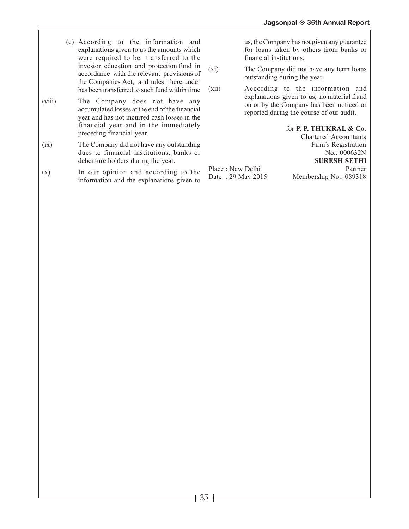- (c) According to the information and explanations given to us the amounts which were required to be transferred to the investor education and protection fund in accordance with the relevant provisions of the Companies Act, and rules there under has been transferred to such fund within time
- (viii) The Company does not have any accumulated losses at the end of the financial year and has not incurred cash losses in the financial year and in the immediately preceding financial year.
- (ix) The Company did not have any outstanding dues to financial institutions, banks or debenture holders during the year.
- (x) In our opinion and according to the information and the explanations given to

us, the Company has not given any guarantee for loans taken by others from banks or financial institutions.

- (xi) The Company did not have any term loans outstanding during the year.
- (xii) According to the information and explanations given to us, no material fraud on or by the Company has been noticed or reported during the course of our audit.

for **P. P. THUKRAL & Co.** Chartered Accountants Firm's Registration No.: 000632N **SURESH SETHI**<br>Partner Date : 29 May 2015 Membership No.: 089318

Place : New Delhi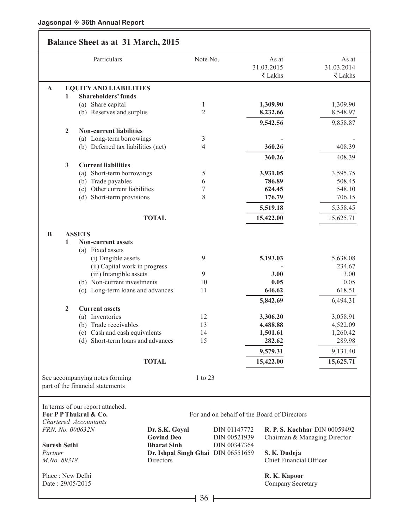# **Balance Sheet as at 31 March, 2015**

|                        |                | Balance Sheet as at 31 March, 2015                                                 |                                                 |                |                                             |                                                                      |                                                |
|------------------------|----------------|------------------------------------------------------------------------------------|-------------------------------------------------|----------------|---------------------------------------------|----------------------------------------------------------------------|------------------------------------------------|
|                        |                | Particulars                                                                        |                                                 | Note No.       |                                             | As at<br>31.03.2015<br>$\bar{z}$ Lakhs                               | As at<br>31.03.2014<br>$\overline{\tau}$ Lakhs |
| $\mathbf A$            |                | <b>EQUITY AND LIABILITIES</b>                                                      |                                                 |                |                                             |                                                                      |                                                |
|                        | 1              | <b>Shareholders' funds</b>                                                         |                                                 |                |                                             |                                                                      |                                                |
|                        |                | (a) Share capital                                                                  |                                                 | 1              |                                             | 1,309.90                                                             | 1,309.90                                       |
|                        |                | (b) Reserves and surplus                                                           |                                                 | $\overline{2}$ |                                             | 8,232.66                                                             | 8,548.97                                       |
|                        |                |                                                                                    |                                                 |                |                                             | 9,542.56                                                             | 9,858.87                                       |
|                        | $\overline{2}$ | <b>Non-current liabilities</b>                                                     |                                                 |                |                                             |                                                                      |                                                |
|                        |                | (a) Long-term borrowings                                                           |                                                 | 3              |                                             |                                                                      |                                                |
|                        |                | (b) Deferred tax liabilities (net)                                                 |                                                 | $\overline{4}$ |                                             | 360.26                                                               | 408.39                                         |
|                        |                |                                                                                    |                                                 |                |                                             | 360.26                                                               | 408.39                                         |
|                        | $\mathbf{3}$   | <b>Current liabilities</b>                                                         |                                                 |                |                                             |                                                                      |                                                |
|                        |                | (a) Short-term borrowings                                                          |                                                 | 5              |                                             | 3,931.05                                                             | 3,595.75                                       |
|                        |                | (b) Trade payables                                                                 |                                                 | 6              |                                             | 786.89                                                               | 508.45<br>548.10                               |
|                        |                | (c) Other current liabilities<br>(d) Short-term provisions                         |                                                 | 7<br>8         |                                             | 624.45<br>176.79                                                     | 706.15                                         |
|                        |                |                                                                                    |                                                 |                |                                             |                                                                      |                                                |
|                        |                |                                                                                    |                                                 |                |                                             | 5,519.18                                                             | 5,358.45                                       |
|                        |                |                                                                                    | <b>TOTAL</b>                                    |                |                                             | 15,422.00                                                            | 15,625.71                                      |
|                        |                |                                                                                    |                                                 |                |                                             |                                                                      |                                                |
| B                      | 1              | <b>ASSETS</b>                                                                      |                                                 |                |                                             |                                                                      |                                                |
|                        |                | <b>Non-current assets</b><br>(a) Fixed assets                                      |                                                 |                |                                             |                                                                      |                                                |
|                        |                | (i) Tangible assets                                                                |                                                 | 9              |                                             | 5,193.03                                                             | 5,638.08                                       |
|                        |                | (ii) Capital work in progress                                                      |                                                 |                |                                             |                                                                      | 234.67                                         |
|                        |                | (iii) Intangible assets                                                            |                                                 | 9              |                                             | 3.00                                                                 | 3.00                                           |
|                        |                | (b) Non-current investments                                                        |                                                 | 10             |                                             | 0.05                                                                 | 0.05                                           |
|                        |                | (c) Long-term loans and advances                                                   |                                                 | 11             |                                             | 646.62                                                               | 618.51                                         |
|                        |                |                                                                                    |                                                 |                |                                             | 5,842.69                                                             | 6,494.31                                       |
|                        | $\overline{2}$ | <b>Current assets</b>                                                              |                                                 |                |                                             |                                                                      |                                                |
|                        |                | (a) Inventories                                                                    |                                                 | 12             |                                             | 3,306.20                                                             | 3,058.91                                       |
|                        |                | (b) Trade receivables                                                              |                                                 | 13             |                                             | 4,488.88                                                             | 4,522.09                                       |
|                        |                | (c) Cash and cash equivalents                                                      |                                                 | 14             |                                             | 1,501.61                                                             | 1,260.42                                       |
|                        |                | (d) Short-term loans and advances                                                  |                                                 | 15             |                                             | 282.62                                                               | 289.98                                         |
|                        |                |                                                                                    |                                                 |                |                                             | 9,579.31                                                             | 9,131.40                                       |
|                        |                |                                                                                    | <b>TOTAL</b>                                    |                |                                             | 15,422.00                                                            | 15,625.71                                      |
|                        |                | See accompanying notes forming<br>part of the financial statements                 |                                                 | 1 to 23        |                                             |                                                                      |                                                |
|                        |                | In terms of our report attached.<br>For P P Thukral & Co.<br>Chartered Accountants |                                                 |                | For and on behalf of the Board of Directors |                                                                      |                                                |
| FRN. No. 000632N       |                |                                                                                    | Dr. S.K. Goyal<br><b>Govind Deo</b>             |                | DIN 01147772<br>DIN 00521939                | <b>R. P. S. Kochhar DIN 00059492</b><br>Chairman & Managing Director |                                                |
| <b>Suresh Sethi</b>    |                |                                                                                    | <b>Bharat Sinh</b>                              |                | DIN 00347364                                |                                                                      |                                                |
| Partner<br>M.No. 89318 |                |                                                                                    | Dr. Ishpal Singh Ghai DIN 06551659<br>Directors |                |                                             | S. K. Dudeja<br>Chief Financial Officer                              |                                                |
|                        |                |                                                                                    |                                                 |                |                                             |                                                                      |                                                |
|                        |                | Place: New Delhi<br>Date: 29/05/2015                                               |                                                 |                |                                             | R. K. Kapoor<br>Company Secretary                                    |                                                |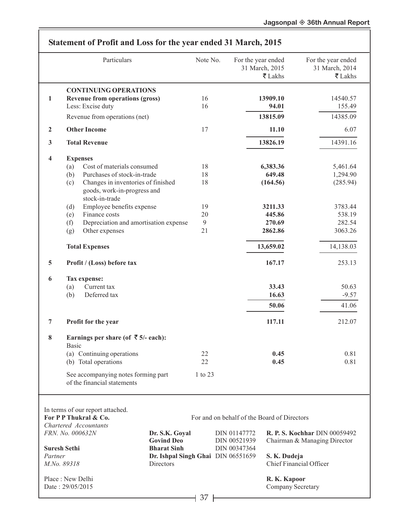|                | Statement of Profit and Loss for the year ended 31 March, 2015           |                                    |                                                                 |                                                                      |
|----------------|--------------------------------------------------------------------------|------------------------------------|-----------------------------------------------------------------|----------------------------------------------------------------------|
|                | Particulars                                                              | Note No.                           | For the year ended<br>31 March, 2015<br>$\overline{\tau}$ Lakhs | For the year ended<br>31 March, 2014<br>$\overline{\tau}$ Lakhs      |
|                | <b>CONTINUING OPERATIONS</b>                                             |                                    |                                                                 |                                                                      |
| 1              | <b>Revenue from operations (gross)</b>                                   | 16                                 | 13909.10                                                        | 14540.57                                                             |
|                | Less: Excise duty                                                        | 16                                 | 94.01                                                           | 155.49                                                               |
|                | Revenue from operations (net)                                            |                                    | 13815.09                                                        | 14385.09                                                             |
| $\overline{2}$ | <b>Other Income</b>                                                      | 17                                 | 11.10                                                           | 6.07                                                                 |
| $\mathbf{3}$   | <b>Total Revenue</b>                                                     |                                    | 13826.19                                                        | 14391.16                                                             |
| 4              | <b>Expenses</b>                                                          |                                    |                                                                 |                                                                      |
|                | Cost of materials consumed<br>(a)                                        | 18                                 | 6,383.36                                                        | 5,461.64                                                             |
|                | Purchases of stock-in-trade<br>(b)                                       | 18                                 | 649.48                                                          | 1,294.90                                                             |
|                | Changes in inventories of finished<br>(c)<br>goods, work-in-progress and | 18                                 | (164.56)                                                        | (285.94)                                                             |
|                | stock-in-trade                                                           |                                    |                                                                 |                                                                      |
|                | Employee benefits expense<br>(d)                                         | 19                                 | 3211.33                                                         | 3783.44                                                              |
|                | Finance costs<br>(e)                                                     | 20                                 | 445.86                                                          | 538.19                                                               |
|                | Depreciation and amortisation expense<br>(f)<br>Other expenses<br>(g)    | 9<br>21                            | 270.69<br>2862.86                                               | 282.54<br>3063.26                                                    |
|                | <b>Total Expenses</b>                                                    |                                    | 13,659.02                                                       | 14,138.03                                                            |
| 5              | Profit / (Loss) before tax                                               |                                    | 167.17                                                          | 253.13                                                               |
| 6              | Tax expense:                                                             |                                    |                                                                 |                                                                      |
|                | Current tax<br>(a)                                                       |                                    | 33.43                                                           | 50.63                                                                |
|                | (b)<br>Deferred tax                                                      |                                    | 16.63                                                           | $-9.57$                                                              |
|                |                                                                          |                                    | 50.06                                                           | 41.06                                                                |
| 7              | Profit for the year                                                      |                                    | 117.11                                                          | 212.07                                                               |
|                |                                                                          |                                    |                                                                 |                                                                      |
| 8              | Earnings per share (of $\bar{z}$ 5/- each):<br><b>Basic</b>              |                                    |                                                                 |                                                                      |
|                | (a) Continuing operations                                                | 22                                 | 0.45                                                            | 0.81                                                                 |
|                | (b) Total operations                                                     | 22                                 | 0.45                                                            | 0.81                                                                 |
|                | See accompanying notes forming part<br>of the financial statements       | 1 to 23                            |                                                                 |                                                                      |
|                |                                                                          |                                    |                                                                 |                                                                      |
|                | In terms of our report attached.<br>For P P Thukral & Co.                |                                    | For and on behalf of the Board of Directors                     |                                                                      |
|                | Chartered Accountants                                                    |                                    |                                                                 |                                                                      |
|                | FRN. No. 000632N<br>Dr. S.K. Goyal<br><b>Govind Deo</b>                  |                                    | DIN 01147772<br>DIN 00521939                                    | <b>R. P. S. Kochhar DIN 00059492</b><br>Chairman & Managing Director |
|                | <b>Bharat Sinh</b><br><b>Suresh Sethi</b>                                |                                    | DIN 00347364                                                    |                                                                      |
| Partner        |                                                                          | Dr. Ishpal Singh Ghai DIN 06551659 | S. K. Dudeja                                                    |                                                                      |
|                | M.No. 89318<br>Directors                                                 |                                    |                                                                 | Chief Financial Officer                                              |

Place : New Delhi

Г

Place : New Delhi<br>Date : 29/05/2015 Company Secretary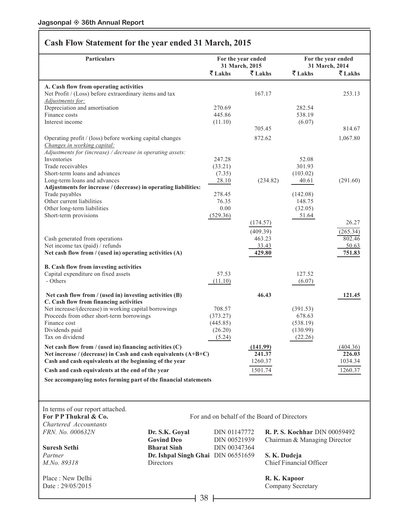# **Cash Flow Statement for the year ended 31 March, 2015**

| <b>Particulars</b>                                                                                                       |                                    |                                             |                         |              |                                      |                    |  |
|--------------------------------------------------------------------------------------------------------------------------|------------------------------------|---------------------------------------------|-------------------------|--------------|--------------------------------------|--------------------|--|
|                                                                                                                          |                                    | For the year ended                          | 31 March, 2015          |              | For the year ended<br>31 March, 2014 |                    |  |
|                                                                                                                          |                                    | ₹ Lakhs                                     | $\overline{\tau}$ Lakhs |              | ₹ Lakhs                              | $\bar{z}$ Lakhs    |  |
| A. Cash flow from operating activities                                                                                   |                                    |                                             |                         |              |                                      |                    |  |
| Net Profit / (Loss) before extraordinary items and tax<br>Adjustments for:                                               |                                    |                                             |                         | 167.17       |                                      | 253.13             |  |
| Depreciation and amortisation                                                                                            |                                    | 270.69                                      |                         |              | 282.54                               |                    |  |
| Finance costs                                                                                                            |                                    | 445.86                                      |                         |              | 538.19                               |                    |  |
| Interest income                                                                                                          |                                    | (11.10)                                     |                         |              | (6.07)                               |                    |  |
|                                                                                                                          |                                    |                                             | 705.45                  |              |                                      | 814.67             |  |
| Operating profit / (loss) before working capital changes                                                                 |                                    |                                             | 872.62                  |              |                                      | 1,067.80           |  |
| Changes in working capital:                                                                                              |                                    |                                             |                         |              |                                      |                    |  |
| Adjustments for (increase) / decrease in operating assets:<br>Inventories                                                |                                    | 247.28                                      |                         |              | 52.08                                |                    |  |
| Trade receivables                                                                                                        |                                    | (33.21)                                     |                         |              | 301.93                               |                    |  |
| Short-term loans and advances                                                                                            |                                    | (7.35)                                      |                         |              | (103.02)                             |                    |  |
| Long-term loans and advances                                                                                             |                                    | 28.10                                       |                         | (234.82)     | 40.61                                | (291.60)           |  |
| Adjustments for increase / (decrease) in operating liabilities:                                                          |                                    |                                             |                         |              |                                      |                    |  |
| Trade payables                                                                                                           |                                    | 278.45                                      |                         |              | (142.08)                             |                    |  |
| Other current liabilities<br>Other long-term liabilities                                                                 |                                    | 76.35<br>0.00                               |                         |              | 148.75                               |                    |  |
| Short-term provisions                                                                                                    |                                    | (529.36)                                    |                         |              | (32.05)<br>51.64                     |                    |  |
|                                                                                                                          |                                    |                                             | (174.57)                |              |                                      | 26.27              |  |
|                                                                                                                          |                                    |                                             | (409.39)                |              |                                      | (265.34)           |  |
| Cash generated from operations                                                                                           |                                    |                                             | 463.23                  |              |                                      | 802.46             |  |
| Net income tax (paid) / refunds                                                                                          |                                    |                                             |                         | 33.43        |                                      | 50.63              |  |
| Net cash flow from $/$ (used in) operating activities $(A)$                                                              |                                    |                                             |                         | 429.80       |                                      | 751.83             |  |
| <b>B.</b> Cash flow from investing activities                                                                            |                                    |                                             |                         |              |                                      |                    |  |
| Capital expenditure on fixed assets                                                                                      |                                    | 57.53                                       |                         |              | 127.52                               |                    |  |
| - Others                                                                                                                 |                                    | (11.10)                                     |                         |              | (6.07)                               |                    |  |
|                                                                                                                          |                                    |                                             |                         |              |                                      |                    |  |
| Net cash flow from / (used in) investing activities (B)<br>C. Cash flow from financing activities                        |                                    |                                             |                         | 46.43        |                                      | 121.45             |  |
| Net increase/(decrease) in working capital borrowings                                                                    |                                    | 708.57                                      |                         |              | (391.53)                             |                    |  |
| Proceeds from other short-term borrowings                                                                                |                                    | (373.27)                                    |                         |              | 678.63                               |                    |  |
| Finance cost                                                                                                             |                                    | (445.85)                                    |                         |              | (538.19)                             |                    |  |
| Dividends paid                                                                                                           |                                    | (26.20)                                     |                         |              | (130.99)                             |                    |  |
| Tax on dividend                                                                                                          |                                    | (5.24)                                      |                         |              | (22.26)                              |                    |  |
| Net cash flow from $/$ (used in) financing activities $(C)$                                                              |                                    |                                             | (141.99)                |              |                                      | (404.36)           |  |
| Net increase / (decrease) in Cash and cash equivalents (A+B+C)<br>Cash and cash equivalents at the beginning of the year |                                    |                                             | 241.37                  |              |                                      | 226.03             |  |
|                                                                                                                          |                                    |                                             | 1260.37<br>1501.74      |              |                                      | 1034.34<br>1260.37 |  |
| Cash and cash equivalents at the end of the year                                                                         |                                    |                                             |                         |              |                                      |                    |  |
| See accompanying notes forming part of the financial statements                                                          |                                    |                                             |                         |              |                                      |                    |  |
|                                                                                                                          |                                    |                                             |                         |              |                                      |                    |  |
|                                                                                                                          |                                    |                                             |                         |              |                                      |                    |  |
| In terms of our report attached.<br>For P P Thukral & Co.                                                                |                                    |                                             |                         |              |                                      |                    |  |
| Chartered Accountants                                                                                                    |                                    | For and on behalf of the Board of Directors |                         |              |                                      |                    |  |
| FRN. No. 000632N                                                                                                         | Dr. S.K. Goyal                     | DIN 01147772                                |                         |              | <b>R. P. S. Kochhar DIN 00059492</b> |                    |  |
|                                                                                                                          | <b>Govind Deo</b>                  | DIN 00521939                                |                         |              | Chairman & Managing Director         |                    |  |
| <b>Suresh Sethi</b>                                                                                                      | <b>Bharat Sinh</b>                 | DIN 00347364                                |                         |              |                                      |                    |  |
| Partner                                                                                                                  | Dr. Ishpal Singh Ghai DIN 06551659 |                                             |                         | S. K. Dudeja |                                      |                    |  |
| M.No. 89318                                                                                                              | Directors                          |                                             |                         |              | Chief Financial Officer              |                    |  |
|                                                                                                                          |                                    |                                             |                         |              |                                      |                    |  |
| Place: New Delhi                                                                                                         |                                    |                                             |                         |              | R. K. Kapoor                         |                    |  |
| Date: 29/05/2015                                                                                                         |                                    |                                             |                         |              | Company Secretary                    |                    |  |

Company Secretary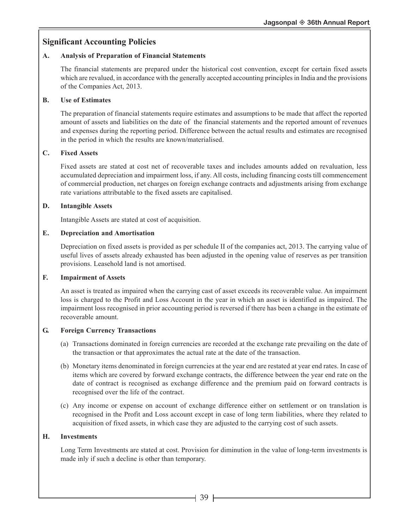# **Significant Accounting Policies**

# **A. Analysis of Preparation of Financial Statements**

The financial statements are prepared under the historical cost convention, except for certain fixed assets which are revalued, in accordance with the generally accepted accounting principles in India and the provisions of the Companies Act, 2013.

# **B. Use of Estimates**

The preparation of financial statements require estimates and assumptions to be made that affect the reported amount of assets and liabilities on the date of the financial statements and the reported amount of revenues and expenses during the reporting period. Difference between the actual results and estimates are recognised in the period in which the results are known/materialised.

# **C. Fixed Assets**

Fixed assets are stated at cost net of recoverable taxes and includes amounts added on revaluation, less accumulated depreciation and impairment loss, if any. All costs, including financing costs till commencement of commercial production, net charges on foreign exchange contracts and adjustments arising from exchange rate variations attributable to the fixed assets are capitalised.

# **D. Intangible Assets**

Intangible Assets are stated at cost of acquisition.

# **E. Depreciation and Amortisation**

Depreciation on fixed assets is provided as per schedule II of the companies act, 2013. The carrying value of useful lives of assets already exhausted has been adjusted in the opening value of reserves as per transition provisions. Leasehold land is not amortised.

# **F. Impairment of Assets**

An asset is treated as impaired when the carrying cast of asset exceeds its recoverable value. An impairment loss is charged to the Profit and Loss Account in the year in which an asset is identified as impaired. The impairment loss recognised in prior accounting period is reversed if there has been a change in the estimate of recoverable amount.

# **G. Foreign Currency Transactions**

- (a) Transactions dominated in foreign currencies are recorded at the exchange rate prevailing on the date of the transaction or that approximates the actual rate at the date of the transaction.
- (b) Monetary items denominated in foreign currencies at the year end are restated at year end rates. In case of items which are covered by forward exchange contracts, the difference between the year end rate on the date of contract is recognised as exchange difference and the premium paid on forward contracts is recognised over the life of the contract.
- (c) Any income or expense on account of exchange difference either on settlement or on translation is recognised in the Profit and Loss account except in case of long term liabilities, where they related to acquisition of fixed assets, in which case they are adjusted to the carrying cost of such assets.

# **H. Investments**

Long Term Investments are stated at cost. Provision for diminution in the value of long-term investments is made inly if such a decline is other than temporary.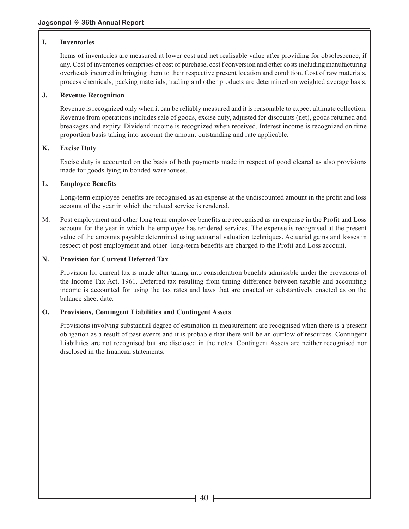## **I. Inventories**

Items of inventories are measured at lower cost and net realisable value after providing for obsolescence, if any. Cost of inventories comprises of cost of purchase, cost f conversion and other costs including manufacturing overheads incurred in bringing them to their respective present location and condition. Cost of raw materials, process chemicals, packing materials, trading and other products are determined on weighted average basis.

#### **J. Revenue Recognition**

Revenue is recognized only when it can be reliably measured and it is reasonable to expect ultimate collection. Revenue from operations includes sale of goods, excise duty, adjusted for discounts (net), goods returned and breakages and expiry. Dividend income is recognized when received. Interest income is recognized on time proportion basis taking into account the amount outstanding and rate applicable.

### **K. Excise Duty**

Excise duty is accounted on the basis of both payments made in respect of good cleared as also provisions made for goods lying in bonded warehouses.

### **L. Employee Benefits**

Long-term employee benefits are recognised as an expense at the undiscounted amount in the profit and loss account of the year in which the related service is rendered.

M. Post employment and other long term employee benefits are recognised as an expense in the Profit and Loss account for the year in which the employee has rendered services. The expense is recognised at the present value of the amounts payable determined using actuarial valuation techniques. Actuarial gains and losses in respect of post employment and other long-term benefits are charged to the Profit and Loss account.

### **N. Provision for Current Deferred Tax**

Provision for current tax is made after taking into consideration benefits admissible under the provisions of the Income Tax Act, 1961. Deferred tax resulting from timing difference between taxable and accounting income is accounted for using the tax rates and laws that are enacted or substantively enacted as on the balance sheet date.

#### **O. Provisions, Contingent Liabilities and Contingent Assets**

Provisions involving substantial degree of estimation in measurement are recognised when there is a present obligation as a result of past events and it is probable that there will be an outflow of resources. Contingent Liabilities are not recognised but are disclosed in the notes. Contingent Assets are neither recognised nor disclosed in the financial statements.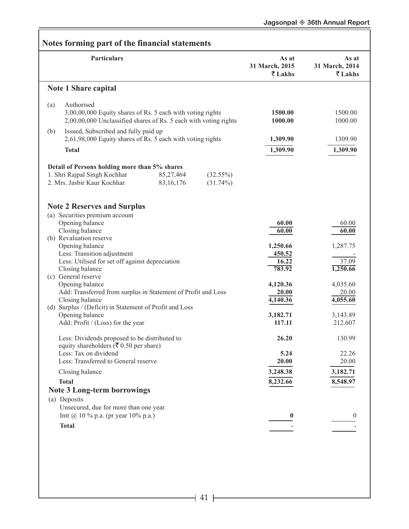| <b>Particulars</b>                                                                                                                                                                                                                                                                                                                                                                                                                                                                                             |                        |                         | As at<br>31 March, 2015<br>₹ Lakhs                                                                             | As at<br>31 March, 2014<br>₹ Lakhs                                                                      |
|----------------------------------------------------------------------------------------------------------------------------------------------------------------------------------------------------------------------------------------------------------------------------------------------------------------------------------------------------------------------------------------------------------------------------------------------------------------------------------------------------------------|------------------------|-------------------------|----------------------------------------------------------------------------------------------------------------|---------------------------------------------------------------------------------------------------------|
| <b>Note 1 Share capital</b>                                                                                                                                                                                                                                                                                                                                                                                                                                                                                    |                        |                         |                                                                                                                |                                                                                                         |
| Authorised<br>(a)<br>3,00,00,000 Equity shares of Rs. 5 each with voting rights<br>2,00,00,000 Unclassified shares of Rs. 5 each with voting rights<br>Issued, Subscribed and fully paid up<br>(b)<br>2,61,98,000 Equity shares of Rs. 5 each with voting rights                                                                                                                                                                                                                                               |                        |                         | 1500.00<br>1000.00<br>1,309.90                                                                                 | 1500.00<br>1000.00<br>1309.90                                                                           |
| <b>Total</b>                                                                                                                                                                                                                                                                                                                                                                                                                                                                                                   |                        |                         | 1,309.90                                                                                                       | 1,309.90                                                                                                |
| Detail of Persons holding more than 5% shares<br>1. Shri Rajpal Singh Kochhar<br>2. Mrs. Jasbir Kaur Kochhar                                                                                                                                                                                                                                                                                                                                                                                                   | 85,27,464<br>83,16,176 | (32.55%)<br>$(31.74\%)$ |                                                                                                                |                                                                                                         |
| <b>Note 2 Reserves and Surplus</b><br>(a) Securities premium account<br>Opening balance<br>Closing balance<br>(b) Revaluation reserve<br>Opening balance<br>Less: Transition adjustment<br>Less: Utilised for set off against depreciation<br>Closing balance<br>(c) General reserve<br>Opening balance<br>Add: Transferred from surplus in Statement of Profit and Loss<br>Closing balance<br>(d) Surplus / (Deficit) in Statement of Profit and Loss<br>Opening balance<br>Add: Profit / (Loss) for the year |                        |                         | 60.00<br>60.00<br>1,250.66<br>450.52<br>16.22<br>783.92<br>4,120.36<br>20.00<br>4,140.36<br>3,182.71<br>117.11 | 60.00<br>60.00<br>1,287.75<br>37.09<br>1,250.66<br>4,035.60<br>20.00<br>4,055.60<br>3,143.89<br>212.607 |
| Less: Dividends proposed to be distributed to<br>equity shareholders ( $\bar{\mathfrak{c}}$ 0.50 per share)<br>Less: Tax on dividend<br>Less: Transferred to General reserve<br>Closing balance<br><b>Total</b><br><b>Note 3 Long-term borrowings</b><br>(a) Deposits<br>Unsecured, due for more than one year.                                                                                                                                                                                                |                        |                         | 26.20<br>5.24<br>20.00<br>3,248.38<br>8,232.66                                                                 | 130.99<br>22.26<br>20.00<br>3,182.71<br>8,548.97                                                        |
| Intt @ 10 % p.a. (pr year $10\%$ p.a.)                                                                                                                                                                                                                                                                                                                                                                                                                                                                         |                        |                         | $\bf{0}$                                                                                                       | $\theta$                                                                                                |
| <b>Total</b>                                                                                                                                                                                                                                                                                                                                                                                                                                                                                                   |                        |                         |                                                                                                                |                                                                                                         |

Ē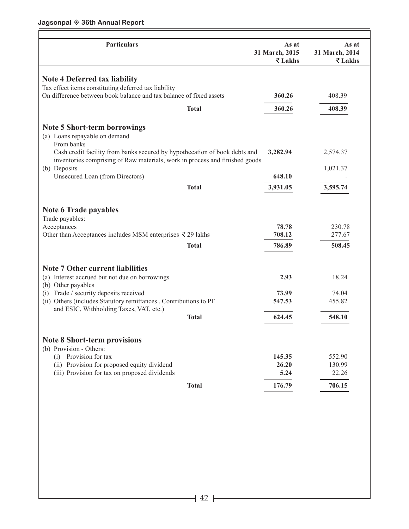# **Jagsonpal 36th Annual Report**

| <b>Particulars</b>                                                                                                                                                                                                                                                                       | As at<br>31 March, 2015<br>₹ Lakhs | As at<br>31 March, 2014<br>₹ Lakhs  |
|------------------------------------------------------------------------------------------------------------------------------------------------------------------------------------------------------------------------------------------------------------------------------------------|------------------------------------|-------------------------------------|
| <b>Note 4 Deferred tax liability</b>                                                                                                                                                                                                                                                     |                                    |                                     |
| Tax effect items constituting deferred tax liability<br>On difference between book balance and tax balance of fixed assets                                                                                                                                                               | 360.26                             | 408.39                              |
| <b>Total</b>                                                                                                                                                                                                                                                                             | 360.26                             | 408.39                              |
| <b>Note 5 Short-term borrowings</b><br>(a) Loans repayable on demand<br>From banks<br>Cash credit facility from banks secured by hypothecation of book debts and<br>inventories comprising of Raw materials, work in process and finished goods                                          | 3,282.94                           | 2,574.37                            |
| (b) Deposits<br><b>Unsecured Loan (from Directors)</b>                                                                                                                                                                                                                                   | 648.10                             | 1,021.37                            |
| <b>Total</b>                                                                                                                                                                                                                                                                             | 3,931.05                           | 3,595.74                            |
| <b>Note 6 Trade payables</b><br>Trade payables:<br>Acceptances<br>Other than Acceptances includes MSM enterprises $\bar{\tau}$ 29 lakhs<br><b>Total</b>                                                                                                                                  | 78.78<br>708.12<br>786.89          | 230.78<br>277.67<br>508.45          |
| <b>Note 7 Other current liabilities</b><br>(a) Interest accrued but not due on borrowings<br>(b) Other payables<br>(i) Trade / security deposits received<br>(ii) Others (includes Statutory remittances, Contributions to PF<br>and ESIC, Withholding Taxes, VAT, etc.)<br><b>Total</b> | 2.93<br>73.99<br>547.53<br>624.45  | 18.24<br>74.04<br>455.82<br>548.10  |
| <b>Note 8 Short-term provisions</b><br>(b) Provision - Others:<br>(i) Provision for tax<br>(ii) Provision for proposed equity dividend<br>(iii) Provision for tax on proposed dividends<br><b>Total</b>                                                                                  | 145.35<br>26.20<br>5.24<br>176.79  | 552.90<br>130.99<br>22.26<br>706.15 |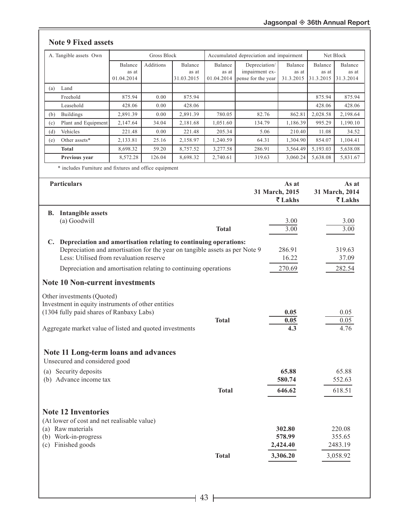|                                                                                                                                                                                                                                                                                                                               | <b>Note 9 Fixed assets</b>                                                                                                                                                              |                     |             |                     |                     |                                         |                                          |                    |                                         |
|-------------------------------------------------------------------------------------------------------------------------------------------------------------------------------------------------------------------------------------------------------------------------------------------------------------------------------|-----------------------------------------------------------------------------------------------------------------------------------------------------------------------------------------|---------------------|-------------|---------------------|---------------------|-----------------------------------------|------------------------------------------|--------------------|-----------------------------------------|
|                                                                                                                                                                                                                                                                                                                               | A. Tangible assets Own                                                                                                                                                                  |                     | Gross Block |                     |                     | Accumulated depreciation and impairment |                                          |                    | Net Block                               |
|                                                                                                                                                                                                                                                                                                                               |                                                                                                                                                                                         | Balance             | Additions   | Balance             | Balance             | Depreciation/                           | Balance                                  | Balance            | Balance                                 |
|                                                                                                                                                                                                                                                                                                                               |                                                                                                                                                                                         | as at<br>01.04.2014 |             | as at<br>31.03.2015 | as at<br>01.04.2014 | impairment ex-<br>pense for the year    | as at<br>31.3.2015                       | as at<br>31.3.2015 | as at<br>31.3.2014                      |
| (a)                                                                                                                                                                                                                                                                                                                           | Land                                                                                                                                                                                    |                     |             |                     |                     |                                         |                                          |                    |                                         |
|                                                                                                                                                                                                                                                                                                                               | Freehold                                                                                                                                                                                | 875.94              | 0.00        | 875.94              |                     |                                         |                                          | 875.94             | 875.94                                  |
|                                                                                                                                                                                                                                                                                                                               | Leasehold                                                                                                                                                                               | 428.06              | 0.00        | 428.06              |                     |                                         |                                          | 428.06             | 428.06                                  |
| (b)                                                                                                                                                                                                                                                                                                                           | <b>Buildings</b>                                                                                                                                                                        | 2,891.39            | 0.00        | 2,891.39            | 780.05              | 82.76                                   | 862.81                                   | 2,028.58           | 2,198.64                                |
| (c)                                                                                                                                                                                                                                                                                                                           | Plant and Equipment                                                                                                                                                                     | 2,147.64            | 34.04       | 2,181.68            | 1,051.60            | 134.79                                  | 1,186.39                                 | 995.29             | 1,190.10                                |
| (d)                                                                                                                                                                                                                                                                                                                           | Vehicles                                                                                                                                                                                | 221.48              | 0.00        | 221.48              | 205.34              | 5.06                                    | 210.40                                   | 11.08              | 34.52                                   |
| (e)                                                                                                                                                                                                                                                                                                                           | Other assets*                                                                                                                                                                           | 2,133.81            | 25.16       | 2,158.97            | 1,240.59            | 64.31                                   | 1,304.90                                 | 854.07             | 1,104.41                                |
|                                                                                                                                                                                                                                                                                                                               | <b>Total</b>                                                                                                                                                                            | 8,698.32            | 59.20       | 8,757.52            | 3,277.58            | 286.91                                  | 3,564.49                                 | 5,193.03           | 5,638.08                                |
|                                                                                                                                                                                                                                                                                                                               | Previous year                                                                                                                                                                           | 8,572.28            | 126.04      | 8,698.32            | 2,740.61            | 319.63                                  | 3,060.24                                 | 5,638.08           | 5,831.67                                |
|                                                                                                                                                                                                                                                                                                                               | * includes Furniture and fixtures and office equipment                                                                                                                                  |                     |             |                     |                     |                                         |                                          |                    |                                         |
|                                                                                                                                                                                                                                                                                                                               | <b>Particulars</b>                                                                                                                                                                      |                     |             |                     |                     |                                         | As at                                    |                    | As at                                   |
|                                                                                                                                                                                                                                                                                                                               |                                                                                                                                                                                         |                     |             |                     |                     | 31 March, 2015                          | ₹ Lakhs                                  |                    | 31 March, 2014<br>$\bar{z}$ Lakhs       |
| В.                                                                                                                                                                                                                                                                                                                            | Intangible assets<br>(a) Goodwill                                                                                                                                                       |                     |             |                     | <b>Total</b>        |                                         | 3.00<br>3.00                             |                    | 3.00<br>3.00                            |
| Depreciation and amortisation relating to continuing operations:<br>C.<br>Depreciation and amortisation for the year on tangible assets as per Note 9<br>286.91<br>319.63<br>Less: Utilised from revaluation reserve<br>16.22<br>37.09<br>Depreciation and amortisation relating to continuing operations<br>270.69<br>282.54 |                                                                                                                                                                                         |                     |             |                     |                     |                                         |                                          |                    |                                         |
|                                                                                                                                                                                                                                                                                                                               | <b>Note 10 Non-current investments</b>                                                                                                                                                  |                     |             |                     |                     |                                         |                                          |                    |                                         |
|                                                                                                                                                                                                                                                                                                                               | Other investments (Quoted)<br>Investment in equity instruments of other entities<br>(1304 fully paid shares of Ranbaxy Labs)<br>Aggregate market value of listed and quoted investments |                     |             |                     | <b>Total</b>        |                                         | 0.05<br>0.05<br>4.3                      |                    | 0.05<br>0.05<br>4.76                    |
|                                                                                                                                                                                                                                                                                                                               | Note 11 Long-term loans and advances<br>Unsecured and considered good<br>(a) Security deposits                                                                                          |                     |             |                     |                     |                                         | 65.88                                    |                    | 65.88                                   |
|                                                                                                                                                                                                                                                                                                                               | (b) Advance income tax                                                                                                                                                                  |                     |             |                     |                     |                                         | 580.74                                   |                    | 552.63                                  |
|                                                                                                                                                                                                                                                                                                                               |                                                                                                                                                                                         |                     |             |                     | <b>Total</b>        |                                         | 646.62                                   |                    | 618.51                                  |
|                                                                                                                                                                                                                                                                                                                               | <b>Note 12 Inventories</b><br>(At lower of cost and net realisable value)<br>(a) Raw materials<br>(b) Work-in-progress<br>(c) Finished goods                                            |                     |             |                     | <b>Total</b>        |                                         | 302.80<br>578.99<br>2,424.40<br>3,306.20 |                    | 220.08<br>355.65<br>2483.19<br>3,058.92 |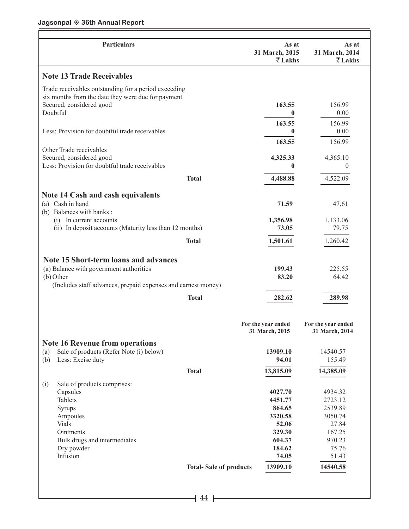# **Jagsonpal 36th Annual Report**

| Particulars                                                   |                               | As at<br>31 March, 2015<br>₹ Lakhs          | As at<br>31 March, 2014<br>₹ Lakhs   |
|---------------------------------------------------------------|-------------------------------|---------------------------------------------|--------------------------------------|
| <b>Note 13 Trade Receivables</b>                              |                               |                                             |                                      |
| Trade receivables outstanding for a period exceeding          |                               |                                             |                                      |
| six months from the date they were due for payment            |                               |                                             |                                      |
| Secured, considered good<br>Doubtful                          |                               | 163.55                                      | 156.99                               |
|                                                               |                               | 0                                           | 0.00                                 |
| Less: Provision for doubtful trade receivables                |                               | 163.55<br>0                                 | 156.99<br>0.00                       |
|                                                               |                               | 163.55                                      | 156.99                               |
| Other Trade receivables                                       |                               |                                             |                                      |
| Secured, considered good                                      |                               | 4,325.33                                    | 4,365.10                             |
| Less: Provision for doubtful trade receivables                |                               | $\boldsymbol{0}$                            | $\mathbf{0}$                         |
|                                                               | <b>Total</b>                  | 4,488.88                                    | 4,522.09                             |
|                                                               |                               |                                             |                                      |
| Note 14 Cash and cash equivalents                             |                               |                                             |                                      |
| (a) Cash in hand                                              |                               | 71.59                                       | 47,61                                |
| (b) Balances with banks:<br>In current accounts<br>(i)        |                               | 1,356.98                                    | 1,133.06                             |
| (ii) In deposit accounts (Maturity less than 12 months)       |                               | 73.05                                       | 79.75                                |
|                                                               | <b>Total</b>                  | 1,501.61                                    | 1,260.42                             |
|                                                               |                               |                                             |                                      |
| <b>Note 15 Short-term loans and advances</b>                  |                               |                                             |                                      |
| (a) Balance with government authorities                       |                               | 199.43                                      | 225.55                               |
| (b) Other                                                     |                               | 83.20                                       | 64.42                                |
| (Includes staff advances, prepaid expenses and earnest money) |                               |                                             |                                      |
|                                                               | <b>Total</b>                  | 282.62                                      | 289.98                               |
|                                                               |                               |                                             |                                      |
|                                                               |                               | For the year ended<br><b>31 March, 2015</b> | For the year ended<br>31 March, 2014 |
| <b>Note 16 Revenue from operations</b>                        |                               |                                             |                                      |
| Sale of products (Refer Note (i) below)<br>(a)                |                               | 13909.10                                    | 14540.57                             |
| Less: Excise duty<br>(b)                                      |                               | 94.01                                       | 155.49                               |
|                                                               | <b>Total</b>                  | 13,815.09                                   | 14,385.09                            |
| Sale of products comprises:<br>(i)                            |                               |                                             |                                      |
| Capsules                                                      |                               | 4027.70                                     | 4934.32                              |
| Tablets                                                       |                               | 4451.77                                     | 2723.12                              |
| Syrups                                                        |                               | 864.65                                      | 2539.89                              |
| Ampoules<br>Vials                                             |                               | 3320.58                                     | 3050.74<br>27.84                     |
| Ointments                                                     |                               | 52.06<br>329.30                             | 167.25                               |
| Bulk drugs and intermediates                                  |                               | 604.37                                      | 970.23                               |
| Dry powder                                                    |                               | 184.62                                      | 75.76                                |
| Infusion                                                      |                               | 74.05                                       | 51.43                                |
|                                                               | <b>Total-Sale of products</b> | 13909.10                                    | 14540.58                             |
|                                                               |                               |                                             |                                      |
|                                                               |                               |                                             |                                      |
|                                                               | 44 F                          |                                             |                                      |
|                                                               |                               |                                             |                                      |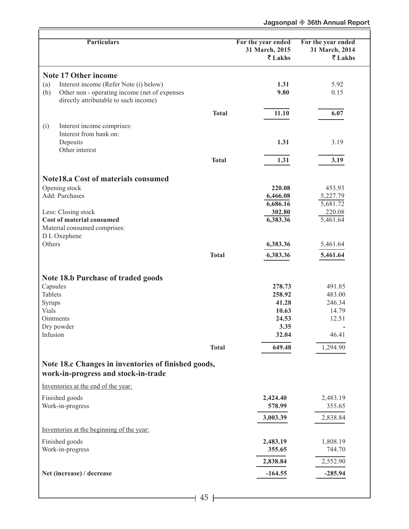| <b>Particulars</b>                                                                            | For the year ended<br>31 March, 2015<br>$\bar{z}$ Lakhs | For the year ended<br>31 March, 2014<br>₹ Lakhs |
|-----------------------------------------------------------------------------------------------|---------------------------------------------------------|-------------------------------------------------|
| <b>Note 17 Other income</b>                                                                   |                                                         |                                                 |
| Interest income (Refer Note (i) below)<br>(a)                                                 | 1.31                                                    | 5.92                                            |
| (b)<br>Other non - operating income (net of expenses<br>directly attributable to such income) | 9.80                                                    | 0.15                                            |
| <b>Total</b>                                                                                  | 11.10                                                   | 6.07                                            |
| Interest income comprises:<br>(i)                                                             |                                                         |                                                 |
| Interest from bank on:                                                                        |                                                         |                                                 |
| Deposits<br>Other interest                                                                    | 1.31                                                    | 3.19                                            |
| <b>Total</b>                                                                                  | 1.31                                                    | 3.19                                            |
|                                                                                               |                                                         |                                                 |
| <b>Note18.a Cost of materials consumed</b>                                                    |                                                         |                                                 |
| Opening stock                                                                                 | 220.08                                                  | 453.93                                          |
| Add: Purchases                                                                                | 6,466.08                                                | 5,227.79                                        |
|                                                                                               | 6,686.16<br>302.80                                      | $5,681.\overline{72}$                           |
| Less: Closing stock<br><b>Cost of material consumed</b>                                       | 6,383.36                                                | 220.08<br>5,461.64                              |
| Material consumed comprises:                                                                  |                                                         |                                                 |
| D L Oxephene                                                                                  |                                                         |                                                 |
| Others                                                                                        | 6,383.36                                                | 5,461.64                                        |
| <b>Total</b>                                                                                  | 6,383.36                                                | 5,461.64                                        |
|                                                                                               |                                                         |                                                 |
| <b>Note 18.b Purchase of traded goods</b>                                                     |                                                         |                                                 |
| Capsules<br>Tablets                                                                           | 278.73<br>258.92                                        | 491.85<br>483.00                                |
| Syrups                                                                                        | 41.28                                                   | 246.34                                          |
| Vials                                                                                         | 10.63                                                   | 14.79                                           |
| Ointments                                                                                     | 24.53                                                   | 12.51                                           |
| Dry powder                                                                                    | 3.35                                                    |                                                 |
| Infusion                                                                                      | 32.04                                                   | 46.41                                           |
| <b>Total</b>                                                                                  | 649.48                                                  | 1,294.90                                        |
| Note 18.c Changes in inventories of finished goods,                                           |                                                         |                                                 |
| work-in-progress and stock-in-trade                                                           |                                                         |                                                 |
| Inventories at the end of the year:                                                           |                                                         |                                                 |
| Finished goods                                                                                | 2,424.40                                                | 2,483.19                                        |
| Work-in-progress                                                                              | 578.99                                                  | 355.65                                          |
|                                                                                               | 3,003.39                                                | 2,838.84                                        |
| Inventories at the beginning of the year:                                                     |                                                         |                                                 |
|                                                                                               |                                                         |                                                 |
| Finished goods<br>Work-in-progress                                                            | 2,483.19<br>355.65                                      | 1,808.19<br>744.70                              |
|                                                                                               |                                                         |                                                 |
|                                                                                               | 2,838.84                                                | 2,552.90                                        |
| Net (increase) / decrease                                                                     | $-164.55$                                               | $-285.94$                                       |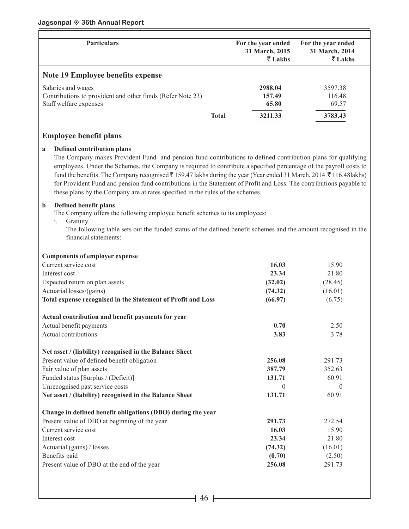| <b>Particulars</b>                                                                                         |              | For the year ended<br>31 March, 2015<br>₹ Lakhs | For the year ended<br>31 March, 2014<br>$\bar{z}$ Lakhs |
|------------------------------------------------------------------------------------------------------------|--------------|-------------------------------------------------|---------------------------------------------------------|
| Note 19 Employee benefits expense                                                                          |              |                                                 |                                                         |
| Salaries and wages<br>Contributions to provident and other funds (Refer Note 23)<br>Staff welfare expenses |              | 2988.04<br>157.49<br>65.80                      | 3597.38<br>116.48<br>69.57                              |
|                                                                                                            | <b>Total</b> | 3211.33                                         | 3783.43                                                 |

# **Employee benefit plans**

#### **a Defined contribution plans**

The Company makes Provident Fund and pension fund contributions to defined contribution plans for qualifying employees. Under the Schemes, the Company is required to contribute a specified percentage of the payroll costs to fund the benefits. The Company recognised  $\bar{\tau}$  159.47 lakhs during the year (Year ended 31 March, 2014  $\bar{\tau}$  116.48lakhs) for Provident Fund and pension fund contributions in the Statement of Profit and Loss. The contributions payable to these plans by the Company are at rates specified in the rules of the schemes.

#### **b Defined benefit plans**

The Company offers the following employee benefit schemes to its employees:

i. Gratuity

The following table sets out the funded status of the defined benefit schemes and the amount recognised in the financial statements:

| <b>Components of employer expense</b>                        |          |          |
|--------------------------------------------------------------|----------|----------|
| Current service cost                                         | 16.03    | 15.90    |
| Interest cost                                                | 23.34    | 21.80    |
| Expected return on plan assets                               | (32.02)  | (28.45)  |
| Actuarial losses/(gains)                                     | (74.32)  | (16.01)  |
| Total expense recognised in the Statement of Profit and Loss | (66.97)  | (6.75)   |
| Actual contribution and benefit payments for year            |          |          |
| Actual benefit payments                                      | 0.70     | 2.50     |
| Actual contributions                                         | 3.83     | 3.78     |
| Net asset / (liability) recognised in the Balance Sheet      |          |          |
| Present value of defined benefit obligation                  | 256.08   | 291.73   |
| Fair value of plan assets                                    | 387.79   | 352.63   |
| Funded status [Surplus / (Deficit)]                          | 131.71   | 60.91    |
| Unrecognised past service costs                              | $\theta$ | $\theta$ |
| Net asset / (liability) recognised in the Balance Sheet      | 131.71   | 60.91    |
| Change in defined benefit obligations (DBO) during the year  |          |          |
| Present value of DBO at beginning of the year                | 291.73   | 272.54   |
| Current service cost                                         | 16.03    | 15.90    |
| Interest cost                                                | 23.34    | 21.80    |
| Actuarial (gains) / losses                                   | (74.32)  | (16.01)  |
| Benefits paid                                                | (0.70)   | (2.50)   |
| Present value of DBO at the end of the year                  | 256.08   | 291.73   |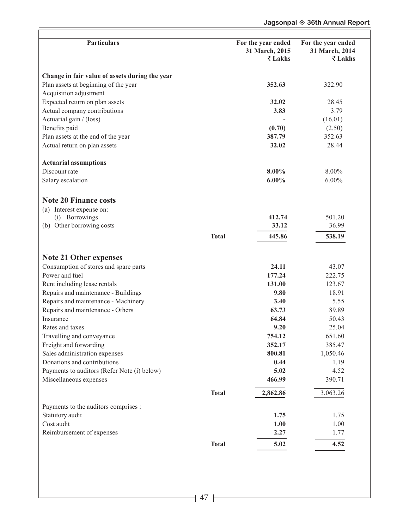| <b>Particulars</b>                             |              | For the year ended<br>31 March, 2015<br>$\bar{z}$ Lakhs | For the year ended<br>31 March, 2014<br>₹ Lakhs |
|------------------------------------------------|--------------|---------------------------------------------------------|-------------------------------------------------|
| Change in fair value of assets during the year |              |                                                         |                                                 |
| Plan assets at beginning of the year           |              | 352.63                                                  | 322.90                                          |
| Acquisition adjustment                         |              |                                                         |                                                 |
| Expected return on plan assets                 |              | 32.02                                                   | 28.45                                           |
| Actual company contributions                   |              | 3.83                                                    | 3.79                                            |
| Actuarial gain / (loss)                        |              |                                                         | (16.01)                                         |
| Benefits paid                                  |              | (0.70)                                                  | (2.50)                                          |
| Plan assets at the end of the year             |              | 387.79                                                  | 352.63                                          |
| Actual return on plan assets                   |              | 32.02                                                   | 28.44                                           |
| <b>Actuarial assumptions</b>                   |              |                                                         |                                                 |
| Discount rate                                  |              | 8.00%                                                   | 8.00%                                           |
| Salary escalation                              |              | 6.00%                                                   | $6.00\%$                                        |
| <b>Note 20 Finance costs</b>                   |              |                                                         |                                                 |
| (a) Interest expense on:                       |              |                                                         |                                                 |
| (i) Borrowings                                 |              | 412.74                                                  | 501.20                                          |
| (b) Other borrowing costs                      |              | 33.12                                                   | 36.99                                           |
|                                                | <b>Total</b> | 445.86                                                  | 538.19                                          |
| <b>Note 21 Other expenses</b>                  |              |                                                         |                                                 |
| Consumption of stores and spare parts          |              | 24.11                                                   | 43.07                                           |
| Power and fuel                                 |              | 177.24                                                  | 222.75                                          |
| Rent including lease rentals                   |              | 131.00                                                  | 123.67                                          |
| Repairs and maintenance - Buildings            |              | 9.80                                                    | 18.91                                           |
| Repairs and maintenance - Machinery            |              | 3.40                                                    | 5.55                                            |
| Repairs and maintenance - Others               |              | 63.73                                                   | 89.89                                           |
| Insurance                                      |              | 64.84                                                   | 50.43                                           |
| Rates and taxes                                |              | 9.20                                                    | 25.04                                           |
| Travelling and conveyance                      |              | 754.12                                                  | 651.60                                          |
| Freight and forwarding                         |              | 352.17                                                  | 385.47                                          |
| Sales administration expenses                  |              | 800.81                                                  | 1,050.46                                        |
| Donations and contributions                    |              | 0.44                                                    | 1.19                                            |
| Payments to auditors (Refer Note (i) below)    |              | 5.02                                                    | 4.52                                            |
| Miscellaneous expenses                         |              | 466.99                                                  | 390.71                                          |
|                                                | <b>Total</b> | 2,862.86                                                | 3,063.26                                        |
| Payments to the auditors comprises :           |              |                                                         |                                                 |
| Statutory audit                                |              | 1.75                                                    | 1.75                                            |
| Cost audit                                     |              | 1.00                                                    | 1.00                                            |
| Reimbursement of expenses                      |              | 2.27                                                    | 1.77                                            |
|                                                | <b>Total</b> | 5.02                                                    | 4.52                                            |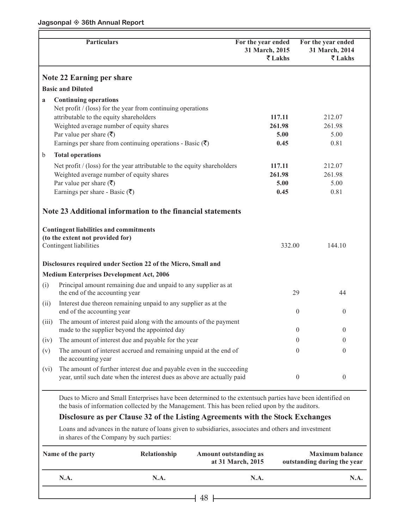# **Jagsonpal 36th Annual Report**

|             | <b>Particulars</b>                                                                                                                                                                                             | For the year ended<br>31 March, 2015<br>₹ Lakhs | For the year ended<br>31 March, 2014<br>₹ Lakhs |
|-------------|----------------------------------------------------------------------------------------------------------------------------------------------------------------------------------------------------------------|-------------------------------------------------|-------------------------------------------------|
|             | <b>Note 22 Earning per share</b>                                                                                                                                                                               |                                                 |                                                 |
|             | <b>Basic and Diluted</b>                                                                                                                                                                                       |                                                 |                                                 |
| a           | <b>Continuing operations</b>                                                                                                                                                                                   |                                                 |                                                 |
|             | Net profit $/(loss)$ for the year from continuing operations                                                                                                                                                   |                                                 |                                                 |
|             | attributable to the equity shareholders<br>Weighted average number of equity shares                                                                                                                            | 117.11<br>261.98                                | 212.07<br>261.98                                |
|             | Par value per share (₹)                                                                                                                                                                                        | 5.00                                            | 5.00                                            |
|             | Earnings per share from continuing operations - Basic $(\bar{\tau})$                                                                                                                                           | 0.45                                            | 0.81                                            |
| $\mathbf b$ | <b>Total operations</b>                                                                                                                                                                                        |                                                 |                                                 |
|             | Net profit / (loss) for the year attributable to the equity shareholders                                                                                                                                       | 117.11                                          | 212.07                                          |
|             | Weighted average number of equity shares                                                                                                                                                                       | 261.98                                          | 261.98                                          |
|             | Par value per share (₹)                                                                                                                                                                                        | 5.00                                            | 5.00                                            |
|             | Earnings per share - Basic $(\bar{\zeta})$                                                                                                                                                                     | 0.45                                            | 0.81                                            |
|             | Note 23 Additional information to the financial statements                                                                                                                                                     |                                                 |                                                 |
|             | <b>Contingent liabilities and commitments</b><br>(to the extent not provided for)<br>Contingent liabilities                                                                                                    | 332.00                                          | 144.10                                          |
|             |                                                                                                                                                                                                                |                                                 |                                                 |
|             | Disclosures required under Section 22 of the Micro, Small and                                                                                                                                                  |                                                 |                                                 |
|             | <b>Medium Enterprises Development Act, 2006</b>                                                                                                                                                                |                                                 |                                                 |
| (i)         | Principal amount remaining due and unpaid to any supplier as at<br>the end of the accounting year                                                                                                              |                                                 | 29<br>44                                        |
| (ii)        | Interest due thereon remaining unpaid to any supplier as at the<br>end of the accounting year                                                                                                                  |                                                 | $\theta$<br>$\theta$                            |
| (iii)       | The amount of interest paid along with the amounts of the payment<br>made to the supplier beyond the appointed day                                                                                             |                                                 | $\overline{0}$<br>$\overline{0}$                |
| (iv)        | The amount of interest due and payable for the year                                                                                                                                                            |                                                 | 0<br>0                                          |
| (v)         | The amount of interest accrued and remaining unpaid at the end of<br>the accounting year                                                                                                                       |                                                 | $\theta$<br>0                                   |
| (vi)        | The amount of further interest due and payable even in the succeeding<br>year, until such date when the interest dues as above are actually paid                                                               |                                                 | $\overline{0}$<br>$\theta$                      |
|             | Dues to Micro and Small Enterprises have been determined to the extentsuch parties have been identified on<br>the basis of information collected by the Management. This has been relied upon by the auditors. |                                                 |                                                 |
|             | Disclosure as per Clause 32 of the Listing Agreements with the Stock Exchanges                                                                                                                                 |                                                 |                                                 |
|             | Loans and advances in the nature of loans given to subsidiaries, associates and others and investment<br>in shares of the Company by such parties:                                                             |                                                 |                                                 |
|             | Name of the party<br>Relationship<br><b>Amount outstanding as</b>                                                                                                                                              |                                                 | <b>Maximum balance</b>                          |

| Name of the party | <b>Relationship</b> | Amount outstanding as<br>at 31 March, 2015 | <b>Maximum balance</b><br>outstanding during the year |
|-------------------|---------------------|--------------------------------------------|-------------------------------------------------------|
| N.A.              | <b>N.A.</b>         | N.A.                                       | N.A.                                                  |
|                   |                     | 48                                         |                                                       |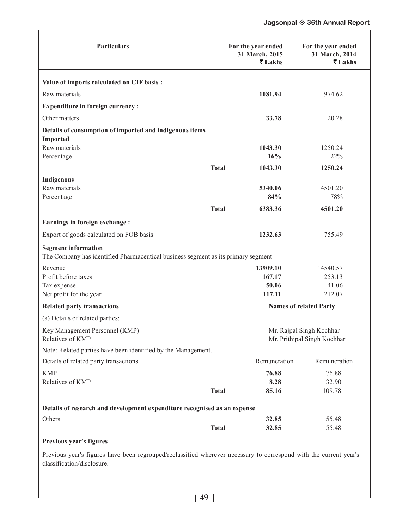| <b>Particulars</b>                                                                                                                              |              | For the year ended<br>31 March, 2015<br>₹ Lakhs | For the year ended<br>31 March, 2014<br>₹ Lakhs         |
|-------------------------------------------------------------------------------------------------------------------------------------------------|--------------|-------------------------------------------------|---------------------------------------------------------|
| Value of imports calculated on CIF basis:                                                                                                       |              |                                                 |                                                         |
| Raw materials                                                                                                                                   |              | 1081.94                                         | 974.62                                                  |
| <b>Expenditure in foreign currency:</b>                                                                                                         |              |                                                 |                                                         |
| Other matters                                                                                                                                   |              | 33.78                                           | 20.28                                                   |
| Details of consumption of imported and indigenous items<br><b>Imported</b>                                                                      |              |                                                 |                                                         |
| Raw materials                                                                                                                                   |              | 1043.30                                         | 1250.24                                                 |
| Percentage                                                                                                                                      |              | 16%                                             | 22%                                                     |
|                                                                                                                                                 | <b>Total</b> | 1043.30                                         | 1250.24                                                 |
| Indigenous                                                                                                                                      |              |                                                 |                                                         |
| Raw materials                                                                                                                                   |              | 5340.06                                         | 4501.20                                                 |
| Percentage                                                                                                                                      |              | 84%                                             | 78%                                                     |
|                                                                                                                                                 | <b>Total</b> | 6383.36                                         | 4501.20                                                 |
| Earnings in foreign exchange :                                                                                                                  |              |                                                 |                                                         |
| Export of goods calculated on FOB basis                                                                                                         |              | 1232.63                                         | 755.49                                                  |
| <b>Segment information</b><br>The Company has identified Pharmaceutical business segment as its primary segment                                 |              |                                                 |                                                         |
| Revenue                                                                                                                                         |              | 13909.10                                        | 14540.57                                                |
| Profit before taxes                                                                                                                             |              | 167.17                                          | 253.13                                                  |
| Tax expense                                                                                                                                     |              | 50.06<br>117.11                                 | 41.06<br>212.07                                         |
| Net profit for the year                                                                                                                         |              |                                                 |                                                         |
| <b>Related party transactions</b>                                                                                                               |              |                                                 | <b>Names of related Party</b>                           |
| (a) Details of related parties:                                                                                                                 |              |                                                 |                                                         |
| Key Management Personnel (KMP)<br>Relatives of KMP                                                                                              |              |                                                 | Mr. Raipal Singh Kochhar<br>Mr. Prithipal Singh Kochhar |
| Note: Related parties have been identified by the Management.                                                                                   |              |                                                 |                                                         |
| Details of related party transactions                                                                                                           |              | Remuneration                                    | Remuneration                                            |
| <b>KMP</b>                                                                                                                                      |              | 76.88                                           | 76.88                                                   |
| Relatives of KMP                                                                                                                                |              | 8.28                                            | 32.90                                                   |
|                                                                                                                                                 | <b>Total</b> | 85.16                                           | 109.78                                                  |
| Details of research and development expenditure recognised as an expense                                                                        |              |                                                 |                                                         |
| Others                                                                                                                                          |              | 32.85                                           | 55.48                                                   |
|                                                                                                                                                 | <b>Total</b> | 32.85                                           | 55.48                                                   |
| Previous year's figures                                                                                                                         |              |                                                 |                                                         |
| Previous year's figures have been regrouped/reclassified wherever necessary to correspond with the current year's<br>classification/disclosure. |              |                                                 |                                                         |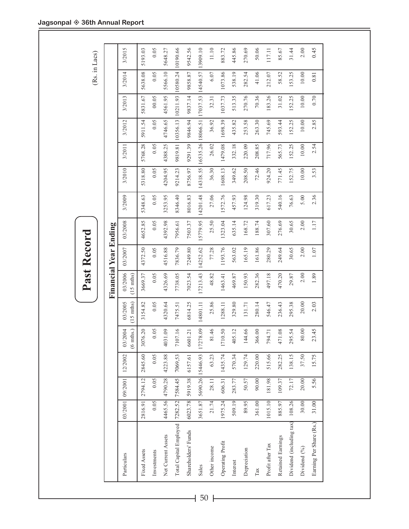| 3651.87 5690.26 15446.93 17278.09<br>03/2001 09/2001 12/2002<br>Total Capital Employed   7282.52   7584.45<br>4465.56 4790.28<br>6023.78<br>0.05<br>1975.24<br>2816.91<br>21.74<br>Shareholders' Funds<br>Net Current Assets<br>Operating Profit<br>Other income<br>Fixed Assets<br>Investments<br>Particulars<br>Sales | 2794.12 |         |                                |                                |                                |          |          |          |         |                            |                  |          |          | (Rs. in Lacs) |
|-------------------------------------------------------------------------------------------------------------------------------------------------------------------------------------------------------------------------------------------------------------------------------------------------------------------------|---------|---------|--------------------------------|--------------------------------|--------------------------------|----------|----------|----------|---------|----------------------------|------------------|----------|----------|---------------|
|                                                                                                                                                                                                                                                                                                                         |         |         |                                |                                | Financial Year Ending          |          |          |          |         |                            |                  |          |          |               |
|                                                                                                                                                                                                                                                                                                                         |         |         | $(6 \text{ mths.})$<br>03/2004 | 03/2005<br>$(15 \text{ mths})$ | 03/2006<br>$(15 \text{ mths})$ | 03/2007  | 03/2008  | 3/2009   | 3/2010  | 3/2011                     | 3/2012           | 3/2013   | 3/2014   | 3/2015        |
|                                                                                                                                                                                                                                                                                                                         |         | 2845.60 | 3076.20                        | 3154.82                        | 3669.37                        | 4372.50  | 4652.85  | 5348.63  | 5318.80 | 5768.28                    | 5911.54          | 5831.67  | 5638.08  | 5193.03       |
|                                                                                                                                                                                                                                                                                                                         | 0.05    | 0.05    | 0.05                           | 0.05                           | 0.05                           | 0.05     | 0.05     | 0.05     | 0.05    | 0.05                       | 0.05             | 00.05    | 0.05     | 0.05          |
|                                                                                                                                                                                                                                                                                                                         |         | 4223.88 | 4031.09                        | 4320.64                        | 4326.69                        | 4516.88  | 4392.98  | 3253.95  | 4204.95 | 4388.25                    | 4746.65          | 4561.95  | 5566.10  | 5648.27       |
|                                                                                                                                                                                                                                                                                                                         |         | 7069,53 | $\circ$<br>7107.1              | 7475.51                        | 7738.05                        | 7836.79  | 7956.61  | 8346.40  | 9214.23 |                            | 9819.81 10356.13 | 10211.93 | 10580.24 | 10190.66      |
|                                                                                                                                                                                                                                                                                                                         | 5919.38 | 6157.61 | 6601.21                        | 6814.25                        | 7023.54                        | 7249.80  | 7503.37  | 8016.83  | 8756.97 | 9291.39                    | 9846.94          | 9837.14  | 9858.87  | 9542.56       |
|                                                                                                                                                                                                                                                                                                                         |         |         |                                | 14801.11                       | 17213.43                       | 14252.62 | 15779.95 | 14201.48 |         | 14318.55 16535.26 18066.51 |                  | 17037.53 | 14540.57 | 13909.10      |
|                                                                                                                                                                                                                                                                                                                         | 28.11   | 63.23   | 81.46                          | 25.86                          | 48.82                          | 77.28    | 25.50    | 27.06    | 36.30   | 26.02                      | 36.92            | 32.31    | 6.07     | 11.10         |
|                                                                                                                                                                                                                                                                                                                         | 606.31  | 1435.74 | 1710.50                        | 1288.11                        | 1463.41                        | 1193.76  | 1323.04  | 1572.76  | 1608.13 | 1479.08                    | 1698.39          | 1037.73  | 1073.86  | 883.72        |
| 509.19<br>Interest                                                                                                                                                                                                                                                                                                      | 283.77  | 570.34  | $\sim$<br>405.1                | 329.80                         | 469.87                         | 563.02   | 635.14   | 457.93   | 349.62  | 332.18                     | 435.82           | 513.35   | 538.19   | 445.86        |
| 89.95<br>Depreciation                                                                                                                                                                                                                                                                                                   | 50.57   | 129.74  | 144.66                         | 131.71                         | 150.93                         | 165.19   | 168.72   | 124.98   | 208.50  | 220.09                     | 253.58           | 270.76   | 282.54   | 270.69        |
| 361.00<br>$\operatorname{Tax}$                                                                                                                                                                                                                                                                                          | 90.00   | 220.00  | 366.00                         | 280.14                         | 282.36                         | 161.86   | 188.74   | 319.30   | 72.46   | 208.85                     | 263.30           | 70.36    | 41.06    | 50.06         |
| 1015.10<br>Profit after Tax                                                                                                                                                                                                                                                                                             | 181.98  | 515.66  | 794.71                         | 546.47                         | 497.18                         | 280.29   | 307.60   | 617.23   | 924.20  | 717.96                     | 745.69           | 183.26   | 212.07   | 117.11        |
| 885.97<br>Retained Earnings                                                                                                                                                                                                                                                                                             | 109.37  | 282.25  | 471.08                         | 236.43                         | 470.20                         | 249.64   | 276.69   | 540.16   | 771.45  | 565.73                     | 593.44           | 31.02    | 58.52    | 85.67         |
| 108.26<br>Dividend (including tax)                                                                                                                                                                                                                                                                                      | 72.17   | 138.15  | 295.54                         | 295.38                         | 29.87                          | 30.65    | 30.65    | 76.63    | 152.75  | 152.25                     | 152.25           | 152.25   | 153.25   | 31.44         |
| 30.00<br>Dividend (%)                                                                                                                                                                                                                                                                                                   | 20.00   | 37.50   | 80.00                          | 20.00                          | 2.00                           | 2.00     | 2.00     | 5.00     | 10.00   | 10.00                      | 10.00            | 10.00    | 10.00    | 2.00          |
| 31.00<br>Earning Per Share (Rs.)                                                                                                                                                                                                                                                                                        | 5.56    | 15.75   | Ù<br>23.4                      | 2.03                           | 1.89                           | $1.07\,$ | 1.17     | 2.36     | 3.53    | 2.54                       | 2.85             | 0.70     | 0.81     | 0.45          |

#### **Jagsonpal 36th Annual Report**